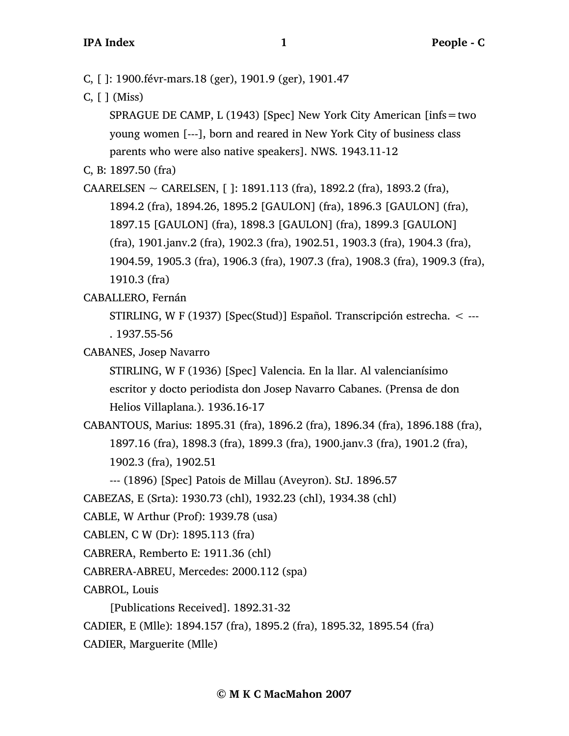- C, [ ]: 1900.févr-mars.18 (ger), 1901.9 (ger), 1901.47
- C, [ ] (Miss)

SPRAGUE DE CAMP, L (1943) [Spec] New York City American [infs=two young women [---], born and reared in New York City of business class parents who were also native speakers]. NWS. 1943.11-12

C, B: 1897.50 (fra)

CAARELSEN ~ CARELSEN, [ ]: 1891.113 (fra), 1892.2 (fra), 1893.2 (fra), 1894.2 (fra), 1894.26, 1895.2 [GAULON] (fra), 1896.3 [GAULON] (fra), 1897.15 [GAULON] (fra), 1898.3 [GAULON] (fra), 1899.3 [GAULON] (fra), 1901.janv.2 (fra), 1902.3 (fra), 1902.51, 1903.3 (fra), 1904.3 (fra), 1904.59, 1905.3 (fra), 1906.3 (fra), 1907.3 (fra), 1908.3 (fra), 1909.3 (fra), 1910.3 (fra)

CABALLERO, Fernán

STIRLING, W F (1937) [Spec(Stud)] Español. Transcripción estrecha. < --- . 1937.55-56

CABANES, Josep Navarro

STIRLING, W F (1936) [Spec] Valencia. En la llar. Al valencianísimo escritor y docto periodista don Josep Navarro Cabanes. (Prensa de don Helios Villaplana.). 1936.16-17

- CABANTOUS, Marius: 1895.31 (fra), 1896.2 (fra), 1896.34 (fra), 1896.188 (fra), 1897.16 (fra), 1898.3 (fra), 1899.3 (fra), 1900.janv.3 (fra), 1901.2 (fra), 1902.3 (fra), 1902.51
	- --- (1896) [Spec] Patois de Millau (Aveyron). StJ. 1896.57

CABEZAS, E (Srta): 1930.73 (chl), 1932.23 (chl), 1934.38 (chl)

- CABLE, W Arthur (Prof): 1939.78 (usa)
- CABLEN, C W (Dr): 1895.113 (fra)
- CABRERA, Remberto E: 1911.36 (chl)
- CABRERA-ABREU, Mercedes: 2000.112 (spa)

CABROL, Louis

[Publications Received]. 1892.31-32

CADIER, E (Mlle): 1894.157 (fra), 1895.2 (fra), 1895.32, 1895.54 (fra)

CADIER, Marguerite (Mlle)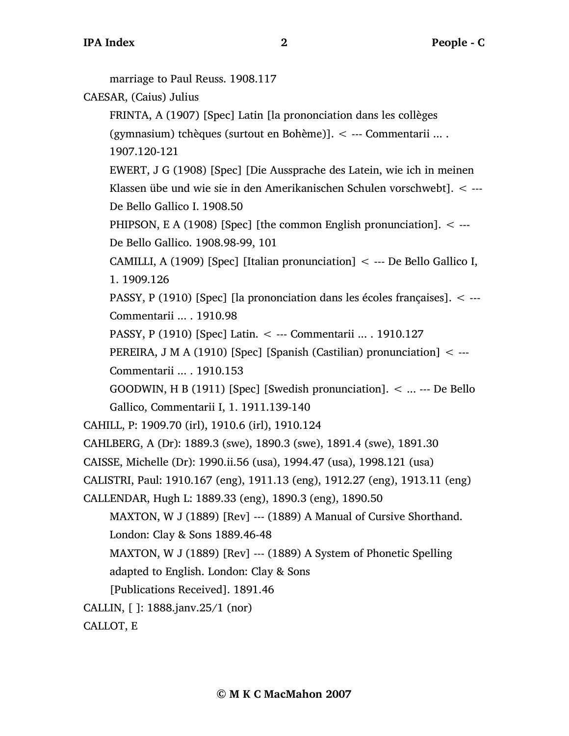marriage to Paul Reuss. 1908.117 CAESAR, (Caius) Julius FRINTA, A (1907) [Spec] Latin [la prononciation dans les collèges (gymnasium) tchèques (surtout en Bohème)]. < --- Commentarii ... . 1907.120-121 EWERT, J G (1908) [Spec] [Die Aussprache des Latein, wie ich in meinen Klassen übe und wie sie in den Amerikanischen Schulen vorschwebt]. < --- De Bello Gallico I. 1908.50 PHIPSON, E A (1908) [Spec] [the common English pronunciation]. < --- De Bello Gallico. 1908.98-99, 101 CAMILLI, A (1909) [Spec] [Italian pronunciation]  $\lt$  --- De Bello Gallico I, 1. 1909.126 PASSY, P (1910) [Spec] [la prononciation dans les écoles françaises]. < --- Commentarii ... . 1910.98 PASSY, P (1910) [Spec] Latin. < --- Commentarii ... . 1910.127 PEREIRA, J M A (1910) [Spec] [Spanish (Castilian) pronunciation] < --- Commentarii ... . 1910.153 GOODWIN, H B (1911) [Spec] [Swedish pronunciation]. < ... --- De Bello Gallico, Commentarii I, 1. 1911.139-140 CAHILL, P: 1909.70 (irl), 1910.6 (irl), 1910.124 CAHLBERG, A (Dr): 1889.3 (swe), 1890.3 (swe), 1891.4 (swe), 1891.30 CAISSE, Michelle (Dr): 1990.ii.56 (usa), 1994.47 (usa), 1998.121 (usa) CALISTRI, Paul: 1910.167 (eng), 1911.13 (eng), 1912.27 (eng), 1913.11 (eng) CALLENDAR, Hugh L: 1889.33 (eng), 1890.3 (eng), 1890.50 MAXTON, W J (1889) [Rev] --- (1889) A Manual of Cursive Shorthand. London: Clay & Sons 1889.46-48 MAXTON, W J (1889) [Rev] --- (1889) A System of Phonetic Spelling adapted to English. London: Clay & Sons [Publications Received]. 1891.46 CALLIN, [ ]: 1888.janv.25/1 (nor) CALLOT, E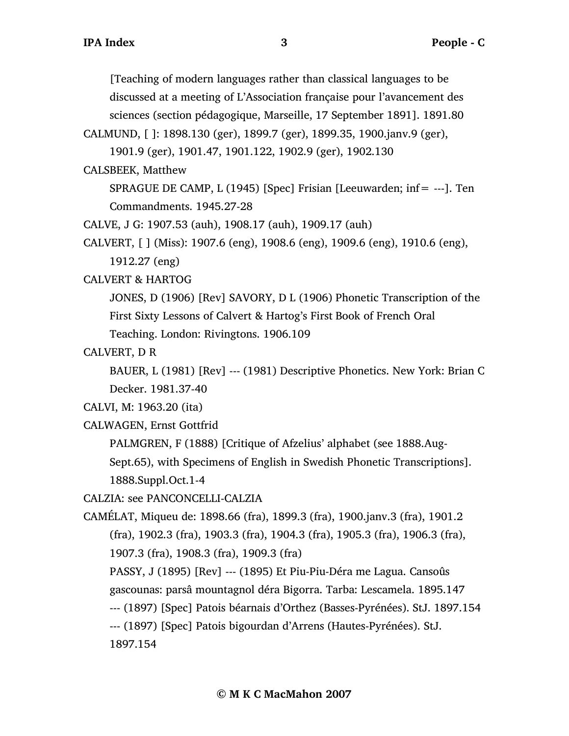[Teaching of modern languages rather than classical languages to be discussed at a meeting of L'Association française pour l'avancement des sciences (section pédagogique, Marseille, 17 September 1891]. 1891.80

CALMUND, [ ]: 1898.130 (ger), 1899.7 (ger), 1899.35, 1900.janv.9 (ger),

1901.9 (ger), 1901.47, 1901.122, 1902.9 (ger), 1902.130

CALSBEEK, Matthew

SPRAGUE DE CAMP, L (1945) [Spec] Frisian [Leeuwarden; inf= ---]. Ten Commandments. 1945.27-28

CALVE, J G: 1907.53 (auh), 1908.17 (auh), 1909.17 (auh)

CALVERT, [ ] (Miss): 1907.6 (eng), 1908.6 (eng), 1909.6 (eng), 1910.6 (eng), 1912.27 (eng)

CALVERT & HARTOG

JONES, D (1906) [Rev] SAVORY, D L (1906) Phonetic Transcription of the First Sixty Lessons of Calvert & Hartog's First Book of French Oral Teaching. London: Rivingtons. 1906.109

CALVERT, D R

BAUER, L (1981) [Rev] --- (1981) Descriptive Phonetics. New York: Brian C Decker. 1981.37-40

CALVI, M: 1963.20 (ita)

CALWAGEN, Ernst Gottfrid

PALMGREN, F (1888) [Critique of Afzelius' alphabet (see 1888.Aug-

Sept.65), with Specimens of English in Swedish Phonetic Transcriptions]. 1888.Suppl.Oct.1-4

CALZIA: see PANCONCELLI-CALZIA

CAMÉLAT, Miqueu de: 1898.66 (fra), 1899.3 (fra), 1900.janv.3 (fra), 1901.2 (fra), 1902.3 (fra), 1903.3 (fra), 1904.3 (fra), 1905.3 (fra), 1906.3 (fra), 1907.3 (fra), 1908.3 (fra), 1909.3 (fra) PASSY, J (1895) [Rev] --- (1895) Et Piu-Piu-Déra me Lagua. Cansoûs gascounas: parsâ mountagnol déra Bigorra. Tarba: Lescamela. 1895.147

--- (1897) [Spec] Patois béarnais d'Orthez (Basses-Pyrénées). StJ. 1897.154

--- (1897) [Spec] Patois bigourdan d'Arrens (Hautes-Pyrénées). StJ.

1897.154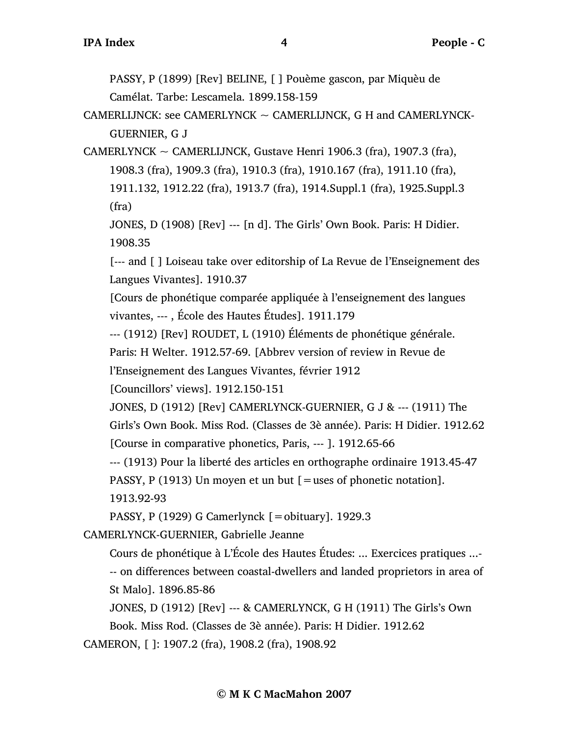PASSY, P (1899) [Rev] BELINE, [ ] Pouème gascon, par Miquèu de Camélat. Tarbe: Lescamela. 1899.158-159

CAMERLIJNCK: see CAMERLYNCK  $\sim$  CAMERLIJNCK, G H and CAMERLYNCK-GUERNIER, G J

CAMERLYNCK  $\sim$  CAMERLIJNCK, Gustave Henri 1906.3 (fra), 1907.3 (fra), 1908.3 (fra), 1909.3 (fra), 1910.3 (fra), 1910.167 (fra), 1911.10 (fra), 1911.132, 1912.22 (fra), 1913.7 (fra), 1914.Suppl.1 (fra), 1925.Suppl.3 (fra)

JONES, D (1908) [Rev] --- [n d]. The Girls' Own Book. Paris: H Didier. 1908.35

[--- and [ ] Loiseau take over editorship of La Revue de l'Enseignement des Langues Vivantes]. 1910.37

[Cours de phonétique comparée appliquée à l'enseignement des langues vivantes, --- , École des Hautes Études]. 1911.179

--- (1912) [Rev] ROUDET, L (1910) Éléments de phonétique générale.

Paris: H Welter. 1912.57-69. [Abbrev version of review in Revue de

l'Enseignement des Langues Vivantes, février 1912

[Councillors' views]. 1912.150-151

JONES, D (1912) [Rev] CAMERLYNCK-GUERNIER, G J & --- (1911) The

Girls's Own Book. Miss Rod. (Classes de 3è année). Paris: H Didier. 1912.62 [Course in comparative phonetics, Paris, --- ]. 1912.65-66

--- (1913) Pour la liberté des articles en orthographe ordinaire 1913.45-47

PASSY, P (1913) Un moyen et un but [=uses of phonetic notation]. 1913.92-93

PASSY, P (1929) G Camerlynck [=obituary]. 1929.3

CAMERLYNCK-GUERNIER, Gabrielle Jeanne

Cours de phonétique à L'École des Hautes Études: ... Exercices pratiques ...- -- on differences between coastal-dwellers and landed proprietors in area of St Malo]. 1896.85-86

JONES, D (1912) [Rev] --- & CAMERLYNCK, G H (1911) The Girls's Own

Book. Miss Rod. (Classes de 3è année). Paris: H Didier. 1912.62

CAMERON, [ ]: 1907.2 (fra), 1908.2 (fra), 1908.92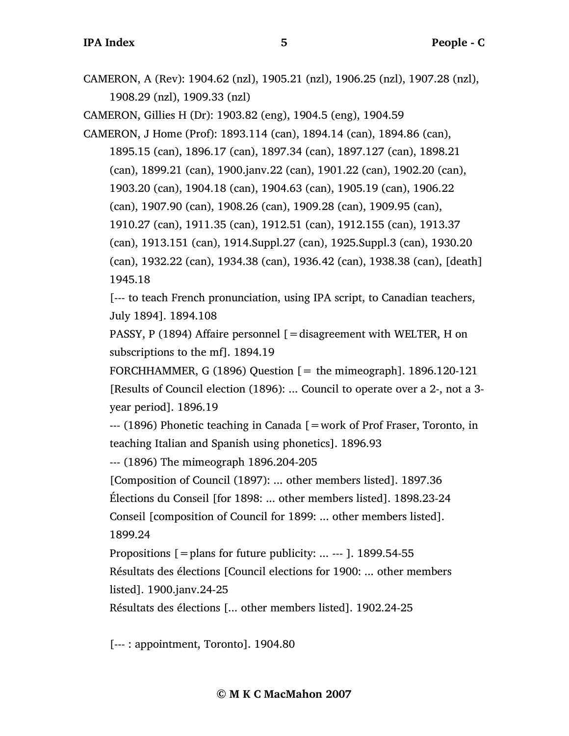CAMERON, A (Rev): 1904.62 (nzl), 1905.21 (nzl), 1906.25 (nzl), 1907.28 (nzl), 1908.29 (nzl), 1909.33 (nzl)

CAMERON, Gillies H (Dr): 1903.82 (eng), 1904.5 (eng), 1904.59

CAMERON, J Home (Prof): 1893.114 (can), 1894.14 (can), 1894.86 (can), 1895.15 (can), 1896.17 (can), 1897.34 (can), 1897.127 (can), 1898.21 (can), 1899.21 (can), 1900.janv.22 (can), 1901.22 (can), 1902.20 (can), 1903.20 (can), 1904.18 (can), 1904.63 (can), 1905.19 (can), 1906.22 (can), 1907.90 (can), 1908.26 (can), 1909.28 (can), 1909.95 (can), 1910.27 (can), 1911.35 (can), 1912.51 (can), 1912.155 (can), 1913.37 (can), 1913.151 (can), 1914.Suppl.27 (can), 1925.Suppl.3 (can), 1930.20 (can), 1932.22 (can), 1934.38 (can), 1936.42 (can), 1938.38 (can), [death] 1945.18

[--- to teach French pronunciation, using IPA script, to Canadian teachers, July 1894]. 1894.108

PASSY, P (1894) Affaire personnel [=disagreement with WELTER, H on subscriptions to the mf]. 1894.19

FORCHHAMMER, G (1896) Question  $[=$  the mimeograph]. 1896.120-121 [Results of Council election (1896): ... Council to operate over a 2-, not a 3 year period]. 1896.19

--- (1896) Phonetic teaching in Canada [=work of Prof Fraser, Toronto, in teaching Italian and Spanish using phonetics]. 1896.93

--- (1896) The mimeograph 1896.204-205

[Composition of Council (1897): ... other members listed]. 1897.36

Élections du Conseil [for 1898: ... other members listed]. 1898.23-24

Conseil [composition of Council for 1899: ... other members listed]. 1899.24

Propositions  $\mathfrak{[}=$  plans for future publicity: ... --- ]. 1899.54-55

Résultats des élections [Council elections for 1900: ... other members listed]. 1900.janv.24-25

Résultats des élections [... other members listed]. 1902.24-25

[--- : appointment, Toronto]. 1904.80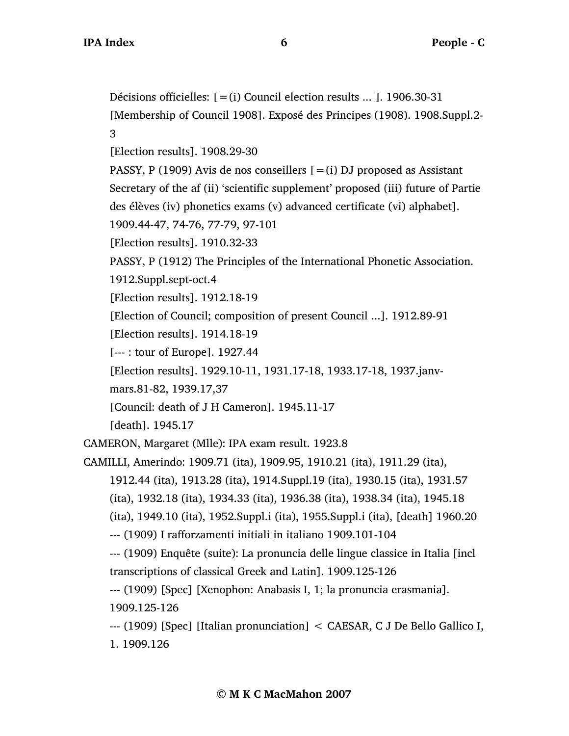Décisions officielles: [=(i) Council election results ... ]. 1906.30-31

[Membership of Council 1908]. Exposé des Principes (1908). 1908.Suppl.2- 3

[Election results]. 1908.29-30

PASSY, P (1909) Avis de nos conseillers  $[=(i)$  DJ proposed as Assistant

Secretary of the af (ii) 'scientific supplement' proposed (iii) future of Partie des élèves (iv) phonetics exams (v) advanced certificate (vi) alphabet].

1909.44-47, 74-76, 77-79, 97-101

[Election results]. 1910.32-33

PASSY, P (1912) The Principles of the International Phonetic Association.

1912.Suppl.sept-oct.4

[Election results]. 1912.18-19

[Election of Council; composition of present Council ...]. 1912.89-91

[Election results]. 1914.18-19

[--- : tour of Europe]. 1927.44

[Election results]. 1929.10-11, 1931.17-18, 1933.17-18, 1937.janv-

mars.81-82, 1939.17,37

[Council: death of J H Cameron]. 1945.11-17

[death]. 1945.17

CAMERON, Margaret (Mlle): IPA exam result. 1923.8

CAMILLI, Amerindo: 1909.71 (ita), 1909.95, 1910.21 (ita), 1911.29 (ita),

1912.44 (ita), 1913.28 (ita), 1914.Suppl.19 (ita), 1930.15 (ita), 1931.57

(ita), 1932.18 (ita), 1934.33 (ita), 1936.38 (ita), 1938.34 (ita), 1945.18

(ita), 1949.10 (ita), 1952.Suppl.i (ita), 1955.Suppl.i (ita), [death] 1960.20

--- (1909) I rafforzamenti initiali in italiano 1909.101-104

--- (1909) Enquête (suite): La pronuncia delle lingue classice in Italia [incl transcriptions of classical Greek and Latin]. 1909.125-126

--- (1909) [Spec] [Xenophon: Anabasis I, 1; la pronuncia erasmania]. 1909.125-126

--- (1909) [Spec] [Italian pronunciation] < CAESAR, C J De Bello Gallico I, 1. 1909.126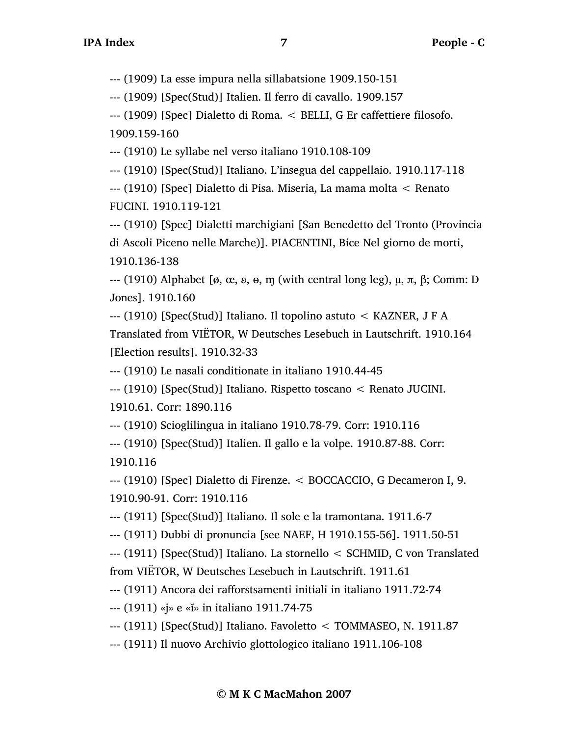--- (1909) La esse impura nella sillabatsione 1909.150-151

--- (1909) [Spec(Stud)] Italien. Il ferro di cavallo. 1909.157

--- (1909) [Spec] Dialetto di Roma. < BELLI, G Er caffettiere filosofo. 1909.159-160

--- (1910) Le syllabe nel verso italiano 1910.108-109

--- (1910) [Spec(Stud)] Italiano. L'insegua del cappellaio. 1910.117-118

--- (1910) [Spec] Dialetto di Pisa. Miseria, La mama molta < Renato FUCINI. 1910.119-121

--- (1910) [Spec] Dialetti marchigiani [San Benedetto del Tronto (Provincia di Ascoli Piceno nelle Marche)]. PIACENTINI, Bice Nel giorno de morti, 1910.136-138

 $-$ -- (1910) Alphabet [ø, œ, ͽ, ɵ, m (with central long leg),  $\mu$ , π, β; Comm: D Jones]. 1910.160

--- (1910) [Spec(Stud)] Italiano. Il topolino astuto < KAZNER, J F A Translated from VIËTOR, W Deutsches Lesebuch in Lautschrift. 1910.164 [Election results]. 1910.32-33

--- (1910) Le nasali conditionate in italiano 1910.44-45

--- (1910) [Spec(Stud)] Italiano. Rispetto toscano < Renato JUCINI. 1910.61. Corr: 1890.116

--- (1910) Scioglilingua in italiano 1910.78-79. Corr: 1910.116

--- (1910) [Spec(Stud)] Italien. Il gallo e la volpe. 1910.87-88. Corr: 1910.116

--- (1910) [Spec] Dialetto di Firenze. < BOCCACCIO, G Decameron I, 9. 1910.90-91. Corr: 1910.116

--- (1911) [Spec(Stud)] Italiano. Il sole e la tramontana. 1911.6-7

--- (1911) Dubbi di pronuncia [see NAEF, H 1910.155-56]. 1911.50-51

--- (1911) [Spec(Stud)] Italiano. La stornello < SCHMID, C von Translated from VIËTOR, W Deutsches Lesebuch in Lautschrift. 1911.61

--- (1911) Ancora dei rafforstsamenti initiali in italiano 1911.72-74

--- (1911) «j» e «ĭ» in italiano 1911.74-75

--- (1911) [Spec(Stud)] Italiano. Favoletto < TOMMASEO, N. 1911.87

--- (1911) Il nuovo Archivio glottologico italiano 1911.106-108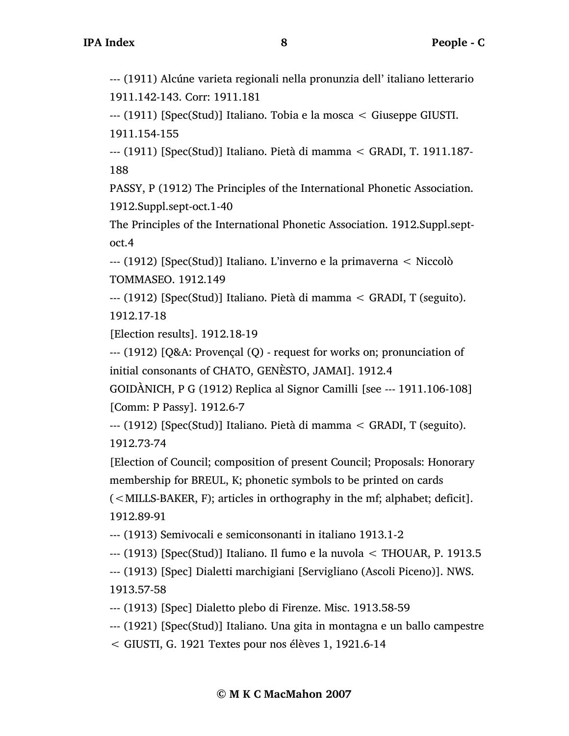--- (1911) Alcúne varieta regionali nella pronunzia dell' italiano letterario 1911.142-143. Corr: 1911.181

--- (1911) [Spec(Stud)] Italiano. Tobia e la mosca < Giuseppe GIUSTI. 1911.154-155

--- (1911) [Spec(Stud)] Italiano. Pietà di mamma < GRADI, T. 1911.187- 188

PASSY, P (1912) The Principles of the International Phonetic Association. 1912.Suppl.sept-oct.1-40

The Principles of the International Phonetic Association. 1912.Suppl.septoct.4

--- (1912) [Spec(Stud)] Italiano. L'inverno e la primaverna < Niccolò TOMMASEO. 1912.149

--- (1912) [Spec(Stud)] Italiano. Pietà di mamma < GRADI, T (seguito). 1912.17-18

[Election results]. 1912.18-19

--- (1912) [Q&A: Provençal (Q) - request for works on; pronunciation of initial consonants of CHATO, GENÈSTO, JAMAI]. 1912.4

GOIDÀNICH, P G (1912) Replica al Signor Camilli [see --- 1911.106-108] [Comm: P Passy]. 1912.6-7

--- (1912) [Spec(Stud)] Italiano. Pietà di mamma < GRADI, T (seguito). 1912.73-74

[Election of Council; composition of present Council; Proposals: Honorary membership for BREUL, K; phonetic symbols to be printed on cards (<MILLS-BAKER, F); articles in orthography in the mf; alphabet; deficit].

1912.89-91

--- (1913) Semivocali e semiconsonanti in italiano 1913.1-2

--- (1913) [Spec(Stud)] Italiano. Il fumo e la nuvola < THOUAR, P. 1913.5

--- (1913) [Spec] Dialetti marchigiani [Servigliano (Ascoli Piceno)]. NWS. 1913.57-58

--- (1913) [Spec] Dialetto plebo di Firenze. Misc. 1913.58-59

--- (1921) [Spec(Stud)] Italiano. Una gita in montagna e un ballo campestre

< GIUSTI, G. 1921 Textes pour nos élèves 1, 1921.6-14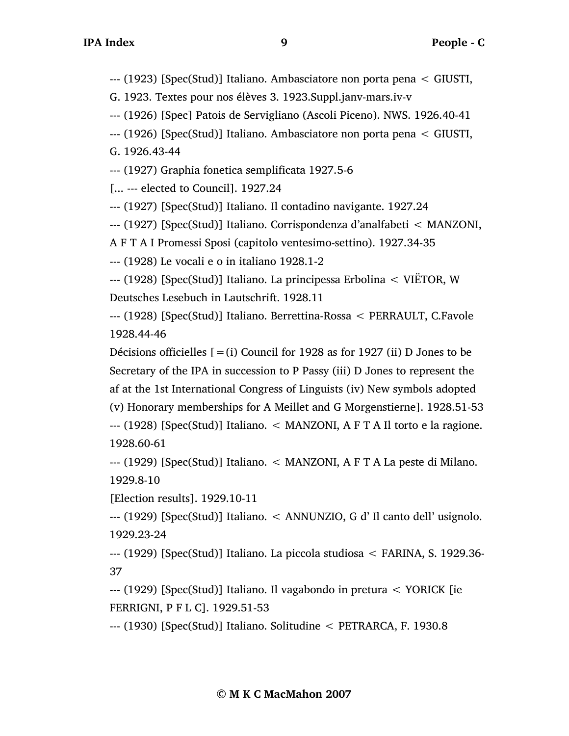--- (1923) [Spec(Stud)] Italiano. Ambasciatore non porta pena < GIUSTI,

G. 1923. Textes pour nos élèves 3. 1923.Suppl.janv-mars.iv-v

--- (1926) [Spec] Patois de Servigliano (Ascoli Piceno). NWS. 1926.40-41

--- (1926) [Spec(Stud)] Italiano. Ambasciatore non porta pena < GIUSTI,

G. 1926.43-44

--- (1927) Graphia fonetica semplificata 1927.5-6

[... --- elected to Council]. 1927.24

--- (1927) [Spec(Stud)] Italiano. Il contadino navigante. 1927.24

--- (1927) [Spec(Stud)] Italiano. Corrispondenza d'analfabeti < MANZONI,

A F T A I Promessi Sposi (capitolo ventesimo-settino). 1927.34-35

--- (1928) Le vocali e o in italiano 1928.1-2

--- (1928) [Spec(Stud)] Italiano. La principessa Erbolina < VIËTOR, W Deutsches Lesebuch in Lautschrift. 1928.11

--- (1928) [Spec(Stud)] Italiano. Berrettina-Rossa < PERRAULT, C.Favole 1928.44-46

Décisions officielles  $[=(i)$  Council for 1928 as for 1927 (ii) D Jones to be Secretary of the IPA in succession to P Passy (iii) D Jones to represent the af at the 1st International Congress of Linguists (iv) New symbols adopted (v) Honorary memberships for A Meillet and G Morgenstierne]. 1928.51-53 --- (1928) [Spec(Stud)] Italiano. < MANZONI, A F T A Il torto e la ragione. 1928.60-61

--- (1929) [Spec(Stud)] Italiano. < MANZONI, A F T A La peste di Milano. 1929.8-10

[Election results]. 1929.10-11

--- (1929) [Spec(Stud)] Italiano. < ANNUNZIO, G d' Il canto dell' usignolo. 1929.23-24

--- (1929) [Spec(Stud)] Italiano. La piccola studiosa < FARINA, S. 1929.36- 37

--- (1929) [Spec(Stud)] Italiano. Il vagabondo in pretura < YORICK [ie FERRIGNI, P F L C]. 1929.51-53

--- (1930) [Spec(Stud)] Italiano. Solitudine < PETRARCA, F. 1930.8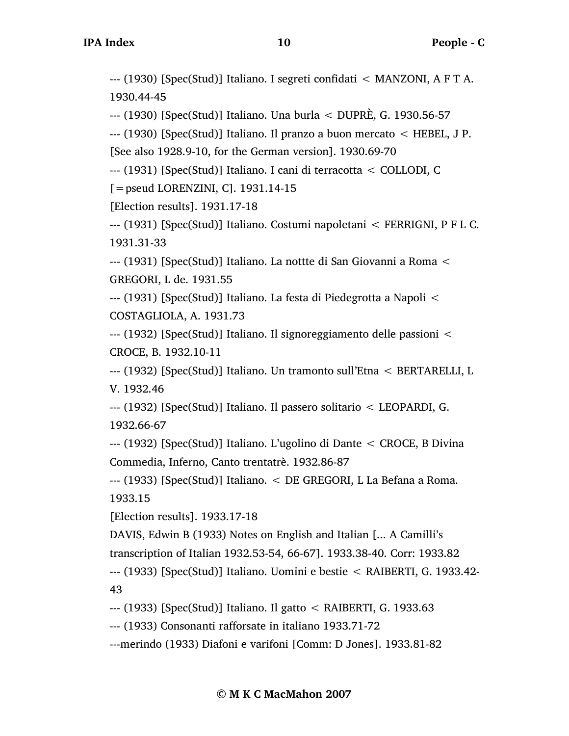--- (1930) [Spec(Stud)] Italiano. I segreti confidati < MANZONI, A F T A. 1930.44-45

--- (1930) [Spec(Stud)] Italiano. Una burla < DUPRÈ, G. 1930.56-57

--- (1930) [Spec(Stud)] Italiano. Il pranzo a buon mercato < HEBEL, J P. [See also 1928.9-10, for the German version]. 1930.69-70

--- (1931) [Spec(Stud)] Italiano. I cani di terracotta < COLLODI, C

[=pseud LORENZINI, C]. 1931.14-15

[Election results]. 1931.17-18

--- (1931) [Spec(Stud)] Italiano. Costumi napoletani < FERRIGNI, P F L C. 1931.31-33

--- (1931) [Spec(Stud)] Italiano. La nottte di San Giovanni a Roma < GREGORI, L de. 1931.55

--- (1931) [Spec(Stud)] Italiano. La festa di Piedegrotta a Napoli < COSTAGLIOLA, A. 1931.73

--- (1932) [Spec(Stud)] Italiano. Il signoreggiamento delle passioni < CROCE, B. 1932.10-11

--- (1932) [Spec(Stud)] Italiano. Un tramonto sull'Etna < BERTARELLI, L V. 1932.46

--- (1932) [Spec(Stud)] Italiano. Il passero solitario < LEOPARDI, G. 1932.66-67

--- (1932) [Spec(Stud)] Italiano. L'ugolino di Dante < CROCE, B Divina Commedia, Inferno, Canto trentatrè. 1932.86-87

--- (1933) [Spec(Stud)] Italiano. < DE GREGORI, L La Befana a Roma. 1933.15

[Election results]. 1933.17-18

DAVIS, Edwin B (1933) Notes on English and Italian [... A Camilli's

transcription of Italian 1932.53-54, 66-67]. 1933.38-40. Corr: 1933.82

--- (1933) [Spec(Stud)] Italiano. Uomini e bestie < RAIBERTI, G. 1933.42- 43

--- (1933) [Spec(Stud)] Italiano. Il gatto < RAIBERTI, G. 1933.63

--- (1933) Consonanti rafforsate in italiano 1933.71-72

---merindo (1933) Diafoni e varifoni [Comm: D Jones]. 1933.81-82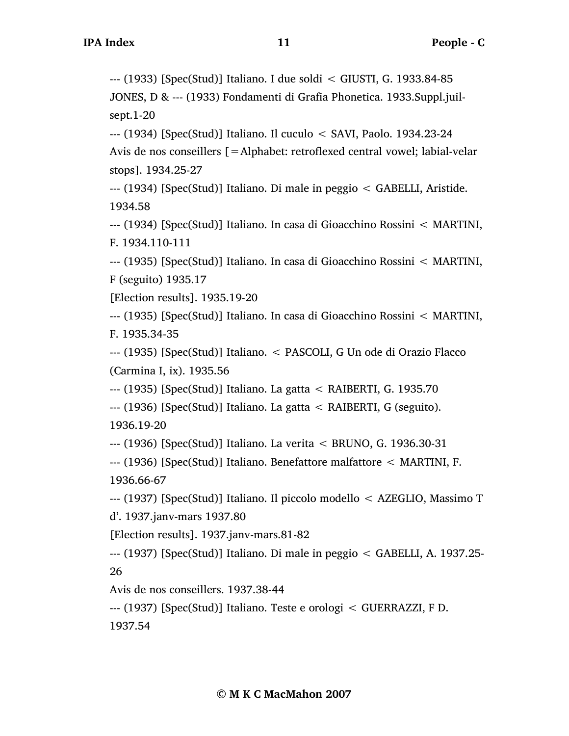--- (1933) [Spec(Stud)] Italiano. I due soldi < GIUSTI, G. 1933.84-85

JONES, D & --- (1933) Fondamenti di Grafia Phonetica. 1933.Suppl.juilsept.1-20

--- (1934) [Spec(Stud)] Italiano. Il cuculo < SAVI, Paolo. 1934.23-24 Avis de nos conseillers [=Alphabet: retroflexed central vowel; labial-velar stops]. 1934.25-27

--- (1934) [Spec(Stud)] Italiano. Di male in peggio < GABELLI, Aristide. 1934.58

--- (1934) [Spec(Stud)] Italiano. In casa di Gioacchino Rossini < MARTINI, F. 1934.110-111

--- (1935) [Spec(Stud)] Italiano. In casa di Gioacchino Rossini < MARTINI, F (seguito) 1935.17

[Election results]. 1935.19-20

--- (1935) [Spec(Stud)] Italiano. In casa di Gioacchino Rossini < MARTINI, F. 1935.34-35

--- (1935) [Spec(Stud)] Italiano. < PASCOLI, G Un ode di Orazio Flacco (Carmina I, ix). 1935.56

--- (1935) [Spec(Stud)] Italiano. La gatta < RAIBERTI, G. 1935.70

--- (1936) [Spec(Stud)] Italiano. La gatta < RAIBERTI, G (seguito). 1936.19-20

--- (1936) [Spec(Stud)] Italiano. La verita < BRUNO, G. 1936.30-31

--- (1936) [Spec(Stud)] Italiano. Benefattore malfattore < MARTINI, F. 1936.66-67

--- (1937) [Spec(Stud)] Italiano. Il piccolo modello < AZEGLIO, Massimo T d'. 1937.janv-mars 1937.80

[Election results]. 1937.janv-mars.81-82

--- (1937) [Spec(Stud)] Italiano. Di male in peggio < GABELLI, A. 1937.25- 26

Avis de nos conseillers. 1937.38-44

--- (1937) [Spec(Stud)] Italiano. Teste e orologi < GUERRAZZI, F D.

1937.54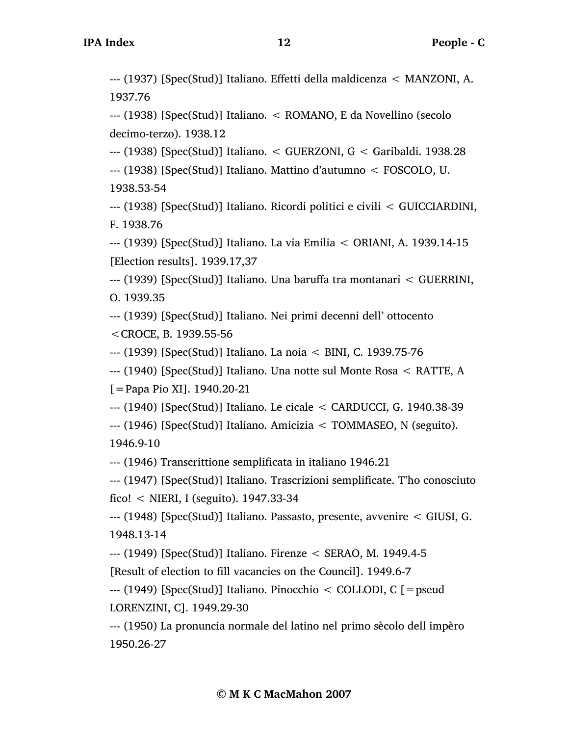--- (1937) [Spec(Stud)] Italiano. Effetti della maldicenza < MANZONI, A. 1937.76

--- (1938) [Spec(Stud)] Italiano. < ROMANO, E da Novellino (secolo decimo-terzo). 1938.12

--- (1938) [Spec(Stud)] Italiano. < GUERZONI, G < Garibaldi. 1938.28

--- (1938) [Spec(Stud)] Italiano. Mattino d'autumno < FOSCOLO, U.

1938.53-54

--- (1938) [Spec(Stud)] Italiano. Ricordi politici e civili < GUICCIARDINI, F. 1938.76

--- (1939) [Spec(Stud)] Italiano. La via Emilia < ORIANI, A. 1939.14-15 [Election results]. 1939.17,37

--- (1939) [Spec(Stud)] Italiano. Una baruffa tra montanari < GUERRINI, O. 1939.35

--- (1939) [Spec(Stud)] Italiano. Nei primi decenni dell' ottocento

<CROCE, B. 1939.55-56

--- (1939) [Spec(Stud)] Italiano. La noia < BINI, C. 1939.75-76

--- (1940) [Spec(Stud)] Italiano. Una notte sul Monte Rosa < RATTE, A

[=Papa Pio XI]. 1940.20-21

--- (1940) [Spec(Stud)] Italiano. Le cicale < CARDUCCI, G. 1940.38-39

--- (1946) [Spec(Stud)] Italiano. Amicizia < TOMMASEO, N (seguito). 1946.9-10

--- (1946) Transcrittione semplificata in italiano 1946.21

--- (1947) [Spec(Stud)] Italiano. Trascrizioni semplificate. T'ho conosciuto fico! < NIERI, I (seguito). 1947.33-34

--- (1948) [Spec(Stud)] Italiano. Passasto, presente, avvenire < GIUSI, G. 1948.13-14

--- (1949) [Spec(Stud)] Italiano. Firenze < SERAO, M. 1949.4-5

[Result of election to fill vacancies on the Council]. 1949.6-7

--- (1949) [Spec(Stud)] Italiano. Pinocchio < COLLODI, C [=pseud LORENZINI, C]. 1949.29-30

--- (1950) La pronuncia normale del latino nel primo sècolo dell impèro 1950.26-27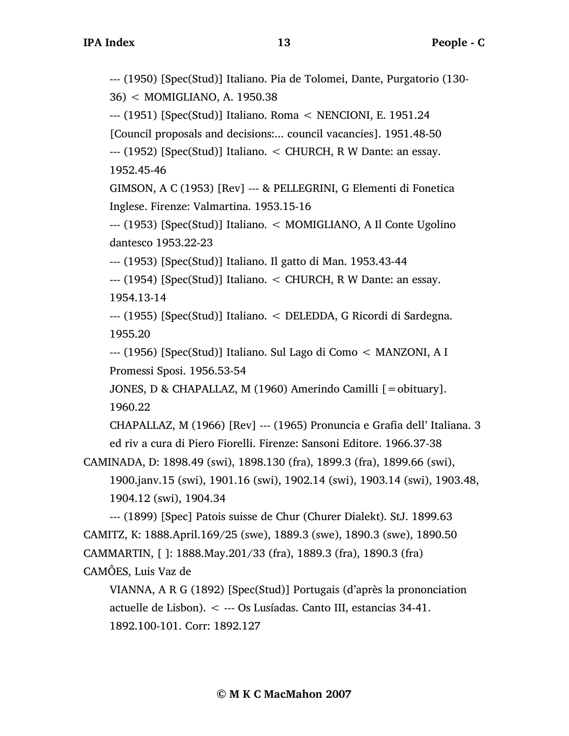--- (1950) [Spec(Stud)] Italiano. Pia de Tolomei, Dante, Purgatorio (130- 36) < MOMIGLIANO, A. 1950.38

--- (1951) [Spec(Stud)] Italiano. Roma < NENCIONI, E. 1951.24

[Council proposals and decisions:... council vacancies]. 1951.48-50

--- (1952) [Spec(Stud)] Italiano. < CHURCH, R W Dante: an essay. 1952.45-46

GIMSON, A C (1953) [Rev] --- & PELLEGRINI, G Elementi di Fonetica Inglese. Firenze: Valmartina. 1953.15-16

--- (1953) [Spec(Stud)] Italiano. < MOMIGLIANO, A Il Conte Ugolino dantesco 1953.22-23

--- (1953) [Spec(Stud)] Italiano. Il gatto di Man. 1953.43-44

--- (1954) [Spec(Stud)] Italiano. < CHURCH, R W Dante: an essay. 1954.13-14

--- (1955) [Spec(Stud)] Italiano. < DELEDDA, G Ricordi di Sardegna. 1955.20

--- (1956) [Spec(Stud)] Italiano. Sul Lago di Como < MANZONI, A I Promessi Sposi. 1956.53-54

JONES, D & CHAPALLAZ, M (1960) Amerindo Camilli [=obituary]. 1960.22

CHAPALLAZ, M (1966) [Rev] --- (1965) Pronuncia e Grafia dell' Italiana. 3 ed riv a cura di Piero Fiorelli. Firenze: Sansoni Editore. 1966.37-38

CAMINADA, D: 1898.49 (swi), 1898.130 (fra), 1899.3 (fra), 1899.66 (swi), 1900.janv.15 (swi), 1901.16 (swi), 1902.14 (swi), 1903.14 (swi), 1903.48, 1904.12 (swi), 1904.34

```
--- (1899) [Spec] Patois suisse de Chur (Churer Dialekt). StJ. 1899.63
CAMITZ, K: 1888.April.169/25 (swe), 1889.3 (swe), 1890.3 (swe), 1890.50
CAMMARTIN, [ ]: 1888.May.201/33 (fra), 1889.3 (fra), 1890.3 (fra)
```
CAMÔES, Luis Vaz de

VIANNA, A R G (1892) [Spec(Stud)] Portugais (d'après la prononciation actuelle de Lisbon). < --- Os Lusíadas. Canto III, estancias 34-41. 1892.100-101. Corr: 1892.127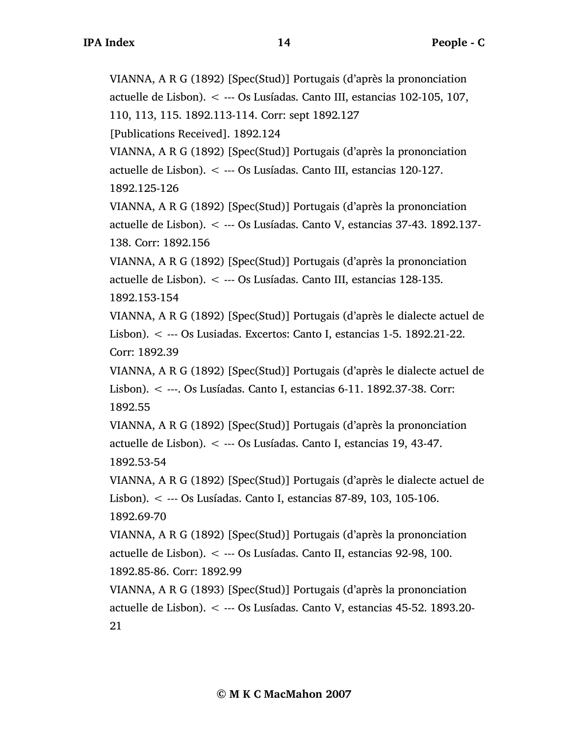VIANNA, A R G (1892) [Spec(Stud)] Portugais (d'après la prononciation actuelle de Lisbon). < --- Os Lusíadas. Canto III, estancias 102-105, 107, 110, 113, 115. 1892.113-114. Corr: sept 1892.127

[Publications Received]. 1892.124

VIANNA, A R G (1892) [Spec(Stud)] Portugais (d'après la prononciation actuelle de Lisbon). < --- Os Lusíadas. Canto III, estancias 120-127. 1892.125-126

VIANNA, A R G (1892) [Spec(Stud)] Portugais (d'après la prononciation actuelle de Lisbon). < --- Os Lusíadas. Canto V, estancias 37-43. 1892.137-

138. Corr: 1892.156

VIANNA, A R G (1892) [Spec(Stud)] Portugais (d'après la prononciation actuelle de Lisbon). < --- Os Lusíadas. Canto III, estancias 128-135. 1892.153-154

VIANNA, A R G (1892) [Spec(Stud)] Portugais (d'après le dialecte actuel de Lisbon). < --- Os Lusiadas. Excertos: Canto I, estancias 1-5. 1892.21-22. Corr: 1892.39

VIANNA, A R G (1892) [Spec(Stud)] Portugais (d'après le dialecte actuel de Lisbon). < ---. Os Lusíadas. Canto I, estancias 6-11. 1892.37-38. Corr: 1892.55

VIANNA, A R G (1892) [Spec(Stud)] Portugais (d'après la prononciation actuelle de Lisbon). < --- Os Lusíadas. Canto I, estancias 19, 43-47. 1892.53-54

VIANNA, A R G (1892) [Spec(Stud)] Portugais (d'après le dialecte actuel de Lisbon). < --- Os Lusíadas. Canto I, estancias 87-89, 103, 105-106. 1892.69-70

VIANNA, A R G (1892) [Spec(Stud)] Portugais (d'après la prononciation actuelle de Lisbon). < --- Os Lusíadas. Canto II, estancias 92-98, 100. 1892.85-86. Corr: 1892.99

VIANNA, A R G (1893) [Spec(Stud)] Portugais (d'après la prononciation actuelle de Lisbon). < --- Os Lusíadas. Canto V, estancias 45-52. 1893.20- 21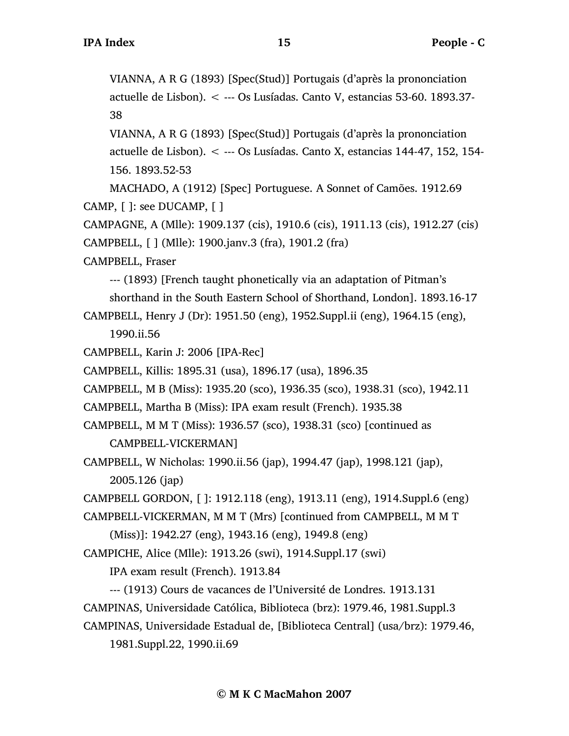VIANNA, A R G (1893) [Spec(Stud)] Portugais (d'après la prononciation actuelle de Lisbon). < --- Os Lusíadas. Canto V, estancias 53-60. 1893.37- 38

VIANNA, A R G (1893) [Spec(Stud)] Portugais (d'après la prononciation actuelle de Lisbon). < --- Os Lusíadas. Canto X, estancias 144-47, 152, 154- 156. 1893.52-53

MACHADO, A (1912) [Spec] Portuguese. A Sonnet of Camões. 1912.69 CAMP, [ ]: see DUCAMP, [ ]

CAMPAGNE, A (Mlle): 1909.137 (cis), 1910.6 (cis), 1911.13 (cis), 1912.27 (cis) CAMPBELL, [ ] (Mlle): 1900.janv.3 (fra), 1901.2 (fra)

CAMPBELL, Fraser

--- (1893) [French taught phonetically via an adaptation of Pitman's

shorthand in the South Eastern School of Shorthand, London]. 1893.16-17

CAMPBELL, Henry J (Dr): 1951.50 (eng), 1952.Suppl.ii (eng), 1964.15 (eng), 1990.ii.56

CAMPBELL, Karin J: 2006 [IPA-Rec]

CAMPBELL, Killis: 1895.31 (usa), 1896.17 (usa), 1896.35

CAMPBELL, M B (Miss): 1935.20 (sco), 1936.35 (sco), 1938.31 (sco), 1942.11

CAMPBELL, Martha B (Miss): IPA exam result (French). 1935.38

CAMPBELL, M M T (Miss): 1936.57 (sco), 1938.31 (sco) [continued as CAMPBELL-VICKERMAN]

CAMPBELL, W Nicholas: 1990.ii.56 (jap), 1994.47 (jap), 1998.121 (jap), 2005.126 (jap)

CAMPBELL GORDON, [ ]: 1912.118 (eng), 1913.11 (eng), 1914.Suppl.6 (eng)

CAMPBELL-VICKERMAN, M M T (Mrs) [continued from CAMPBELL, M M T

(Miss)]: 1942.27 (eng), 1943.16 (eng), 1949.8 (eng)

CAMPICHE, Alice (Mlle): 1913.26 (swi), 1914.Suppl.17 (swi)

IPA exam result (French). 1913.84

--- (1913) Cours de vacances de l'Université de Londres. 1913.131

CAMPINAS, Universidade Católica, Biblioteca (brz): 1979.46, 1981.Suppl.3

CAMPINAS, Universidade Estadual de, [Biblioteca Central] (usa/brz): 1979.46, 1981.Suppl.22, 1990.ii.69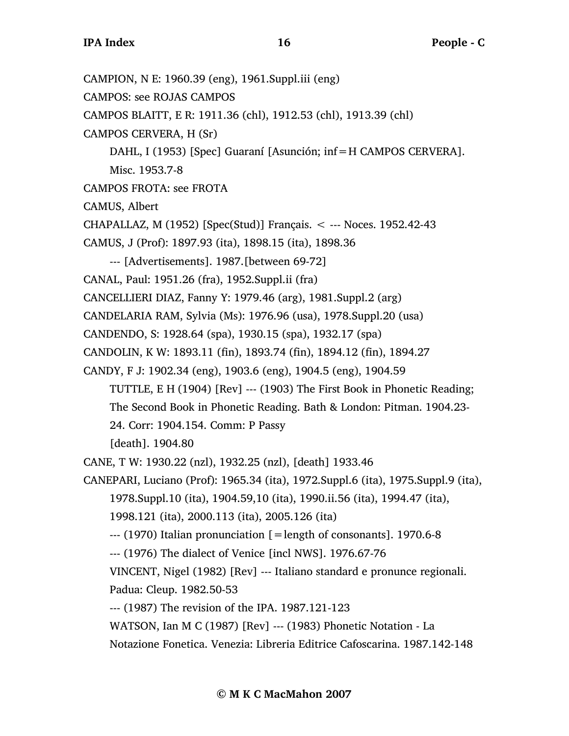CAMPION, N E: 1960.39 (eng), 1961.Suppl.iii (eng) CAMPOS: see ROJAS CAMPOS CAMPOS BLAITT, E R: 1911.36 (chl), 1912.53 (chl), 1913.39 (chl) CAMPOS CERVERA, H (Sr) DAHL, I (1953) [Spec] Guaraní [Asunción; inf=H CAMPOS CERVERA]. Misc. 1953.7-8 CAMPOS FROTA: see FROTA CAMUS, Albert CHAPALLAZ, M (1952) [Spec(Stud)] Français. < --- Noces. 1952.42-43 CAMUS, J (Prof): 1897.93 (ita), 1898.15 (ita), 1898.36 --- [Advertisements]. 1987.[between 69-72] CANAL, Paul: 1951.26 (fra), 1952.Suppl.ii (fra) CANCELLIERI DIAZ, Fanny Y: 1979.46 (arg), 1981.Suppl.2 (arg) CANDELARIA RAM, Sylvia (Ms): 1976.96 (usa), 1978.Suppl.20 (usa) CANDENDO, S: 1928.64 (spa), 1930.15 (spa), 1932.17 (spa) CANDOLIN, K W: 1893.11 (fin), 1893.74 (fin), 1894.12 (fin), 1894.27 CANDY, F J: 1902.34 (eng), 1903.6 (eng), 1904.5 (eng), 1904.59 TUTTLE, E H (1904) [Rev] --- (1903) The First Book in Phonetic Reading; The Second Book in Phonetic Reading. Bath & London: Pitman. 1904.23- 24. Corr: 1904.154. Comm: P Passy [death]. 1904.80 CANE, T W: 1930.22 (nzl), 1932.25 (nzl), [death] 1933.46 CANEPARI, Luciano (Prof): 1965.34 (ita), 1972.Suppl.6 (ita), 1975.Suppl.9 (ita), 1978.Suppl.10 (ita), 1904.59,10 (ita), 1990.ii.56 (ita), 1994.47 (ita), 1998.121 (ita), 2000.113 (ita), 2005.126 (ita)  $-$ --- (1970) Italian pronunciation  $\lceil =$ length of consonants]. 1970.6-8 --- (1976) The dialect of Venice [incl NWS]. 1976.67-76 VINCENT, Nigel (1982) [Rev] --- Italiano standard e pronunce regionali. Padua: Cleup. 1982.50-53 --- (1987) The revision of the IPA. 1987.121-123 WATSON, Ian M C (1987) [Rev] --- (1983) Phonetic Notation - La Notazione Fonetica. Venezia: Libreria Editrice Cafoscarina. 1987.142-148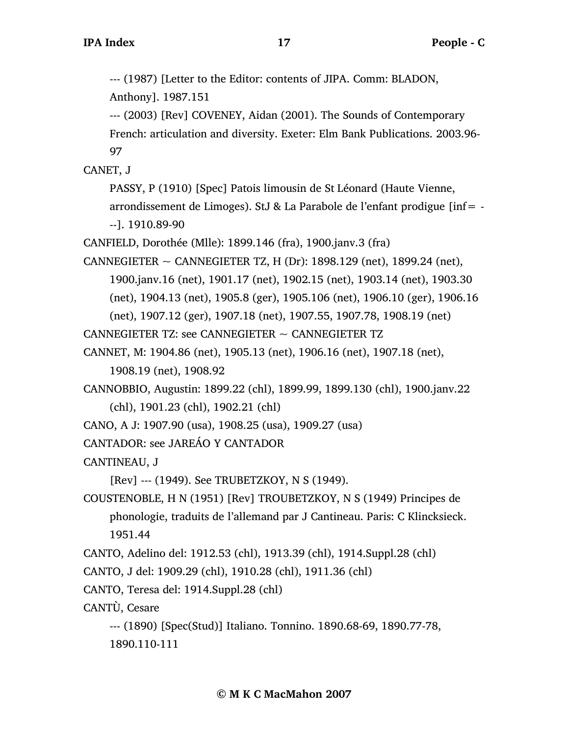--- (1987) [Letter to the Editor: contents of JIPA. Comm: BLADON,

Anthony]. 1987.151

--- (2003) [Rev] COVENEY, Aidan (2001). The Sounds of Contemporary French: articulation and diversity. Exeter: Elm Bank Publications. 2003.96- 97

CANET, J

PASSY, P (1910) [Spec] Patois limousin de St Léonard (Haute Vienne, arrondissement de Limoges). StJ & La Parabole de l'enfant prodigue [inf= - --]. 1910.89-90

CANFIELD, Dorothée (Mlle): 1899.146 (fra), 1900.janv.3 (fra)

CANNEGIETER  $\sim$  CANNEGIETER TZ, H (Dr): 1898.129 (net), 1899.24 (net), 1900.janv.16 (net), 1901.17 (net), 1902.15 (net), 1903.14 (net), 1903.30 (net), 1904.13 (net), 1905.8 (ger), 1905.106 (net), 1906.10 (ger), 1906.16 (net), 1907.12 (ger), 1907.18 (net), 1907.55, 1907.78, 1908.19 (net)

CANNEGIETER TZ: see CANNEGIETER  $\sim$  CANNEGIETER TZ

CANNET, M: 1904.86 (net), 1905.13 (net), 1906.16 (net), 1907.18 (net),

1908.19 (net), 1908.92

CANNOBBIO, Augustin: 1899.22 (chl), 1899.99, 1899.130 (chl), 1900.janv.22 (chl), 1901.23 (chl), 1902.21 (chl)

CANO, A J: 1907.90 (usa), 1908.25 (usa), 1909.27 (usa)

CANTADOR: see JAREÁO Y CANTADOR

CANTINEAU, J

[Rev] --- (1949). See TRUBETZKOY, N S (1949).

COUSTENOBLE, H N (1951) [Rev] TROUBETZKOY, N S (1949) Principes de phonologie, traduits de l'allemand par J Cantineau. Paris: C Klincksieck. 1951.44

CANTO, Adelino del: 1912.53 (chl), 1913.39 (chl), 1914.Suppl.28 (chl)

CANTO, J del: 1909.29 (chl), 1910.28 (chl), 1911.36 (chl)

CANTO, Teresa del: 1914.Suppl.28 (chl)

CANTÙ, Cesare

```
--- (1890) [Spec(Stud)] Italiano. Tonnino. 1890.68-69, 1890.77-78, 
1890.110-111
```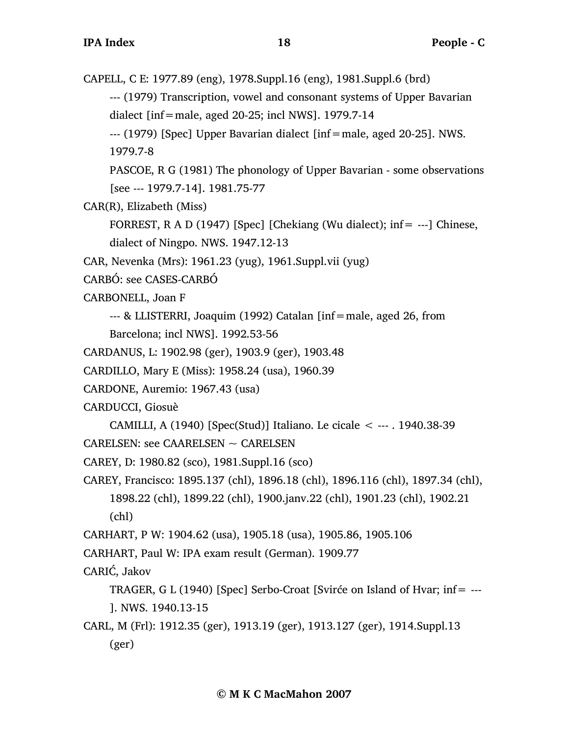CAPELL, C E: 1977.89 (eng), 1978.Suppl.16 (eng), 1981.Suppl.6 (brd)

--- (1979) Transcription, vowel and consonant systems of Upper Bavarian dialect [inf=male, aged 20-25; incl NWS]. 1979.7-14

--- (1979) [Spec] Upper Bavarian dialect [inf=male, aged 20-25]. NWS.

1979.7-8

PASCOE, R G (1981) The phonology of Upper Bavarian - some observations [see --- 1979.7-14]. 1981.75-77

CAR(R), Elizabeth (Miss)

FORREST, R A D (1947) [Spec] [Chekiang (Wu dialect); inf= ---] Chinese, dialect of Ningpo. NWS. 1947.12-13

CAR, Nevenka (Mrs): 1961.23 (yug), 1961.Suppl.vii (yug)

CARBÓ: see CASES-CARBÓ

CARBONELL, Joan F

--- & LLISTERRI, Joaquim (1992) Catalan [inf=male, aged 26, from

Barcelona; incl NWS]. 1992.53-56

CARDANUS, L: 1902.98 (ger), 1903.9 (ger), 1903.48

CARDILLO, Mary E (Miss): 1958.24 (usa), 1960.39

CARDONE, Auremio: 1967.43 (usa)

CARDUCCI, Giosuè

CAMILLI, A (1940) [Spec(Stud)] Italiano. Le cicale < --- . 1940.38-39

CARELSEN: see CAARELSEN ~ CARELSEN

CAREY, D: 1980.82 (sco), 1981.Suppl.16 (sco)

CAREY, Francisco: 1895.137 (chl), 1896.18 (chl), 1896.116 (chl), 1897.34 (chl), 1898.22 (chl), 1899.22 (chl), 1900.janv.22 (chl), 1901.23 (chl), 1902.21 (chl)

CARHART, P W: 1904.62 (usa), 1905.18 (usa), 1905.86, 1905.106

CARHART, Paul W: IPA exam result (German). 1909.77

CARIĆ, Jakov

TRAGER, G L (1940) [Spec] Serbo-Croat [Svirće on Island of Hvar; inf= --- ]. NWS. 1940.13-15

CARL, M (Frl): 1912.35 (ger), 1913.19 (ger), 1913.127 (ger), 1914.Suppl.13 (ger)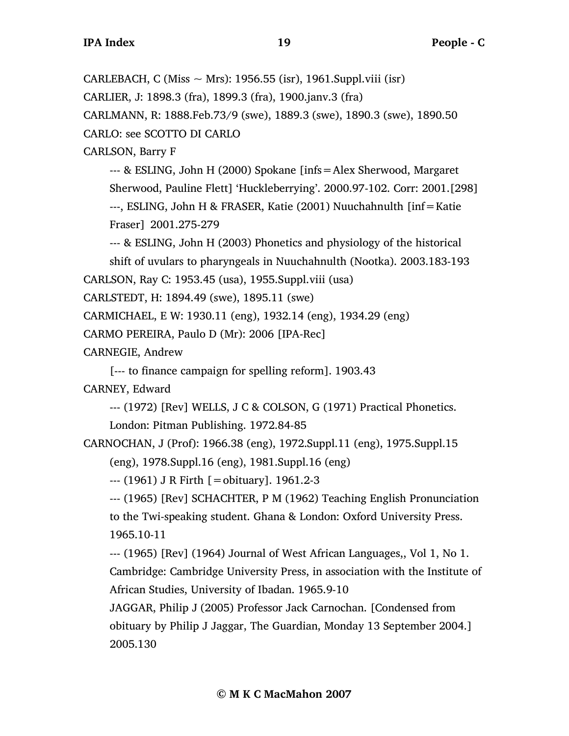CARLEBACH, C (Miss  $\sim$  Mrs): 1956.55 (isr), 1961.Suppl.viii (isr)

CARLIER, J: 1898.3 (fra), 1899.3 (fra), 1900.janv.3 (fra)

CARLMANN, R: 1888.Feb.73/9 (swe), 1889.3 (swe), 1890.3 (swe), 1890.50

CARLO: see SCOTTO DI CARLO

CARLSON, Barry F

--- & ESLING, John H (2000) Spokane [infs=Alex Sherwood, Margaret Sherwood, Pauline Flett] 'Huckleberrying'. 2000.97-102. Corr: 2001.[298] ---, ESLING, John H & FRASER, Katie (2001) Nuuchahnulth [inf=Katie Fraser] 2001.275-279

--- & ESLING, John H (2003) Phonetics and physiology of the historical shift of uvulars to pharyngeals in Nuuchahnulth (Nootka). 2003.183-193

CARLSON, Ray C: 1953.45 (usa), 1955.Suppl.viii (usa)

CARLSTEDT, H: 1894.49 (swe), 1895.11 (swe)

CARMICHAEL, E W: 1930.11 (eng), 1932.14 (eng), 1934.29 (eng)

CARMO PEREIRA, Paulo D (Mr): 2006 [IPA-Rec]

CARNEGIE, Andrew

[--- to finance campaign for spelling reform]. 1903.43

CARNEY, Edward

--- (1972) [Rev] WELLS, J C & COLSON, G (1971) Practical Phonetics.

London: Pitman Publishing. 1972.84-85

CARNOCHAN, J (Prof): 1966.38 (eng), 1972.Suppl.11 (eng), 1975.Suppl.15

(eng), 1978.Suppl.16 (eng), 1981.Suppl.16 (eng)

--- (1961) J R Firth [=obituary]. 1961.2-3

--- (1965) [Rev] SCHACHTER, P M (1962) Teaching English Pronunciation to the Twi-speaking student. Ghana & London: Oxford University Press. 1965.10-11

--- (1965) [Rev] (1964) Journal of West African Languages,, Vol 1, No 1. Cambridge: Cambridge University Press, in association with the Institute of African Studies, University of Ibadan. 1965.9-10

JAGGAR, Philip J (2005) Professor Jack Carnochan. [Condensed from obituary by Philip J Jaggar, The Guardian, Monday 13 September 2004.] 2005.130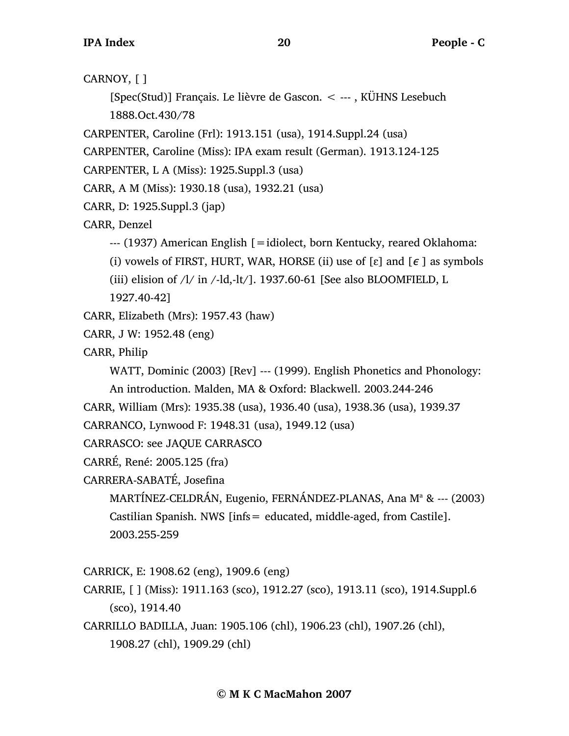```
CARNOY, [ ]
```
[Spec(Stud)] Français. Le lièvre de Gascon. < --- , KÜHNS Lesebuch 1888.Oct.430/78

```
CARPENTER, Caroline (Frl): 1913.151 (usa), 1914.Suppl.24 (usa)
```
CARPENTER, Caroline (Miss): IPA exam result (German). 1913.124-125

CARPENTER, L A (Miss): 1925.Suppl.3 (usa)

CARR, A M (Miss): 1930.18 (usa), 1932.21 (usa)

CARR, D: 1925.Suppl.3 (jap)

CARR, Denzel

```
--- (1937) American English [=idiolect, born Kentucky, reared Oklahoma:
```
(i) vowels of FIRST, HURT, WAR, HORSE (ii) use of  $\lceil \varepsilon \rceil$  and  $\lceil \varepsilon \rceil$  as symbols

(iii) elision of  $\lambda$  in  $\lambda$ -ld,-lt $\lambda$ ]. 1937.60-61 [See also BLOOMFIELD, L

1927.40-42]

- CARR, Elizabeth (Mrs): 1957.43 (haw)
- CARR, J W: 1952.48 (eng)
- CARR, Philip

WATT, Dominic (2003) [Rev] --- (1999). English Phonetics and Phonology:

An introduction. Malden, MA & Oxford: Blackwell. 2003.244-246

CARR, William (Mrs): 1935.38 (usa), 1936.40 (usa), 1938.36 (usa), 1939.37

```
CARRANCO, Lynwood F: 1948.31 (usa), 1949.12 (usa)
```
CARRASCO: see JAQUE CARRASCO

```
CARRÉ, René: 2005.125 (fra)
```

```
CARRERA-SABATÉ, Josefina
```
MARTÍNEZ-CELDRÁN, Eugenio, FERNÁNDEZ-PLANAS, Ana M<sup>a</sup> & --- (2003) Castilian Spanish. NWS [infs= educated, middle-aged, from Castile]. 2003.255-259

CARRICK, E: 1908.62 (eng), 1909.6 (eng)

CARRIE, [ ] (Miss): 1911.163 (sco), 1912.27 (sco), 1913.11 (sco), 1914.Suppl.6 (sco), 1914.40

CARRILLO BADILLA, Juan: 1905.106 (chl), 1906.23 (chl), 1907.26 (chl), 1908.27 (chl), 1909.29 (chl)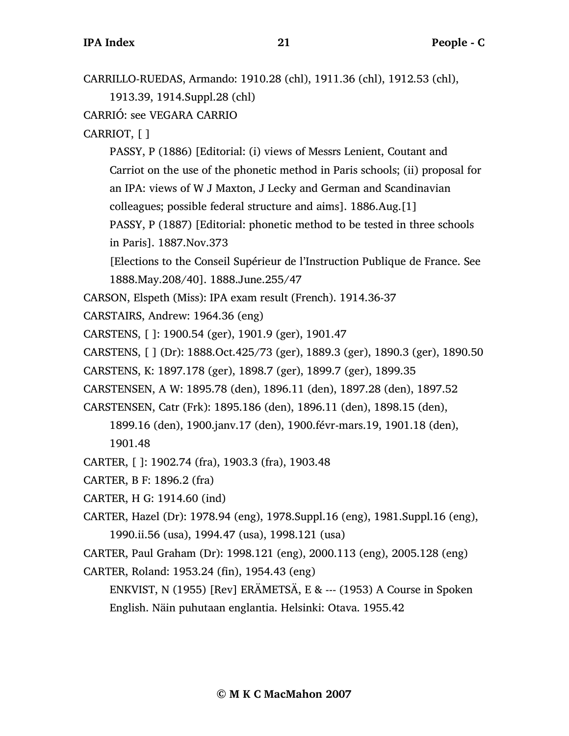| CARRILLO-RUEDAS, Armando: 1910.28 (chl), 1911.36 (chl), 1912.53 (chl),         |
|--------------------------------------------------------------------------------|
| 1913.39, 1914.Suppl.28 (chl)                                                   |
| CARRIÓ: see VEGARA CARRIO                                                      |
| CARRIOT, [ ]                                                                   |
| PASSY, P (1886) [Editorial: (i) views of Messrs Lenient, Coutant and           |
| Carriot on the use of the phonetic method in Paris schools; (ii) proposal for  |
| an IPA: views of W J Maxton, J Lecky and German and Scandinavian               |
| colleagues; possible federal structure and aims]. 1886.Aug.[1]                 |
| PASSY, P (1887) [Editorial: phonetic method to be tested in three schools      |
| in Paris]. 1887. Nov. 373                                                      |
| [Elections to the Conseil Supérieur de l'Instruction Publique de France. See   |
| 1888. May. 208/40]. 1888. June. 255/47                                         |
| CARSON, Elspeth (Miss): IPA exam result (French). 1914.36-37                   |
| CARSTAIRS, Andrew: 1964.36 (eng)                                               |
| CARSTENS, []: 1900.54 (ger), 1901.9 (ger), 1901.47                             |
| CARSTENS, [ ] (Dr): 1888.Oct.425/73 (ger), 1889.3 (ger), 1890.3 (ger), 1890.50 |
| CARSTENS, K: 1897.178 (ger), 1898.7 (ger), 1899.7 (ger), 1899.35               |
| CARSTENSEN, A W: 1895.78 (den), 1896.11 (den), 1897.28 (den), 1897.52          |
| CARSTENSEN, Catr (Frk): 1895.186 (den), 1896.11 (den), 1898.15 (den),          |
| 1899.16 (den), 1900.janv.17 (den), 1900.févr-mars.19, 1901.18 (den),           |
| 1901.48                                                                        |
| CARTER, []: 1902.74 (fra), 1903.3 (fra), 1903.48                               |
| CARTER, B F: 1896.2 (fra)                                                      |
| CARTER, H G: 1914.60 (ind)                                                     |
| CARTER, Hazel (Dr): 1978.94 (eng), 1978.Suppl.16 (eng), 1981.Suppl.16 (eng),   |
| 1990.ii.56 (usa), 1994.47 (usa), 1998.121 (usa)                                |
| CARTER, Paul Graham (Dr): 1998.121 (eng), 2000.113 (eng), 2005.128 (eng)       |
| CARTER, Roland: 1953.24 (fin), 1954.43 (eng)                                   |
| ENKVIST, N (1955) [Rev] ERÄMETSÄ, E & --- (1953) A Course in Spoken            |
| English. Näin puhutaan englantia. Helsinki: Otava. 1955.42                     |
|                                                                                |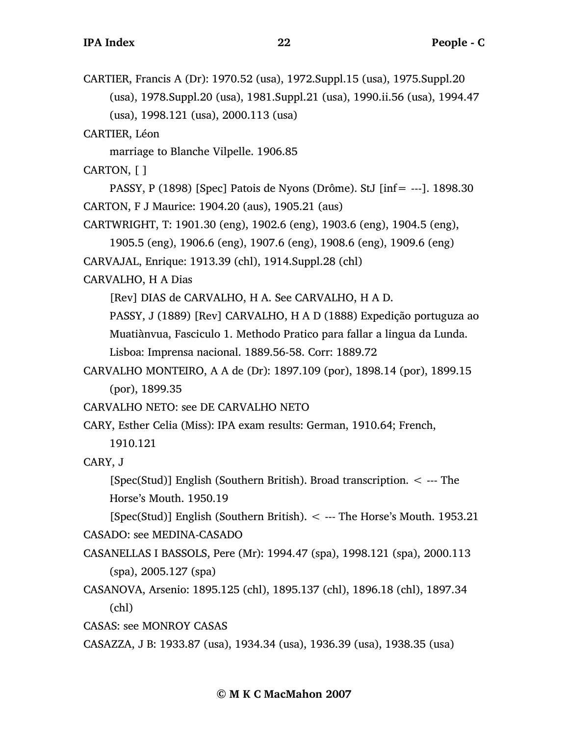CARTIER, Francis A (Dr): 1970.52 (usa), 1972.Suppl.15 (usa), 1975.Suppl.20 (usa), 1978.Suppl.20 (usa), 1981.Suppl.21 (usa), 1990.ii.56 (usa), 1994.47 (usa), 1998.121 (usa), 2000.113 (usa)

CARTIER, Léon

marriage to Blanche Vilpelle. 1906.85

CARTON, [ ]

PASSY, P (1898) [Spec] Patois de Nyons (Drôme). StJ [inf= ---]. 1898.30 CARTON, F J Maurice: 1904.20 (aus), 1905.21 (aus)

CARTWRIGHT, T: 1901.30 (eng), 1902.6 (eng), 1903.6 (eng), 1904.5 (eng),

1905.5 (eng), 1906.6 (eng), 1907.6 (eng), 1908.6 (eng), 1909.6 (eng)

CARVAJAL, Enrique: 1913.39 (chl), 1914.Suppl.28 (chl)

CARVALHO, H A Dias

[Rev] DIAS de CARVALHO, H A. See CARVALHO, H A D.

PASSY, J (1889) [Rev] CARVALHO, H A D (1888) Expedição portuguza ao Muatiànvua, Fasciculo 1. Methodo Pratico para fallar a lingua da Lunda.

Lisboa: Imprensa nacional. 1889.56-58. Corr: 1889.72

CARVALHO MONTEIRO, A A de (Dr): 1897.109 (por), 1898.14 (por), 1899.15 (por), 1899.35

CARVALHO NETO: see DE CARVALHO NETO

CARY, Esther Celia (Miss): IPA exam results: German, 1910.64; French,

1910.121

CARY, J

[Spec(Stud)] English (Southern British). Broad transcription. < --- The Horse's Mouth. 1950.19

[Spec(Stud)] English (Southern British).  $\lt$  --- The Horse's Mouth. 1953.21 CASADO: see MEDINA-CASADO

CASANELLAS I BASSOLS, Pere (Mr): 1994.47 (spa), 1998.121 (spa), 2000.113 (spa), 2005.127 (spa)

CASANOVA, Arsenio: 1895.125 (chl), 1895.137 (chl), 1896.18 (chl), 1897.34 (chl)

CASAS: see MONROY CASAS

CASAZZA, J B: 1933.87 (usa), 1934.34 (usa), 1936.39 (usa), 1938.35 (usa)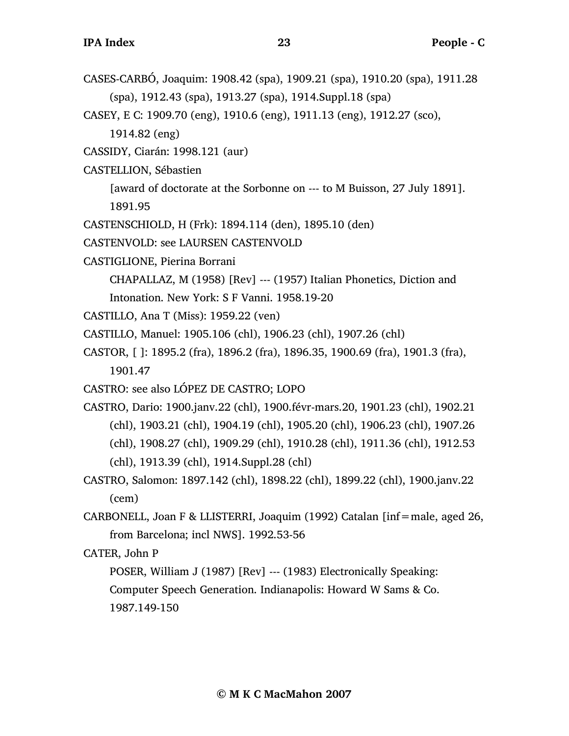- CASES-CARBÓ, Joaquim: 1908.42 (spa), 1909.21 (spa), 1910.20 (spa), 1911.28 (spa), 1912.43 (spa), 1913.27 (spa), 1914.Suppl.18 (spa)
- CASEY, E C: 1909.70 (eng), 1910.6 (eng), 1911.13 (eng), 1912.27 (sco),

1914.82 (eng)

CASSIDY, Ciarán: 1998.121 (aur)

CASTELLION, Sébastien

[award of doctorate at the Sorbonne on --- to M Buisson, 27 July 1891]. 1891.95

CASTENSCHIOLD, H (Frk): 1894.114 (den), 1895.10 (den)

CASTENVOLD: see LAURSEN CASTENVOLD

CASTIGLIONE, Pierina Borrani

CHAPALLAZ, M (1958) [Rev] --- (1957) Italian Phonetics, Diction and

Intonation. New York: S F Vanni. 1958.19-20

- CASTILLO, Ana T (Miss): 1959.22 (ven)
- CASTILLO, Manuel: 1905.106 (chl), 1906.23 (chl), 1907.26 (chl)
- CASTOR, [ ]: 1895.2 (fra), 1896.2 (fra), 1896.35, 1900.69 (fra), 1901.3 (fra), 1901.47
- CASTRO: see also LÓPEZ DE CASTRO; LOPO
- CASTRO, Dario: 1900.janv.22 (chl), 1900.févr-mars.20, 1901.23 (chl), 1902.21 (chl), 1903.21 (chl), 1904.19 (chl), 1905.20 (chl), 1906.23 (chl), 1907.26 (chl), 1908.27 (chl), 1909.29 (chl), 1910.28 (chl), 1911.36 (chl), 1912.53 (chl), 1913.39 (chl), 1914.Suppl.28 (chl)
- CASTRO, Salomon: 1897.142 (chl), 1898.22 (chl), 1899.22 (chl), 1900.janv.22 (cem)
- CARBONELL, Joan F & LLISTERRI, Joaquim (1992) Catalan [inf=male, aged 26, from Barcelona; incl NWS]. 1992.53-56

CATER, John P

POSER, William J (1987) [Rev] --- (1983) Electronically Speaking: Computer Speech Generation. Indianapolis: Howard W Sams & Co. 1987.149-150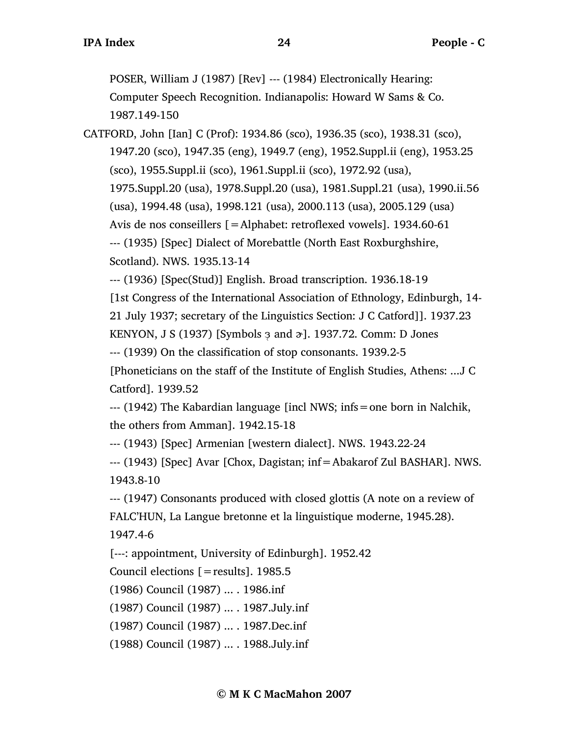POSER, William J (1987) [Rev] --- (1984) Electronically Hearing: Computer Speech Recognition. Indianapolis: Howard W Sams & Co. 1987.149-150

CATFORD, John [Ian] C (Prof): 1934.86 (sco), 1936.35 (sco), 1938.31 (sco), 1947.20 (sco), 1947.35 (eng), 1949.7 (eng), 1952.Suppl.ii (eng), 1953.25 (sco), 1955.Suppl.ii (sco), 1961.Suppl.ii (sco), 1972.92 (usa), 1975.Suppl.20 (usa), 1978.Suppl.20 (usa), 1981.Suppl.21 (usa), 1990.ii.56 (usa), 1994.48 (usa), 1998.121 (usa), 2000.113 (usa), 2005.129 (usa) Avis de nos conseillers [=Alphabet: retroflexed vowels]. 1934.60-61 --- (1935) [Spec] Dialect of Morebattle (North East Roxburghshire, Scotland). NWS. 1935.13-14

--- (1936) [Spec(Stud)] English. Broad transcription. 1936.18-19

[1st Congress of the International Association of Ethnology, Edinburgh, 14-

21 July 1937; secretary of the Linguistics Section: J C Catford]]. 1937.23

KENYON, J S (1937) [Symbols  $\alpha$  and  $\alpha$ ]. 1937.72. Comm: D Jones

--- (1939) On the classification of stop consonants. 1939.2-5

[Phoneticians on the staff of the Institute of English Studies, Athens: ...J C Catford]. 1939.52

--- (1942) The Kabardian language [incl NWS; infs=one born in Nalchik, the others from Amman]. 1942.15-18

--- (1943) [Spec] Armenian [western dialect]. NWS. 1943.22-24

--- (1943) [Spec] Avar [Chox, Dagistan; inf=Abakarof Zul BASHAR]. NWS. 1943.8-10

--- (1947) Consonants produced with closed glottis (A note on a review of FALC'HUN, La Langue bretonne et la linguistique moderne, 1945.28). 1947.4-6

[---: appointment, University of Edinburgh]. 1952.42

Council elections  $[=$  results]. 1985.5

(1986) Council (1987) ... . 1986.inf

(1987) Council (1987) ... . 1987.July.inf

(1987) Council (1987) ... . 1987.Dec.inf

(1988) Council (1987) ... . 1988.July.inf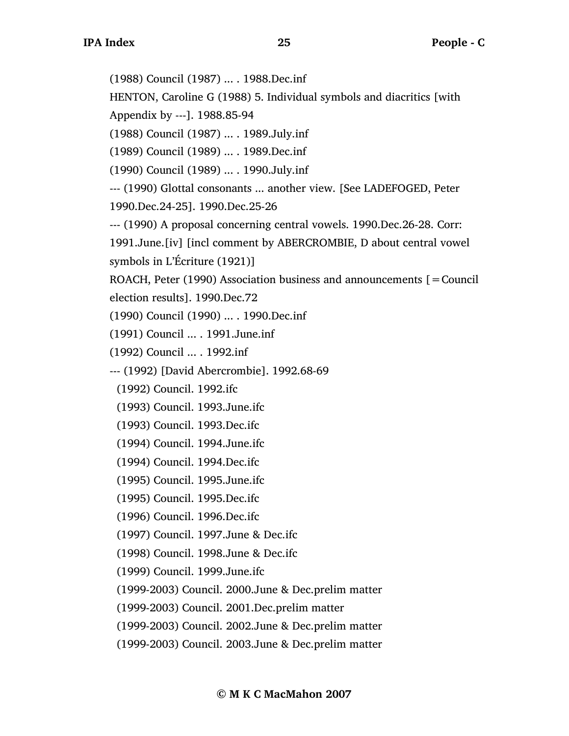(1988) Council (1987) ... . 1988.Dec.inf

HENTON, Caroline G (1988) 5. Individual symbols and diacritics [with

Appendix by ---]. 1988.85-94

(1988) Council (1987) ... . 1989.July.inf

(1989) Council (1989) ... . 1989.Dec.inf

(1990) Council (1989) ... . 1990.July.inf

--- (1990) Glottal consonants ... another view. [See LADEFOGED, Peter

1990.Dec.24-25]. 1990.Dec.25-26

--- (1990) A proposal concerning central vowels. 1990.Dec.26-28. Corr:

1991.June.[iv] [incl comment by ABERCROMBIE, D about central vowel symbols in L'Écriture (1921)]

ROACH, Peter (1990) Association business and announcements  $\mathbf{r} =$  Council election results]. 1990.Dec.72

(1990) Council (1990) ... . 1990.Dec.inf

(1991) Council ... . 1991.June.inf

(1992) Council ... . 1992.inf

--- (1992) [David Abercrombie]. 1992.68-69

(1992) Council. 1992.ifc

(1993) Council. 1993.June.ifc

(1993) Council. 1993.Dec.ifc

(1994) Council. 1994.June.ifc

(1994) Council. 1994.Dec.ifc

(1995) Council. 1995.June.ifc

- (1995) Council. 1995.Dec.ifc
- (1996) Council. 1996.Dec.ifc

(1997) Council. 1997.June & Dec.ifc

(1998) Council. 1998.June & Dec.ifc

(1999) Council. 1999.June.ifc

(1999-2003) Council. 2000.June & Dec.prelim matter

(1999-2003) Council. 2001.Dec.prelim matter

(1999-2003) Council. 2002.June & Dec.prelim matter

(1999-2003) Council. 2003.June & Dec.prelim matter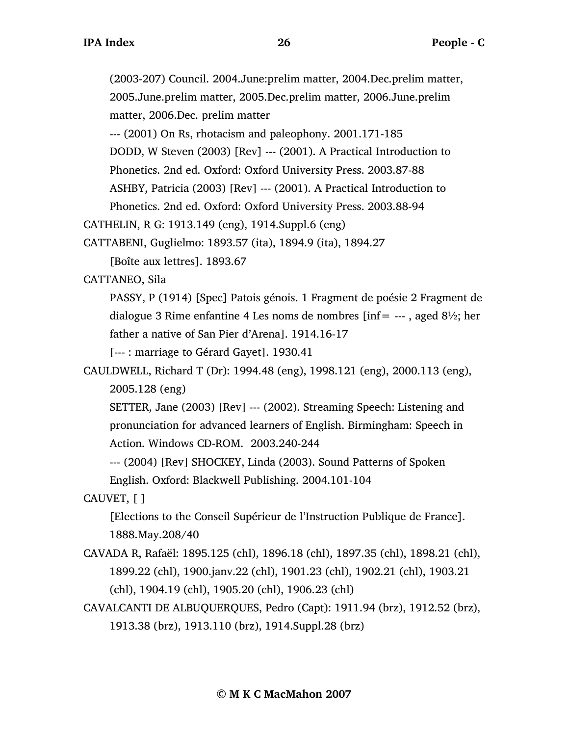(2003-207) Council. 2004.June:prelim matter, 2004.Dec.prelim matter, 2005.June.prelim matter, 2005.Dec.prelim matter, 2006.June.prelim matter, 2006.Dec. prelim matter

--- (2001) On Rs, rhotacism and paleophony. 2001.171-185

DODD, W Steven (2003) [Rev] --- (2001). A Practical Introduction to

Phonetics. 2nd ed. Oxford: Oxford University Press. 2003.87-88

ASHBY, Patricia (2003) [Rev] --- (2001). A Practical Introduction to

Phonetics. 2nd ed. Oxford: Oxford University Press. 2003.88-94

```
CATHELIN, R G: 1913.149 (eng), 1914.Suppl.6 (eng)
```
CATTABENI, Guglielmo: 1893.57 (ita), 1894.9 (ita), 1894.27

[Boîte aux lettres]. 1893.67

CATTANEO, Sila

PASSY, P (1914) [Spec] Patois génois. 1 Fragment de poésie 2 Fragment de dialogue 3 Rime enfantine 4 Les noms de nombres [inf=  $--$ , aged 8½; her father a native of San Pier d'Arena]. 1914.16-17

[--- : marriage to Gérard Gayet]. 1930.41

CAULDWELL, Richard T (Dr): 1994.48 (eng), 1998.121 (eng), 2000.113 (eng), 2005.128 (eng)

SETTER, Jane (2003) [Rev] --- (2002). Streaming Speech: Listening and pronunciation for advanced learners of English. Birmingham: Speech in Action. Windows CD-ROM. 2003.240-244

--- (2004) [Rev] SHOCKEY, Linda (2003). Sound Patterns of Spoken English. Oxford: Blackwell Publishing. 2004.101-104

CAUVET, [ ]

[Elections to the Conseil Supérieur de l'Instruction Publique de France]. 1888.May.208/40

- CAVADA R, Rafaël: 1895.125 (chl), 1896.18 (chl), 1897.35 (chl), 1898.21 (chl), 1899.22 (chl), 1900.janv.22 (chl), 1901.23 (chl), 1902.21 (chl), 1903.21 (chl), 1904.19 (chl), 1905.20 (chl), 1906.23 (chl)
- CAVALCANTI DE ALBUQUERQUES, Pedro (Capt): 1911.94 (brz), 1912.52 (brz), 1913.38 (brz), 1913.110 (brz), 1914.Suppl.28 (brz)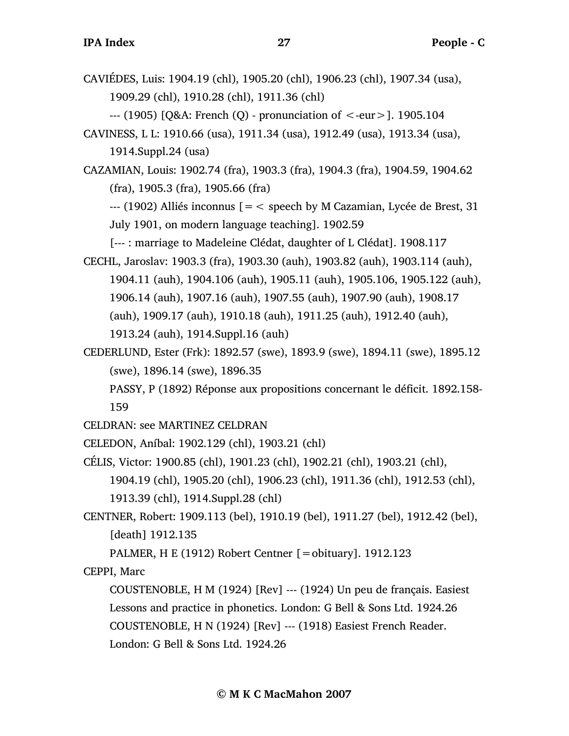CAVIÉDES, Luis: 1904.19 (chl), 1905.20 (chl), 1906.23 (chl), 1907.34 (usa), 1909.29 (chl), 1910.28 (chl), 1911.36 (chl)

--- (1905) [Q&A: French (Q) - pronunciation of <-eur>]. 1905.104

CAVINESS, L L: 1910.66 (usa), 1911.34 (usa), 1912.49 (usa), 1913.34 (usa), 1914.Suppl.24 (usa)

CAZAMIAN, Louis: 1902.74 (fra), 1903.3 (fra), 1904.3 (fra), 1904.59, 1904.62 (fra), 1905.3 (fra), 1905.66 (fra)

 $-$ --- (1902) Alliés inconnus  $z =$  speech by M Cazamian, Lycée de Brest, 31 July 1901, on modern language teaching]. 1902.59

[--- : marriage to Madeleine Clédat, daughter of L Clédat]. 1908.117

- CECHL, Jaroslav: 1903.3 (fra), 1903.30 (auh), 1903.82 (auh), 1903.114 (auh), 1904.11 (auh), 1904.106 (auh), 1905.11 (auh), 1905.106, 1905.122 (auh), 1906.14 (auh), 1907.16 (auh), 1907.55 (auh), 1907.90 (auh), 1908.17 (auh), 1909.17 (auh), 1910.18 (auh), 1911.25 (auh), 1912.40 (auh), 1913.24 (auh), 1914.Suppl.16 (auh)
- CEDERLUND, Ester (Frk): 1892.57 (swe), 1893.9 (swe), 1894.11 (swe), 1895.12 (swe), 1896.14 (swe), 1896.35

PASSY, P (1892) Réponse aux propositions concernant le déficit. 1892.158- 159

CELDRAN: see MARTINEZ CELDRAN

CELEDON, Aníbal: 1902.129 (chl), 1903.21 (chl)

CÉLIS, Victor: 1900.85 (chl), 1901.23 (chl), 1902.21 (chl), 1903.21 (chl),

1904.19 (chl), 1905.20 (chl), 1906.23 (chl), 1911.36 (chl), 1912.53 (chl), 1913.39 (chl), 1914.Suppl.28 (chl)

CENTNER, Robert: 1909.113 (bel), 1910.19 (bel), 1911.27 (bel), 1912.42 (bel), [death] 1912.135

PALMER, H E (1912) Robert Centner  $[=$ obituary]. 1912.123

CEPPI, Marc

COUSTENOBLE, H M (1924) [Rev] --- (1924) Un peu de français. Easiest Lessons and practice in phonetics. London: G Bell & Sons Ltd. 1924.26 COUSTENOBLE, H N (1924) [Rev] --- (1918) Easiest French Reader. London: G Bell & Sons Ltd. 1924.26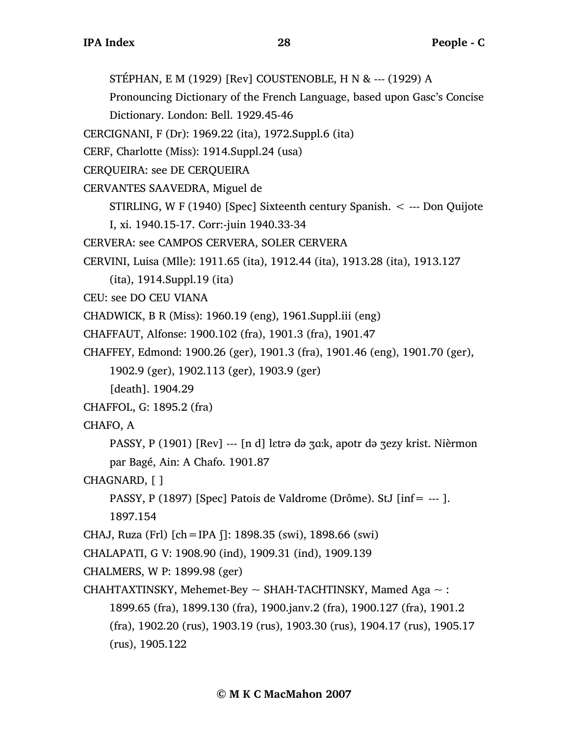STÉPHAN, E M (1929) [Rev] COUSTENOBLE, H N & --- (1929) A

Pronouncing Dictionary of the French Language, based upon Gasc's Concise

Dictionary. London: Bell. 1929.45-46

CERCIGNANI, F (Dr): 1969.22 (ita), 1972.Suppl.6 (ita)

CERF, Charlotte (Miss): 1914.Suppl.24 (usa)

CERQUEIRA: see DE CERQUEIRA

CERVANTES SAAVEDRA, Miguel de

STIRLING, W F (1940) [Spec] Sixteenth century Spanish. < --- Don Quijote

I, xi. 1940.15-17. Corr:-juin 1940.33-34

CERVERA: see CAMPOS CERVERA, SOLER CERVERA

CERVINI, Luisa (Mlle): 1911.65 (ita), 1912.44 (ita), 1913.28 (ita), 1913.127

(ita), 1914.Suppl.19 (ita)

CEU: see DO CEU VIANA

CHADWICK, B R (Miss): 1960.19 (eng), 1961.Suppl.iii (eng)

CHAFFAUT, Alfonse: 1900.102 (fra), 1901.3 (fra), 1901.47

CHAFFEY, Edmond: 1900.26 (ger), 1901.3 (fra), 1901.46 (eng), 1901.70 (ger),

1902.9 (ger), 1902.113 (ger), 1903.9 (ger)

[death]. 1904.29

```
CHAFFOL, G: 1895.2 (fra)
```
CHAFO, A

PASSY, P (1901) [Rev] --- [n d] lɛtrə də ʒɑ…k, apotr də ʒezy krist. Nièrmon par Bagé, Ain: A Chafo. 1901.87

CHAGNARD, [ ]

PASSY, P (1897) [Spec] Patois de Valdrome (Drôme). StJ [inf= --- ].

1897.154

CHAJ, Ruza (Frl) [ch=IPA ʃ]: 1898.35 (swi), 1898.66 (swi)

CHALAPATI, G V: 1908.90 (ind), 1909.31 (ind), 1909.139

CHALMERS, W P: 1899.98 (ger)

CHAHTAXTINSKY, Mehemet-Bey  $\sim$  SHAH-TACHTINSKY, Mamed Aga  $\sim$  :

1899.65 (fra), 1899.130 (fra), 1900.janv.2 (fra), 1900.127 (fra), 1901.2

(fra), 1902.20 (rus), 1903.19 (rus), 1903.30 (rus), 1904.17 (rus), 1905.17

(rus), 1905.122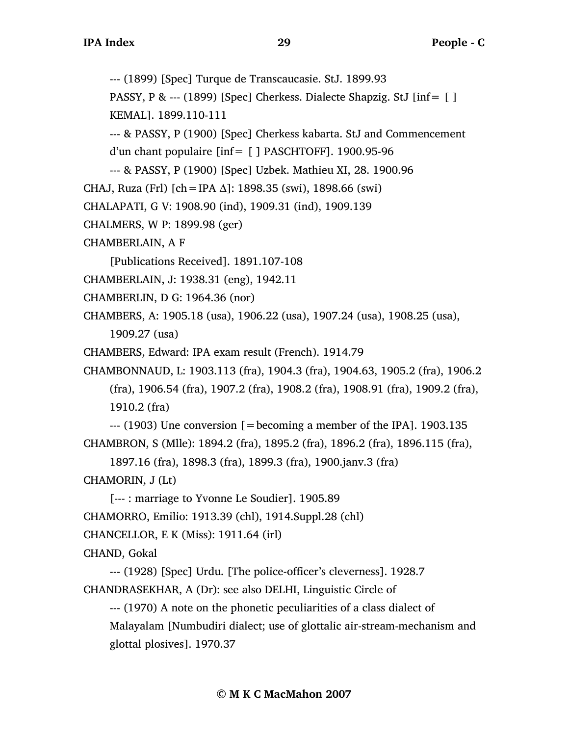--- (1899) [Spec] Turque de Transcaucasie. StJ. 1899.93

PASSY, P & --- (1899) [Spec] Cherkess. Dialecte Shapzig. StJ [inf= [ ]

```
KEMAL]. 1899.110-111
```
--- & PASSY, P (1900) [Spec] Cherkess kabarta. StJ and Commencement

```
d'un chant populaire [inf= [ ] PASCHTOFF]. 1900.95-96
```
--- & PASSY, P (1900) [Spec] Uzbek. Mathieu XI, 28. 1900.96

```
CHAJ, Ruza (Frl) [ch = IPA \Delta]: 1898.35 (swi), 1898.66 (swi)
```
CHALAPATI, G V: 1908.90 (ind), 1909.31 (ind), 1909.139

```
CHALMERS, W P: 1899.98 (ger)
```
CHAMBERLAIN, A F

[Publications Received]. 1891.107-108

CHAMBERLAIN, J: 1938.31 (eng), 1942.11

```
CHAMBERLIN, D G: 1964.36 (nor)
```
CHAMBERS, A: 1905.18 (usa), 1906.22 (usa), 1907.24 (usa), 1908.25 (usa), 1909.27 (usa)

```
CHAMBERS, Edward: IPA exam result (French). 1914.79
```
CHAMBONNAUD, L: 1903.113 (fra), 1904.3 (fra), 1904.63, 1905.2 (fra), 1906.2 (fra), 1906.54 (fra), 1907.2 (fra), 1908.2 (fra), 1908.91 (fra), 1909.2 (fra), 1910.2 (fra)

 $-$ -- $(1903)$  Une conversion  $[=$  becoming a member of the IPA]. 1903.135 CHAMBRON, S (Mlle): 1894.2 (fra), 1895.2 (fra), 1896.2 (fra), 1896.115 (fra),

1897.16 (fra), 1898.3 (fra), 1899.3 (fra), 1900.janv.3 (fra)

CHAMORIN, J (Lt)

[--- : marriage to Yvonne Le Soudier]. 1905.89

CHAMORRO, Emilio: 1913.39 (chl), 1914.Suppl.28 (chl)

```
CHANCELLOR, E K (Miss): 1911.64 (irl)
```
CHAND, Gokal

--- (1928) [Spec] Urdu. [The police-officer's cleverness]. 1928.7 CHANDRASEKHAR, A (Dr): see also DELHI, Linguistic Circle of

--- (1970) A note on the phonetic peculiarities of a class dialect of Malayalam [Numbudiri dialect; use of glottalic air-stream-mechanism and glottal plosives]. 1970.37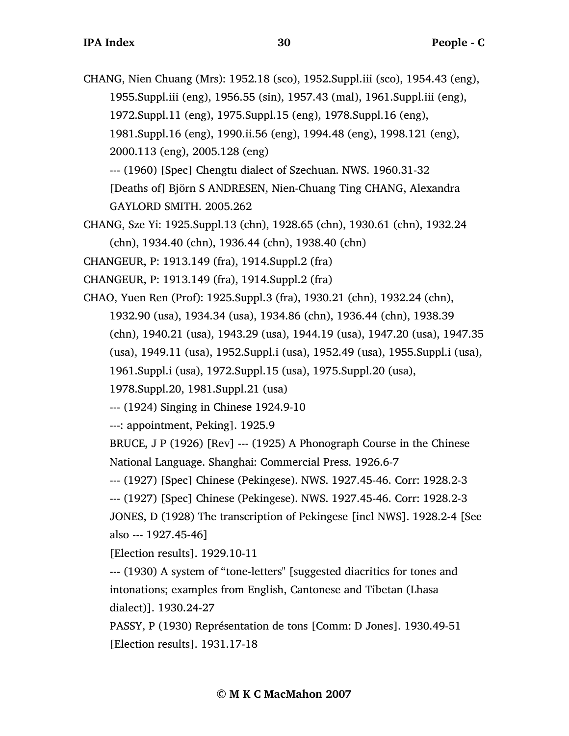CHANG, Nien Chuang (Mrs): 1952.18 (sco), 1952.Suppl.iii (sco), 1954.43 (eng), 1955.Suppl.iii (eng), 1956.55 (sin), 1957.43 (mal), 1961.Suppl.iii (eng), 1972.Suppl.11 (eng), 1975.Suppl.15 (eng), 1978.Suppl.16 (eng), 1981.Suppl.16 (eng), 1990.ii.56 (eng), 1994.48 (eng), 1998.121 (eng), 2000.113 (eng), 2005.128 (eng) --- (1960) [Spec] Chengtu dialect of Szechuan. NWS. 1960.31-32

[Deaths of] Björn S ANDRESEN, Nien-Chuang Ting CHANG, Alexandra GAYLORD SMITH. 2005.262

CHANG, Sze Yi: 1925.Suppl.13 (chn), 1928.65 (chn), 1930.61 (chn), 1932.24 (chn), 1934.40 (chn), 1936.44 (chn), 1938.40 (chn)

CHANGEUR, P: 1913.149 (fra), 1914.Suppl.2 (fra)

- CHANGEUR, P: 1913.149 (fra), 1914.Suppl.2 (fra)
- CHAO, Yuen Ren (Prof): 1925.Suppl.3 (fra), 1930.21 (chn), 1932.24 (chn), 1932.90 (usa), 1934.34 (usa), 1934.86 (chn), 1936.44 (chn), 1938.39 (chn), 1940.21 (usa), 1943.29 (usa), 1944.19 (usa), 1947.20 (usa), 1947.35 (usa), 1949.11 (usa), 1952.Suppl.i (usa), 1952.49 (usa), 1955.Suppl.i (usa), 1961.Suppl.i (usa), 1972.Suppl.15 (usa), 1975.Suppl.20 (usa),

1978.Suppl.20, 1981.Suppl.21 (usa)

--- (1924) Singing in Chinese 1924.9-10

---: appointment, Peking]. 1925.9

BRUCE, J P (1926) [Rev] --- (1925) A Phonograph Course in the Chinese National Language. Shanghai: Commercial Press. 1926.6-7

--- (1927) [Spec] Chinese (Pekingese). NWS. 1927.45-46. Corr: 1928.2-3

--- (1927) [Spec] Chinese (Pekingese). NWS. 1927.45-46. Corr: 1928.2-3

JONES, D (1928) The transcription of Pekingese [incl NWS]. 1928.2-4 [See also --- 1927.45-46]

[Election results]. 1929.10-11

--- (1930) A system of "tone-letters" [suggested diacritics for tones and intonations; examples from English, Cantonese and Tibetan (Lhasa dialect)]. 1930.24-27

PASSY, P (1930) Représentation de tons [Comm: D Jones]. 1930.49-51 [Election results]. 1931.17-18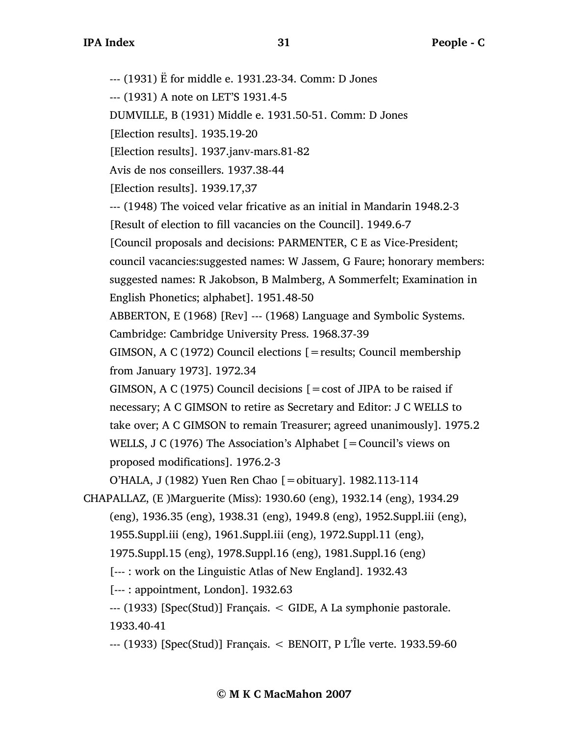--- (1931) Ë for middle e. 1931.23-34. Comm: D Jones --- (1931) A note on LET'S 1931.4-5 DUMVILLE, B (1931) Middle e. 1931.50-51. Comm: D Jones [Election results]. 1935.19-20 [Election results]. 1937.janv-mars.81-82 Avis de nos conseillers. 1937.38-44 [Election results]. 1939.17,37 --- (1948) The voiced velar fricative as an initial in Mandarin 1948.2-3 [Result of election to fill vacancies on the Council]. 1949.6-7 [Council proposals and decisions: PARMENTER, C E as Vice-President; council vacancies:suggested names: W Jassem, G Faure; honorary members: suggested names: R Jakobson, B Malmberg, A Sommerfelt; Examination in English Phonetics; alphabet]. 1951.48-50 ABBERTON, E (1968) [Rev] --- (1968) Language and Symbolic Systems. Cambridge: Cambridge University Press. 1968.37-39 GIMSON, A C (1972) Council elections [=results; Council membership from January 1973]. 1972.34 GIMSON, A C (1975) Council decisions  $[ = \text{cost of JIPA to be raised if}]$ necessary; A C GIMSON to retire as Secretary and Editor: J C WELLS to take over; A C GIMSON to remain Treasurer; agreed unanimously]. 1975.2 WELLS, J C (1976) The Association's Alphabet [=Council's views on proposed modifications]. 1976.2-3 O'HALA, J (1982) Yuen Ren Chao [=obituary]. 1982.113-114 CHAPALLAZ, (E )Marguerite (Miss): 1930.60 (eng), 1932.14 (eng), 1934.29 (eng), 1936.35 (eng), 1938.31 (eng), 1949.8 (eng), 1952.Suppl.iii (eng), 1955.Suppl.iii (eng), 1961.Suppl.iii (eng), 1972.Suppl.11 (eng), 1975.Suppl.15 (eng), 1978.Suppl.16 (eng), 1981.Suppl.16 (eng) [--- : work on the Linguistic Atlas of New England]. 1932.43 [--- : appointment, London]. 1932.63

--- (1933) [Spec(Stud)] Français. < GIDE, A La symphonie pastorale. 1933.40-41

--- (1933) [Spec(Stud)] Français. < BENOIT, P L'Île verte. 1933.59-60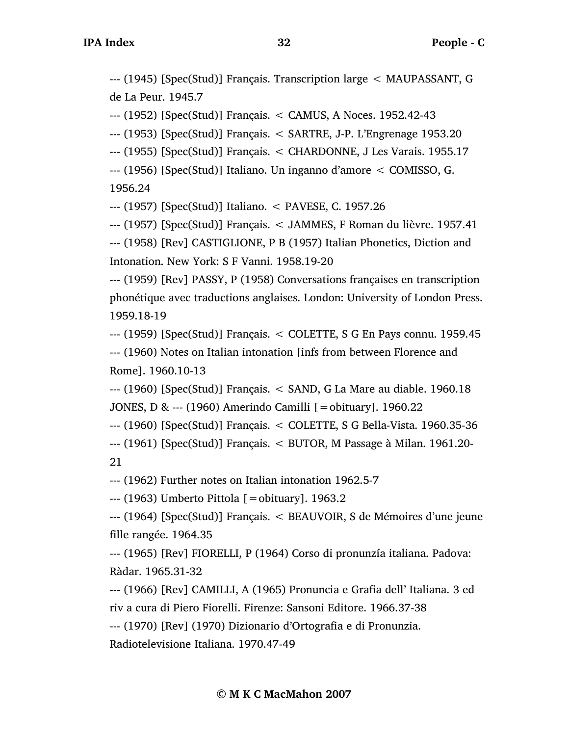--- (1945) [Spec(Stud)] Français. Transcription large < MAUPASSANT, G de La Peur. 1945.7

--- (1952) [Spec(Stud)] Français. < CAMUS, A Noces. 1952.42-43

--- (1953) [Spec(Stud)] Français. < SARTRE, J-P. L'Engrenage 1953.20

--- (1955) [Spec(Stud)] Français. < CHARDONNE, J Les Varais. 1955.17

--- (1956) [Spec(Stud)] Italiano. Un inganno d'amore < COMISSO, G.

1956.24

--- (1957) [Spec(Stud)] Italiano. < PAVESE, C. 1957.26

--- (1957) [Spec(Stud)] Français. < JAMMES, F Roman du lièvre. 1957.41

--- (1958) [Rev] CASTIGLIONE, P B (1957) Italian Phonetics, Diction and Intonation. New York: S F Vanni. 1958.19-20

--- (1959) [Rev] PASSY, P (1958) Conversations françaises en transcription phonétique avec traductions anglaises. London: University of London Press. 1959.18-19

--- (1959) [Spec(Stud)] Français. < COLETTE, S G En Pays connu. 1959.45 --- (1960) Notes on Italian intonation [infs from between Florence and Rome]. 1960.10-13

--- (1960) [Spec(Stud)] Français. < SAND, G La Mare au diable. 1960.18 JONES, D & --- (1960) Amerindo Camilli [=obituary]. 1960.22

--- (1960) [Spec(Stud)] Français. < COLETTE, S G Bella-Vista. 1960.35-36

--- (1961) [Spec(Stud)] Français. < BUTOR, M Passage à Milan. 1961.20- 21

--- (1962) Further notes on Italian intonation 1962.5-7

--- (1963) Umberto Pittola [=obituary]. 1963.2

--- (1964) [Spec(Stud)] Français. < BEAUVOIR, S de Mémoires d'une jeune fille rangée. 1964.35

--- (1965) [Rev] FIORELLI, P (1964) Corso di pronunzía italiana. Padova: Ràdar. 1965.31-32

--- (1966) [Rev] CAMILLI, A (1965) Pronuncia e Grafia dell' Italiana. 3 ed riv a cura di Piero Fiorelli. Firenze: Sansoni Editore. 1966.37-38

--- (1970) [Rev] (1970) Dizionario d'Ortografia e di Pronunzia.

Radiotelevisione Italiana. 1970.47-49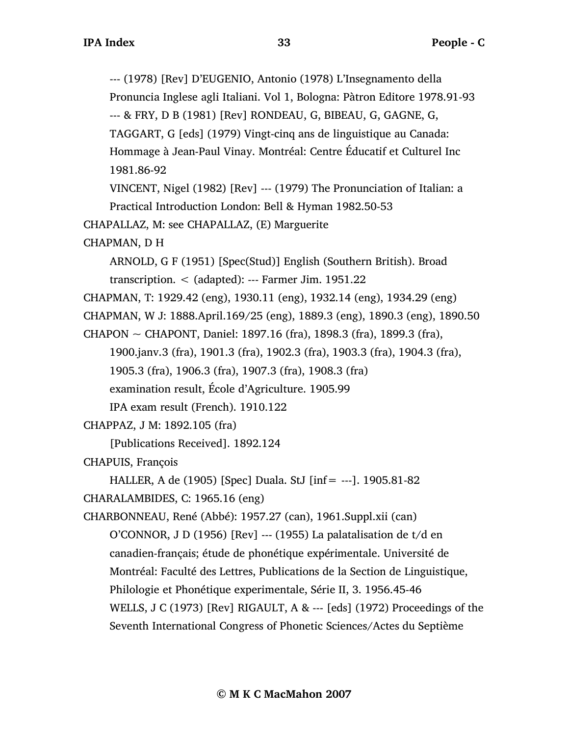--- (1978) [Rev] D'EUGENIO, Antonio (1978) L'Insegnamento della Pronuncia Inglese agli Italiani. Vol 1, Bologna: Pàtron Editore 1978.91-93 --- & FRY, D B (1981) [Rev] RONDEAU, G, BIBEAU, G, GAGNE, G, TAGGART, G [eds] (1979) Vingt-cinq ans de linguistique au Canada: Hommage à Jean-Paul Vinay. Montréal: Centre Éducatif et Culturel Inc 1981.86-92 VINCENT, Nigel (1982) [Rev] --- (1979) The Pronunciation of Italian: a Practical Introduction London: Bell & Hyman 1982.50-53 CHAPALLAZ, M: see CHAPALLAZ, (E) Marguerite CHAPMAN, D H ARNOLD, G F (1951) [Spec(Stud)] English (Southern British). Broad transcription. < (adapted): --- Farmer Jim. 1951.22 CHAPMAN, T: 1929.42 (eng), 1930.11 (eng), 1932.14 (eng), 1934.29 (eng) CHAPMAN, W J: 1888.April.169/25 (eng), 1889.3 (eng), 1890.3 (eng), 1890.50 CHAPON  $\sim$  CHAPONT, Daniel: 1897.16 (fra), 1898.3 (fra), 1899.3 (fra), 1900.janv.3 (fra), 1901.3 (fra), 1902.3 (fra), 1903.3 (fra), 1904.3 (fra), 1905.3 (fra), 1906.3 (fra), 1907.3 (fra), 1908.3 (fra) examination result, École d'Agriculture. 1905.99 IPA exam result (French). 1910.122 CHAPPAZ, J M: 1892.105 (fra) [Publications Received]. 1892.124 CHAPUIS, François HALLER, A de (1905) [Spec] Duala. StJ [inf= ---]. 1905.81-82 CHARALAMBIDES, C: 1965.16 (eng) CHARBONNEAU, René (Abbé): 1957.27 (can), 1961.Suppl.xii (can) O'CONNOR, J D (1956) [Rev] --- (1955) La palatalisation de t/d en canadien-français; étude de phonétique expérimentale. Université de Montréal: Faculté des Lettres, Publications de la Section de Linguistique, Philologie et Phonétique experimentale, Série II, 3. 1956.45-46 WELLS, J C (1973) [Rev] RIGAULT, A & --- [eds] (1972) Proceedings of the Seventh International Congress of Phonetic Sciences/Actes du Septième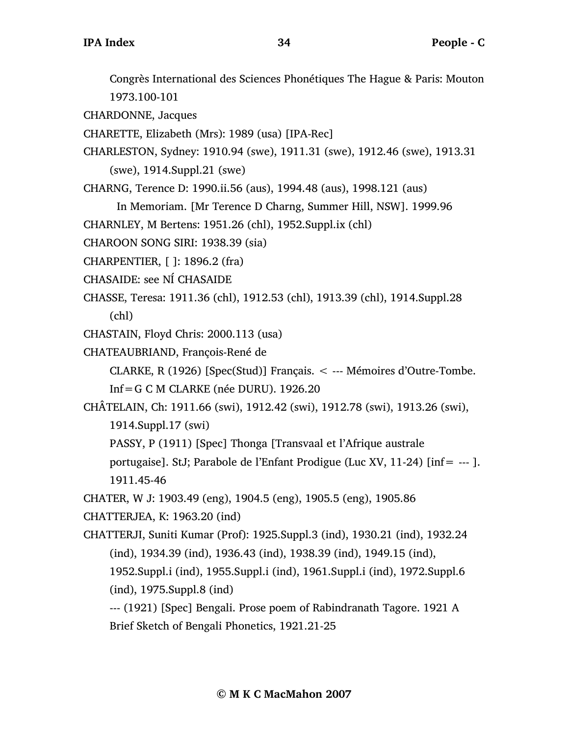Congrès International des Sciences Phonétiques The Hague & Paris: Mouton 1973.100-101

CHARDONNE, Jacques

CHARETTE, Elizabeth (Mrs): 1989 (usa) [IPA-Rec]

CHARLESTON, Sydney: 1910.94 (swe), 1911.31 (swe), 1912.46 (swe), 1913.31 (swe), 1914.Suppl.21 (swe)

CHARNG, Terence D: 1990.ii.56 (aus), 1994.48 (aus), 1998.121 (aus)

In Memoriam. [Mr Terence D Charng, Summer Hill, NSW]. 1999.96

CHARNLEY, M Bertens: 1951.26 (chl), 1952.Suppl.ix (chl)

CHAROON SONG SIRI: 1938.39 (sia)

CHARPENTIER, [ ]: 1896.2 (fra)

CHASAIDE: see NÍ CHASAIDE

CHASSE, Teresa: 1911.36 (chl), 1912.53 (chl), 1913.39 (chl), 1914.Suppl.28 (chl)

CHASTAIN, Floyd Chris: 2000.113 (usa)

CHATEAUBRIAND, François-René de

CLARKE, R (1926) [Spec(Stud)] Français. < --- Mémoires d'Outre-Tombe.

Inf=G C M CLARKE (née DURU). 1926.20

CHÂTELAIN, Ch: 1911.66 (swi), 1912.42 (swi), 1912.78 (swi), 1913.26 (swi), 1914.Suppl.17 (swi)

PASSY, P (1911) [Spec] Thonga [Transvaal et l'Afrique australe

portugaise]. StJ; Parabole de l'Enfant Prodigue (Luc XV, 11-24) [inf= --- ]. 1911.45-46

CHATER, W J: 1903.49 (eng), 1904.5 (eng), 1905.5 (eng), 1905.86

CHATTERJEA, K: 1963.20 (ind)

CHATTERJI, Suniti Kumar (Prof): 1925.Suppl.3 (ind), 1930.21 (ind), 1932.24 (ind), 1934.39 (ind), 1936.43 (ind), 1938.39 (ind), 1949.15 (ind), 1952.Suppl.i (ind), 1955.Suppl.i (ind), 1961.Suppl.i (ind), 1972.Suppl.6 (ind), 1975.Suppl.8 (ind)

--- (1921) [Spec] Bengali. Prose poem of Rabindranath Tagore. 1921 A Brief Sketch of Bengali Phonetics, 1921.21-25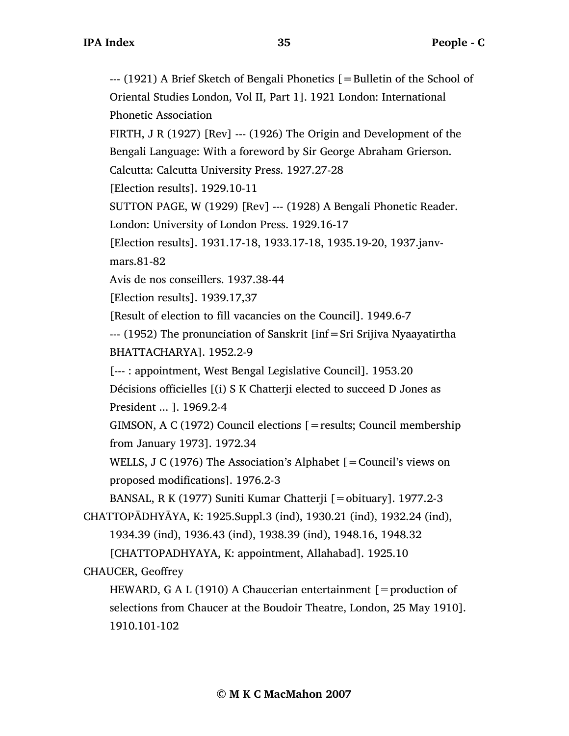--- (1921) A Brief Sketch of Bengali Phonetics [=Bulletin of the School of Oriental Studies London, Vol II, Part 1]. 1921 London: International Phonetic Association FIRTH, J R  $(1927)$  [Rev] ---  $(1926)$  The Origin and Development of the Bengali Language: With a foreword by Sir George Abraham Grierson. Calcutta: Calcutta University Press. 1927.27-28 [Election results]. 1929.10-11 SUTTON PAGE, W (1929) [Rev] --- (1928) A Bengali Phonetic Reader. London: University of London Press. 1929.16-17 [Election results]. 1931.17-18, 1933.17-18, 1935.19-20, 1937.janvmars.81-82 Avis de nos conseillers. 1937.38-44 [Election results]. 1939.17,37 [Result of election to fill vacancies on the Council]. 1949.6-7 --- (1952) The pronunciation of Sanskrit [inf=Sri Srijiva Nyaayatirtha BHATTACHARYA]. 1952.2-9 [--- : appointment, West Bengal Legislative Council]. 1953.20 Décisions officielles [(i) S K Chatterji elected to succeed D Jones as President ... ]. 1969.2-4 GIMSON, A C (1972) Council elections [=results; Council membership from January 1973]. 1972.34 WELLS, J C (1976) The Association's Alphabet [=Council's views on proposed modifications]. 1976.2-3 BANSAL, R K (1977) Suniti Kumar Chatterji [=obituary]. 1977.2-3 CHATTOPĀDHYĀYA, K: 1925.Suppl.3 (ind), 1930.21 (ind), 1932.24 (ind), 1934.39 (ind), 1936.43 (ind), 1938.39 (ind), 1948.16, 1948.32 [CHATTOPADHYAYA, K: appointment, Allahabad]. 1925.10 CHAUCER, Geoffrey HEWARD, G A L (1910) A Chaucerian entertainment  $[$  = production of selections from Chaucer at the Boudoir Theatre, London, 25 May 1910]. 1910.101-102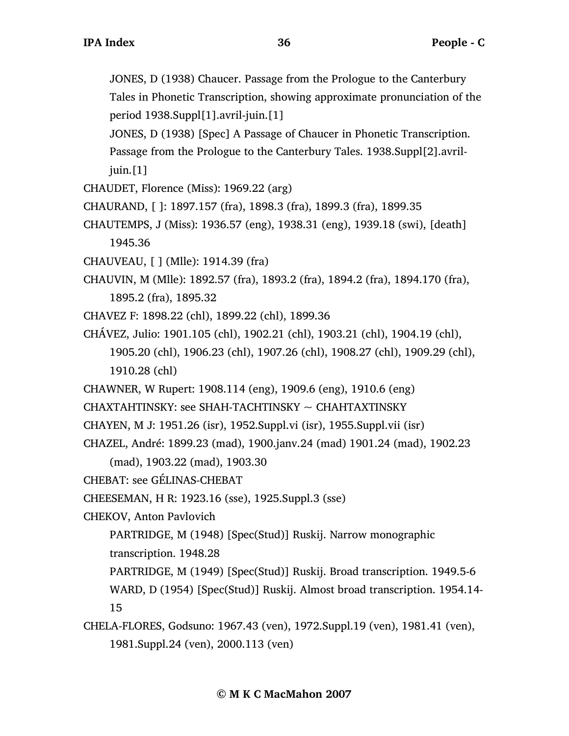JONES, D (1938) Chaucer. Passage from the Prologue to the Canterbury Tales in Phonetic Transcription, showing approximate pronunciation of the period 1938.Suppl[1].avril-juin.[1]

JONES, D (1938) [Spec] A Passage of Chaucer in Phonetic Transcription.

Passage from the Prologue to the Canterbury Tales. 1938.Suppl[2].avriljuin.[1]

- CHAUDET, Florence (Miss): 1969.22 (arg)
- CHAURAND, [ ]: 1897.157 (fra), 1898.3 (fra), 1899.3 (fra), 1899.35
- CHAUTEMPS, J (Miss): 1936.57 (eng), 1938.31 (eng), 1939.18 (swi), [death] 1945.36
- CHAUVEAU, [ ] (Mlle): 1914.39 (fra)
- CHAUVIN, M (Mlle): 1892.57 (fra), 1893.2 (fra), 1894.2 (fra), 1894.170 (fra),
	- 1895.2 (fra), 1895.32
- CHAVEZ F: 1898.22 (chl), 1899.22 (chl), 1899.36
- CHÁVEZ, Julio: 1901.105 (chl), 1902.21 (chl), 1903.21 (chl), 1904.19 (chl), 1905.20 (chl), 1906.23 (chl), 1907.26 (chl), 1908.27 (chl), 1909.29 (chl), 1910.28 (chl)
- CHAWNER, W Rupert: 1908.114 (eng), 1909.6 (eng), 1910.6 (eng)
- $CHAXTAHTINSKY:$  see SHAH-TACHTINSKY  $\sim$  CHAHTAXTINSKY
- CHAYEN, M J: 1951.26 (isr), 1952.Suppl.vi (isr), 1955.Suppl.vii (isr)
- CHAZEL, André: 1899.23 (mad), 1900.janv.24 (mad) 1901.24 (mad), 1902.23
	- (mad), 1903.22 (mad), 1903.30
- CHEBAT: see GÉLINAS-CHEBAT
- CHEESEMAN, H R: 1923.16 (sse), 1925.Suppl.3 (sse)
- CHEKOV, Anton Pavlovich
	- PARTRIDGE, M (1948) [Spec(Stud)] Ruskij. Narrow monographic
	- transcription. 1948.28
	- PARTRIDGE, M (1949) [Spec(Stud)] Ruskij. Broad transcription. 1949.5-6 WARD, D (1954) [Spec(Stud)] Ruskij. Almost broad transcription. 1954.14- 15
		-
- CHELA-FLORES, Godsuno: 1967.43 (ven), 1972.Suppl.19 (ven), 1981.41 (ven), 1981.Suppl.24 (ven), 2000.113 (ven)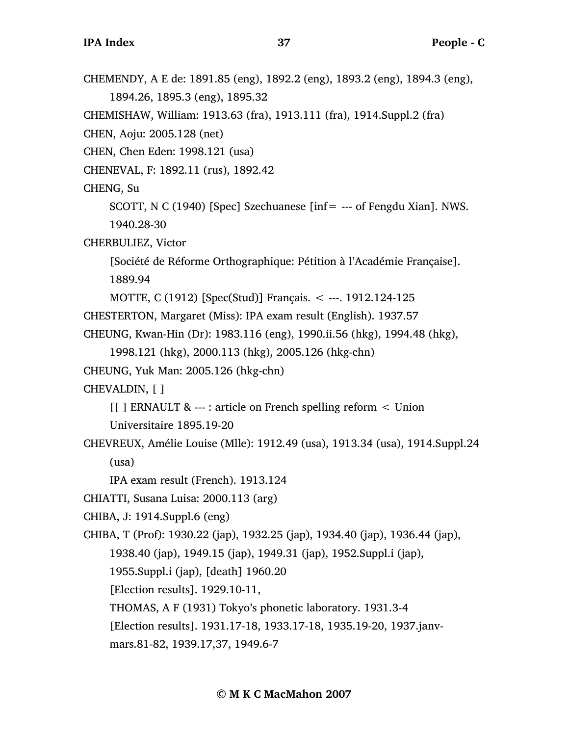CHEMENDY, A E de: 1891.85 (eng), 1892.2 (eng), 1893.2 (eng), 1894.3 (eng), 1894.26, 1895.3 (eng), 1895.32 CHEMISHAW, William: 1913.63 (fra), 1913.111 (fra), 1914.Suppl.2 (fra) CHEN, Aoju: 2005.128 (net) CHEN, Chen Eden: 1998.121 (usa) CHENEVAL, F: 1892.11 (rus), 1892.42 CHENG, Su SCOTT, N C (1940) [Spec] Szechuanese [inf= --- of Fengdu Xian]. NWS. 1940.28-30 CHERBULIEZ, Victor [Société de Réforme Orthographique: Pétition à l'Académie Française]. 1889.94 MOTTE, C (1912) [Spec(Stud)] Français. < ---. 1912.124-125 CHESTERTON, Margaret (Miss): IPA exam result (English). 1937.57 CHEUNG, Kwan-Hin (Dr): 1983.116 (eng), 1990.ii.56 (hkg), 1994.48 (hkg), 1998.121 (hkg), 2000.113 (hkg), 2005.126 (hkg-chn) CHEUNG, Yuk Man: 2005.126 (hkg-chn) CHEVALDIN, [ ] [[ ] ERNAULT & --- : article on French spelling reform < Union Universitaire 1895.19-20 CHEVREUX, Amélie Louise (Mlle): 1912.49 (usa), 1913.34 (usa), 1914.Suppl.24 (usa) IPA exam result (French). 1913.124 CHIATTI, Susana Luisa: 2000.113 (arg) CHIBA, J: 1914.Suppl.6 (eng) CHIBA, T (Prof): 1930.22 (jap), 1932.25 (jap), 1934.40 (jap), 1936.44 (jap), 1938.40 (jap), 1949.15 (jap), 1949.31 (jap), 1952.Suppl.i (jap), 1955.Suppl.i (jap), [death] 1960.20 [Election results]. 1929.10-11, THOMAS, A F (1931) Tokyo's phonetic laboratory. 1931.3-4 [Election results]. 1931.17-18, 1933.17-18, 1935.19-20, 1937.janvmars.81-82, 1939.17,37, 1949.6-7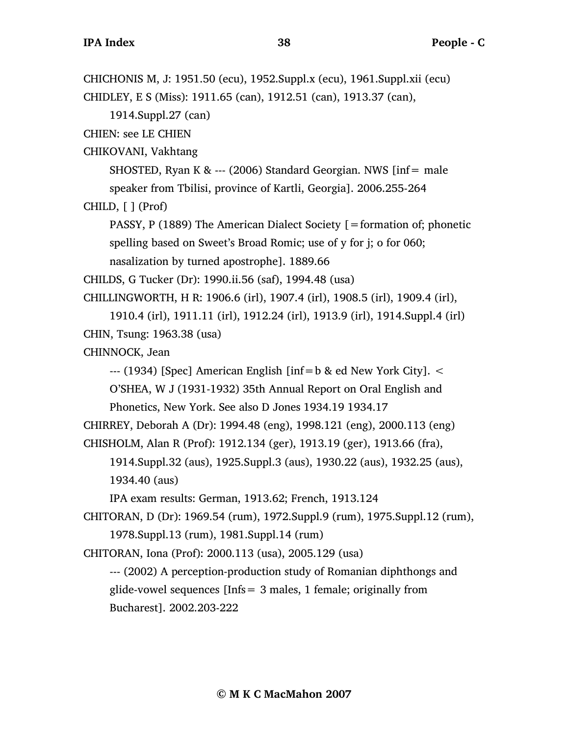```
CHICHONIS M, J: 1951.50 (ecu), 1952.Suppl.x (ecu), 1961.Suppl.xii (ecu)
CHIDLEY, E S (Miss): 1911.65 (can), 1912.51 (can), 1913.37 (can), 
     1914.Suppl.27 (can)
CHIEN: see LE CHIEN
CHIKOVANI, Vakhtang
     SHOSTED, Ryan K & --- (2006) Standard Georgian. NWS [inf = male]speaker from Tbilisi, province of Kartli, Georgia]. 2006.255-264
CHILD, [ ] (Prof)
     PASSY, P (1889) The American Dialect Society [=formation of; phonetic
     spelling based on Sweet's Broad Romic; use of y for j; o for 060; 
     nasalization by turned apostrophe]. 1889.66
CHILDS, G Tucker (Dr): 1990.ii.56 (saf), 1994.48 (usa)
CHILLINGWORTH, H R: 1906.6 (irl), 1907.4 (irl), 1908.5 (irl), 1909.4 (irl),
     1910.4 (irl), 1911.11 (irl), 1912.24 (irl), 1913.9 (irl), 1914.Suppl.4 (irl)
CHIN, Tsung: 1963.38 (usa)
CHINNOCK, Jean
     ---(1934) [Spec] American English [inf=b & ed New York City]. \leqO'SHEA, W J (1931-1932) 35th Annual Report on Oral English and
     Phonetics, New York. See also D Jones 1934.19 1934.17
CHIRREY, Deborah A (Dr): 1994.48 (eng), 1998.121 (eng), 2000.113 (eng)
CHISHOLM, Alan R (Prof): 1912.134 (ger), 1913.19 (ger), 1913.66 (fra), 
     1914.Suppl.32 (aus), 1925.Suppl.3 (aus), 1930.22 (aus), 1932.25 (aus), 
     1934.40 (aus)
     IPA exam results: German, 1913.62; French, 1913.124
CHITORAN, D (Dr): 1969.54 (rum), 1972.Suppl.9 (rum), 1975.Suppl.12 (rum), 
     1978.Suppl.13 (rum), 1981.Suppl.14 (rum)
CHITORAN, Iona (Prof): 2000.113 (usa), 2005.129 (usa)
     --- (2002) A perception-production study of Romanian diphthongs and
     glide-vowel sequences [Infs = 3 males, 1 female; originally from
     Bucharest]. 2002.203-222
```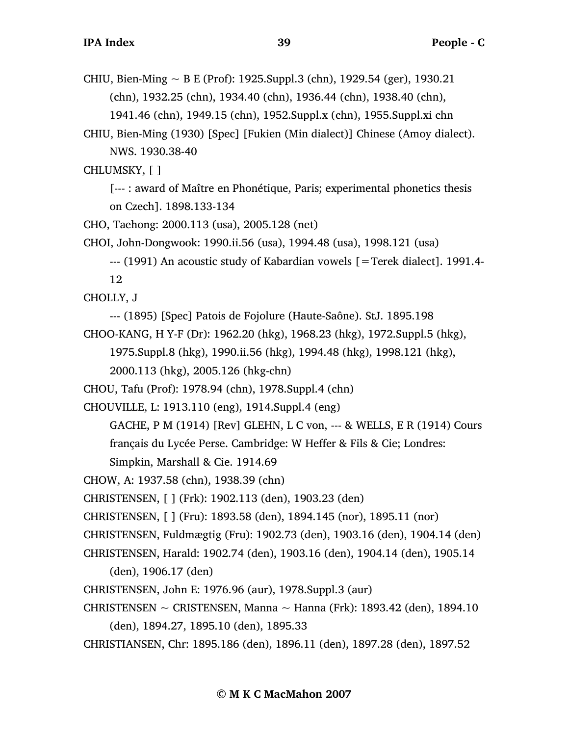CHIU, Bien-Ming  $\sim$  B E (Prof): 1925. Suppl. 3 (chn), 1929. 54 (ger), 1930. 21 (chn), 1932.25 (chn), 1934.40 (chn), 1936.44 (chn), 1938.40 (chn), 1941.46 (chn), 1949.15 (chn), 1952.Suppl.x (chn), 1955.Suppl.xi chn

CHIU, Bien-Ming (1930) [Spec] [Fukien (Min dialect)] Chinese (Amoy dialect). NWS. 1930.38-40

CHLUMSKY, [ ]

[--- : award of Maître en Phonétique, Paris; experimental phonetics thesis on Czech]. 1898.133-134

CHO, Taehong: 2000.113 (usa), 2005.128 (net)

CHOI, John-Dongwook: 1990.ii.56 (usa), 1994.48 (usa), 1998.121 (usa)

--- (1991) An acoustic study of Kabardian vowels [=Terek dialect]. 1991.4-

12

CHOLLY, J

--- (1895) [Spec] Patois de Fojolure (Haute-Saône). StJ. 1895.198

CHOO-KANG, H Y-F (Dr): 1962.20 (hkg), 1968.23 (hkg), 1972.Suppl.5 (hkg),

1975.Suppl.8 (hkg), 1990.ii.56 (hkg), 1994.48 (hkg), 1998.121 (hkg),

2000.113 (hkg), 2005.126 (hkg-chn)

CHOU, Tafu (Prof): 1978.94 (chn), 1978.Suppl.4 (chn)

CHOUVILLE, L: 1913.110 (eng), 1914.Suppl.4 (eng)

GACHE, P M (1914) [Rev] GLEHN, L C von, --- & WELLS, E R (1914) Cours français du Lycée Perse. Cambridge: W Heffer & Fils & Cie; Londres:

Simpkin, Marshall & Cie. 1914.69

CHOW, A: 1937.58 (chn), 1938.39 (chn)

CHRISTENSEN, [ ] (Frk): 1902.113 (den), 1903.23 (den)

CHRISTENSEN, [ ] (Fru): 1893.58 (den), 1894.145 (nor), 1895.11 (nor)

CHRISTENSEN, Fuldmægtig (Fru): 1902.73 (den), 1903.16 (den), 1904.14 (den)

CHRISTENSEN, Harald: 1902.74 (den), 1903.16 (den), 1904.14 (den), 1905.14

(den), 1906.17 (den)

CHRISTENSEN, John E: 1976.96 (aur), 1978.Suppl.3 (aur)

CHRISTENSEN  $\sim$  CRISTENSEN, Manna  $\sim$  Hanna (Frk): 1893.42 (den), 1894.10

(den), 1894.27, 1895.10 (den), 1895.33

CHRISTIANSEN, Chr: 1895.186 (den), 1896.11 (den), 1897.28 (den), 1897.52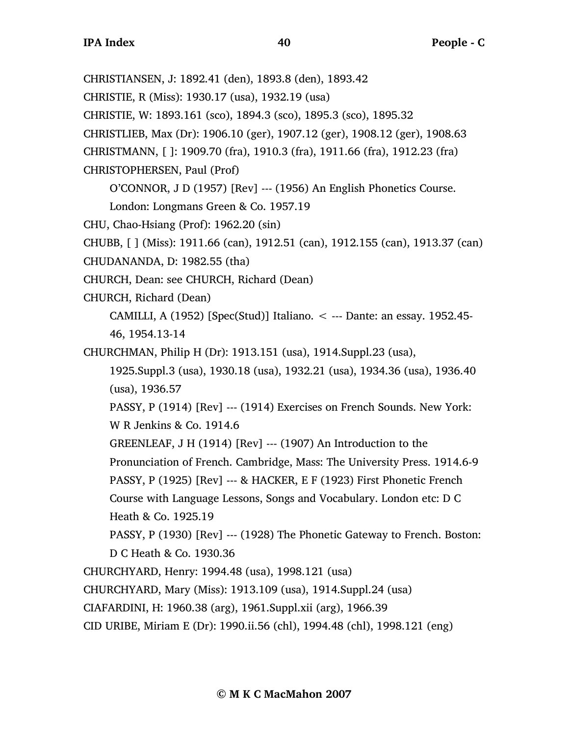CHRISTIANSEN, J: 1892.41 (den), 1893.8 (den), 1893.42

CHRISTIE, R (Miss): 1930.17 (usa), 1932.19 (usa)

CHRISTIE, W: 1893.161 (sco), 1894.3 (sco), 1895.3 (sco), 1895.32

CHRISTLIEB, Max (Dr): 1906.10 (ger), 1907.12 (ger), 1908.12 (ger), 1908.63

CHRISTMANN, [ ]: 1909.70 (fra), 1910.3 (fra), 1911.66 (fra), 1912.23 (fra)

CHRISTOPHERSEN, Paul (Prof)

O'CONNOR, J D (1957) [Rev] --- (1956) An English Phonetics Course.

London: Longmans Green & Co. 1957.19

CHU, Chao-Hsiang (Prof): 1962.20 (sin)

CHUBB, [ ] (Miss): 1911.66 (can), 1912.51 (can), 1912.155 (can), 1913.37 (can)

CHUDANANDA, D: 1982.55 (tha)

CHURCH, Dean: see CHURCH, Richard (Dean)

CHURCH, Richard (Dean)

CAMILLI, A (1952) [Spec(Stud)] Italiano. < --- Dante: an essay. 1952.45- 46, 1954.13-14

CHURCHMAN, Philip H (Dr): 1913.151 (usa), 1914.Suppl.23 (usa),

1925.Suppl.3 (usa), 1930.18 (usa), 1932.21 (usa), 1934.36 (usa), 1936.40 (usa), 1936.57

PASSY, P (1914) [Rev] --- (1914) Exercises on French Sounds. New York: W R Jenkins & Co. 1914.6

GREENLEAF, J H (1914) [Rev] --- (1907) An Introduction to the

Pronunciation of French. Cambridge, Mass: The University Press. 1914.6-9

PASSY, P (1925) [Rev] --- & HACKER, E F (1923) First Phonetic French

Course with Language Lessons, Songs and Vocabulary. London etc: D C Heath & Co. 1925.19

PASSY, P (1930) [Rev] --- (1928) The Phonetic Gateway to French. Boston: D C Heath & Co. 1930.36

CHURCHYARD, Henry: 1994.48 (usa), 1998.121 (usa)

CHURCHYARD, Mary (Miss): 1913.109 (usa), 1914.Suppl.24 (usa)

CIAFARDINI, H: 1960.38 (arg), 1961.Suppl.xii (arg), 1966.39

CID URIBE, Miriam E (Dr): 1990.ii.56 (chl), 1994.48 (chl), 1998.121 (eng)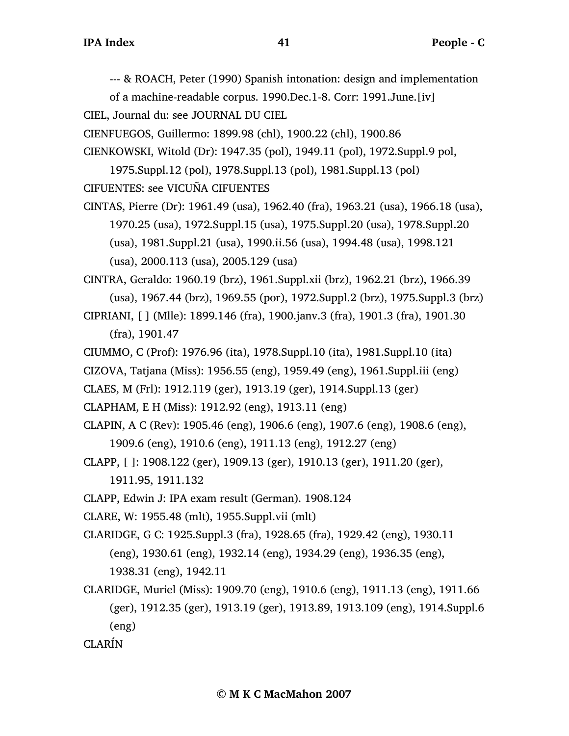--- & ROACH, Peter (1990) Spanish intonation: design and implementation

of a machine-readable corpus. 1990.Dec.1-8. Corr: 1991.June.[iv] CIEL, Journal du: see JOURNAL DU CIEL

CIENFUEGOS, Guillermo: 1899.98 (chl), 1900.22 (chl), 1900.86

CIENKOWSKI, Witold (Dr): 1947.35 (pol), 1949.11 (pol), 1972.Suppl.9 pol,

1975.Suppl.12 (pol), 1978.Suppl.13 (pol), 1981.Suppl.13 (pol) CIFUENTES: see VICUÑA CIFUENTES

CINTAS, Pierre (Dr): 1961.49 (usa), 1962.40 (fra), 1963.21 (usa), 1966.18 (usa), 1970.25 (usa), 1972.Suppl.15 (usa), 1975.Suppl.20 (usa), 1978.Suppl.20 (usa), 1981.Suppl.21 (usa), 1990.ii.56 (usa), 1994.48 (usa), 1998.121 (usa), 2000.113 (usa), 2005.129 (usa)

CINTRA, Geraldo: 1960.19 (brz), 1961.Suppl.xii (brz), 1962.21 (brz), 1966.39 (usa), 1967.44 (brz), 1969.55 (por), 1972.Suppl.2 (brz), 1975.Suppl.3 (brz)

CIPRIANI, [ ] (Mlle): 1899.146 (fra), 1900.janv.3 (fra), 1901.3 (fra), 1901.30 (fra), 1901.47

CIUMMO, C (Prof): 1976.96 (ita), 1978.Suppl.10 (ita), 1981.Suppl.10 (ita)

CIZOVA, Tatjana (Miss): 1956.55 (eng), 1959.49 (eng), 1961.Suppl.iii (eng)

CLAES, M (Frl): 1912.119 (ger), 1913.19 (ger), 1914.Suppl.13 (ger)

CLAPHAM, E H (Miss): 1912.92 (eng), 1913.11 (eng)

CLAPIN, A C (Rev): 1905.46 (eng), 1906.6 (eng), 1907.6 (eng), 1908.6 (eng), 1909.6 (eng), 1910.6 (eng), 1911.13 (eng), 1912.27 (eng)

CLAPP, [ ]: 1908.122 (ger), 1909.13 (ger), 1910.13 (ger), 1911.20 (ger), 1911.95, 1911.132

CLAPP, Edwin J: IPA exam result (German). 1908.124

CLARE, W: 1955.48 (mlt), 1955.Suppl.vii (mlt)

CLARIDGE, G C: 1925.Suppl.3 (fra), 1928.65 (fra), 1929.42 (eng), 1930.11 (eng), 1930.61 (eng), 1932.14 (eng), 1934.29 (eng), 1936.35 (eng), 1938.31 (eng), 1942.11

CLARIDGE, Muriel (Miss): 1909.70 (eng), 1910.6 (eng), 1911.13 (eng), 1911.66 (ger), 1912.35 (ger), 1913.19 (ger), 1913.89, 1913.109 (eng), 1914.Suppl.6 (eng)

CLARÍN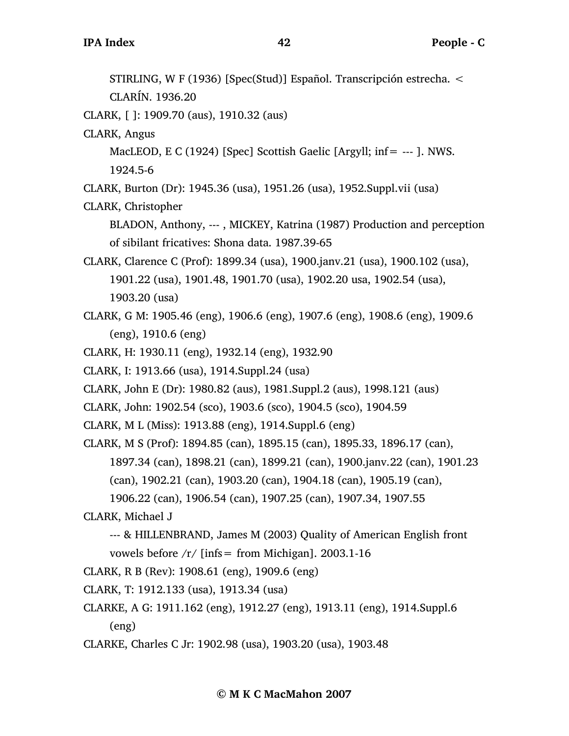CLARÍN. 1936.20

CLARK, [ ]: 1909.70 (aus), 1910.32 (aus)

CLARK, Angus

MacLEOD, E C (1924) [Spec] Scottish Gaelic [Argyll; inf= --- ]. NWS. 1924.5-6

CLARK, Burton (Dr): 1945.36 (usa), 1951.26 (usa), 1952.Suppl.vii (usa)

CLARK, Christopher

BLADON, Anthony, --- , MICKEY, Katrina (1987) Production and perception of sibilant fricatives: Shona data. 1987.39-65

CLARK, Clarence C (Prof): 1899.34 (usa), 1900.janv.21 (usa), 1900.102 (usa), 1901.22 (usa), 1901.48, 1901.70 (usa), 1902.20 usa, 1902.54 (usa), 1903.20 (usa)

- CLARK, G M: 1905.46 (eng), 1906.6 (eng), 1907.6 (eng), 1908.6 (eng), 1909.6 (eng), 1910.6 (eng)
- CLARK, H: 1930.11 (eng), 1932.14 (eng), 1932.90
- CLARK, I: 1913.66 (usa), 1914.Suppl.24 (usa)
- CLARK, John E (Dr): 1980.82 (aus), 1981.Suppl.2 (aus), 1998.121 (aus)

CLARK, John: 1902.54 (sco), 1903.6 (sco), 1904.5 (sco), 1904.59

CLARK, M L (Miss): 1913.88 (eng), 1914.Suppl.6 (eng)

CLARK, M S (Prof): 1894.85 (can), 1895.15 (can), 1895.33, 1896.17 (can),

1897.34 (can), 1898.21 (can), 1899.21 (can), 1900.janv.22 (can), 1901.23

(can), 1902.21 (can), 1903.20 (can), 1904.18 (can), 1905.19 (can),

1906.22 (can), 1906.54 (can), 1907.25 (can), 1907.34, 1907.55

## CLARK, Michael J

- --- & HILLENBRAND, James M (2003) Quality of American English front vowels before  $/r/$  [infs = from Michigan]. 2003.1-16
- CLARK, R B (Rev): 1908.61 (eng), 1909.6 (eng)
- CLARK, T: 1912.133 (usa), 1913.34 (usa)
- CLARKE, A G: 1911.162 (eng), 1912.27 (eng), 1913.11 (eng), 1914.Suppl.6 (eng)
- CLARKE, Charles C Jr: 1902.98 (usa), 1903.20 (usa), 1903.48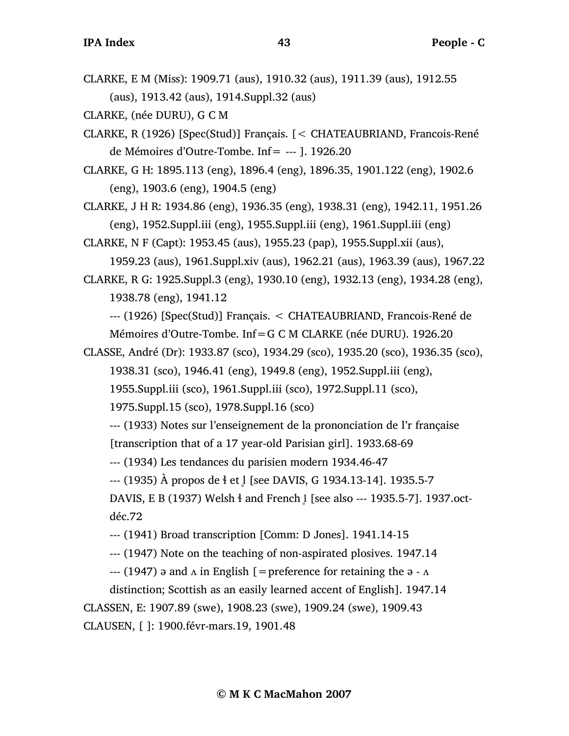CLARKE, E M (Miss): 1909.71 (aus), 1910.32 (aus), 1911.39 (aus), 1912.55 (aus), 1913.42 (aus), 1914.Suppl.32 (aus)

CLARKE, (née DURU), G C M

- CLARKE, R (1926) [Spec(Stud)] Français. [< CHATEAUBRIAND, Francois-René de Mémoires d'Outre-Tombe. Inf= --- ]. 1926.20
- CLARKE, G H: 1895.113 (eng), 1896.4 (eng), 1896.35, 1901.122 (eng), 1902.6 (eng), 1903.6 (eng), 1904.5 (eng)

CLARKE, J H R: 1934.86 (eng), 1936.35 (eng), 1938.31 (eng), 1942.11, 1951.26 (eng), 1952.Suppl.iii (eng), 1955.Suppl.iii (eng), 1961.Suppl.iii (eng)

CLARKE, N F (Capt): 1953.45 (aus), 1955.23 (pap), 1955.Suppl.xii (aus),

1959.23 (aus), 1961.Suppl.xiv (aus), 1962.21 (aus), 1963.39 (aus), 1967.22 CLARKE, R G: 1925.Suppl.3 (eng), 1930.10 (eng), 1932.13 (eng), 1934.28 (eng),

1938.78 (eng), 1941.12

--- (1926) [Spec(Stud)] Français. < CHATEAUBRIAND, Francois-René de Mémoires d'Outre-Tombe. Inf=G C M CLARKE (née DURU). 1926.20

CLASSE, André (Dr): 1933.87 (sco), 1934.29 (sco), 1935.20 (sco), 1936.35 (sco),

1938.31 (sco), 1946.41 (eng), 1949.8 (eng), 1952.Suppl.iii (eng),

1955.Suppl.iii (sco), 1961.Suppl.iii (sco), 1972.Suppl.11 (sco),

1975.Suppl.15 (sco), 1978.Suppl.16 (sco)

--- (1933) Notes sur l'enseignement de la prononciation de l'r française

[transcription that of a 17 year-old Parisian girl]. 1933.68-69

--- (1934) Les tendances du parisien modern 1934.46-47

 $-$  (1935) À propos de  $\frac{1}{2}$  et l [see DAVIS, G 1934.13-14]. 1935.5-7

DAVIS, E B (1937) Welsh  $\frac{1}{2}$  and French 1 [see also --- 1935.5-7]. 1937.octdéc.72

--- (1941) Broad transcription [Comm: D Jones]. 1941.14-15

--- (1947) Note on the teaching of non-aspirated plosives. 1947.14

 $-$ --- (1947) a and  $\Lambda$  in English [=preference for retaining the a  $-\Lambda$ 

distinction; Scottish as an easily learned accent of English]. 1947.14 CLASSEN, E: 1907.89 (swe), 1908.23 (swe), 1909.24 (swe), 1909.43

CLAUSEN, [ ]: 1900.févr-mars.19, 1901.48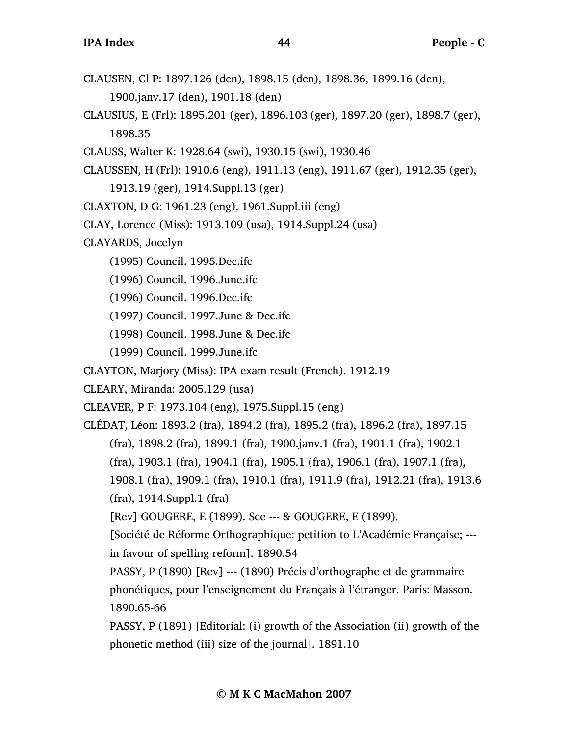- CLAUSEN, Cl P: 1897.126 (den), 1898.15 (den), 1898.36, 1899.16 (den), 1900.janv.17 (den), 1901.18 (den)
- CLAUSIUS, E (Frl): 1895.201 (ger), 1896.103 (ger), 1897.20 (ger), 1898.7 (ger), 1898.35
- CLAUSS, Walter K: 1928.64 (swi), 1930.15 (swi), 1930.46
- CLAUSSEN, H (Frl): 1910.6 (eng), 1911.13 (eng), 1911.67 (ger), 1912.35 (ger),
	- 1913.19 (ger), 1914.Suppl.13 (ger)
- CLAXTON, D G: 1961.23 (eng), 1961.Suppl.iii (eng)
- CLAY, Lorence (Miss): 1913.109 (usa), 1914.Suppl.24 (usa)
- CLAYARDS, Jocelyn
	- (1995) Council. 1995.Dec.ifc
	- (1996) Council. 1996.June.ifc
	- (1996) Council. 1996.Dec.ifc
	- (1997) Council. 1997.June & Dec.ifc
	- (1998) Council. 1998.June & Dec.ifc
	- (1999) Council. 1999.June.ifc
- CLAYTON, Marjory (Miss): IPA exam result (French). 1912.19
- CLEARY, Miranda: 2005.129 (usa)
- CLEAVER, P F: 1973.104 (eng), 1975.Suppl.15 (eng)
- CLÉDAT, Léon: 1893.2 (fra), 1894.2 (fra), 1895.2 (fra), 1896.2 (fra), 1897.15 (fra), 1898.2 (fra), 1899.1 (fra), 1900.janv.1 (fra), 1901.1 (fra), 1902.1 (fra), 1903.1 (fra), 1904.1 (fra), 1905.1 (fra), 1906.1 (fra), 1907.1 (fra), 1908.1 (fra), 1909.1 (fra), 1910.1 (fra), 1911.9 (fra), 1912.21 (fra), 1913.6 (fra), 1914.Suppl.1 (fra)
	- [Rev] GOUGERE, E (1899). See --- & GOUGERE, E (1899).
	- [Société de Réforme Orthographique: petition to L'Académie Française; -- in favour of spelling reform]. 1890.54
	- PASSY, P (1890) [Rev] --- (1890) Précis d'orthographe et de grammaire phonétiques, pour l'enseignement du Français à l'étranger. Paris: Masson. 1890.65-66
	- PASSY, P (1891) [Editorial: (i) growth of the Association (ii) growth of the phonetic method (iii) size of the journal]. 1891.10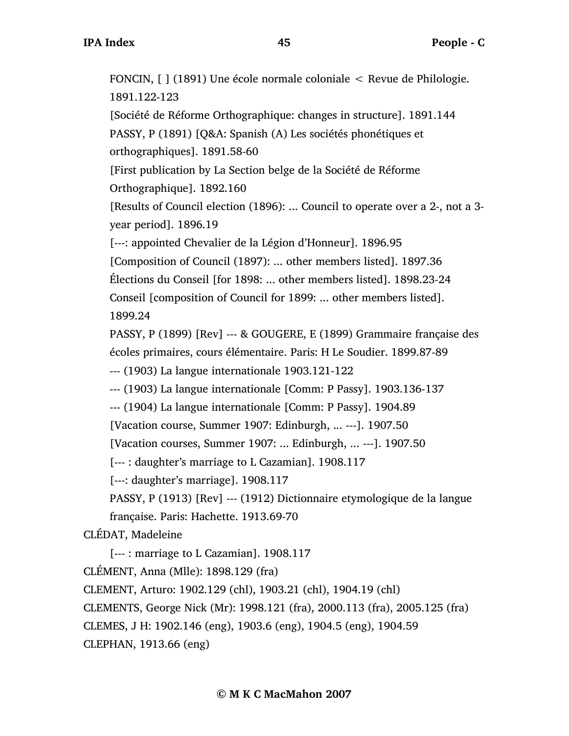FONCIN, [ ] (1891) Une école normale coloniale < Revue de Philologie. 1891.122-123 [Société de Réforme Orthographique: changes in structure]. 1891.144 PASSY, P (1891) [Q&A: Spanish (A) Les sociétés phonétiques et orthographiques]. 1891.58-60 [First publication by La Section belge de la Société de Réforme Orthographique]. 1892.160 [Results of Council election (1896): ... Council to operate over a 2-, not a 3 year period]. 1896.19 [---: appointed Chevalier de la Légion d'Honneur]. 1896.95 [Composition of Council (1897): ... other members listed]. 1897.36 Élections du Conseil [for 1898: ... other members listed]. 1898.23-24 Conseil [composition of Council for 1899: ... other members listed]. 1899.24 PASSY, P (1899) [Rev] --- & GOUGERE, E (1899) Grammaire française des écoles primaires, cours élémentaire. Paris: H Le Soudier. 1899.87-89 --- (1903) La langue internationale 1903.121-122 --- (1903) La langue internationale [Comm: P Passy]. 1903.136-137 --- (1904) La langue internationale [Comm: P Passy]. 1904.89 [Vacation course, Summer 1907: Edinburgh, ... ---]. 1907.50 [Vacation courses, Summer 1907: ... Edinburgh, ... ---]. 1907.50 [--- : daughter's marriage to L Cazamian]. 1908.117 [---: daughter's marriage]. 1908.117 PASSY, P (1913) [Rev] --- (1912) Dictionnaire etymologique de la langue française. Paris: Hachette. 1913.69-70 CLÉDAT, Madeleine [--- : marriage to L Cazamian]. 1908.117 CLÉMENT, Anna (Mlle): 1898.129 (fra) CLEMENT, Arturo: 1902.129 (chl), 1903.21 (chl), 1904.19 (chl) CLEMENTS, George Nick (Mr): 1998.121 (fra), 2000.113 (fra), 2005.125 (fra) CLEMES, J H: 1902.146 (eng), 1903.6 (eng), 1904.5 (eng), 1904.59

CLEPHAN, 1913.66 (eng)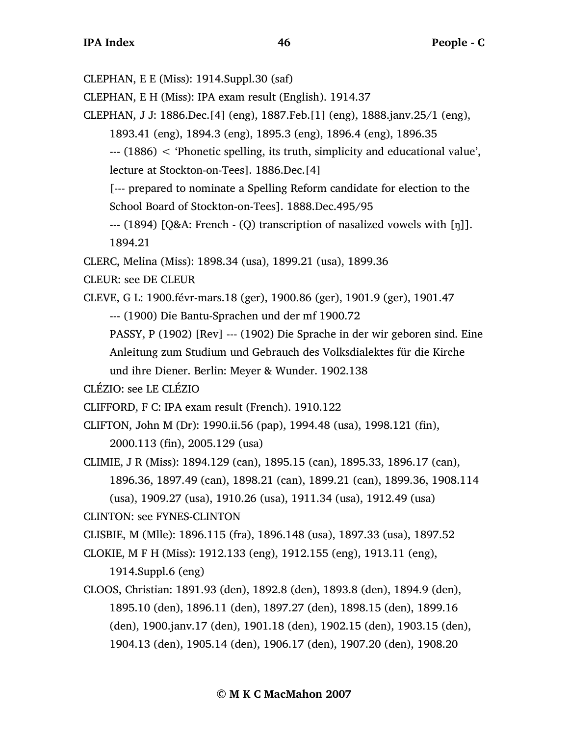CLEPHAN, E E (Miss): 1914.Suppl.30 (saf)

CLEPHAN, E H (Miss): IPA exam result (English). 1914.37

CLEPHAN, J J: 1886.Dec.[4] (eng), 1887.Feb.[1] (eng), 1888.janv.25/1 (eng),

1893.41 (eng), 1894.3 (eng), 1895.3 (eng), 1896.4 (eng), 1896.35

--- (1886) < 'Phonetic spelling, its truth, simplicity and educational value', lecture at Stockton-on-Tees]. 1886.Dec.[4]

[--- prepared to nominate a Spelling Reform candidate for election to the School Board of Stockton-on-Tees]. 1888.Dec.495/95

 $-$ -- (1894) [Q&A: French - (Q) transcription of nasalized vowels with [n]]. 1894.21

CLERC, Melina (Miss): 1898.34 (usa), 1899.21 (usa), 1899.36

CLEUR: see DE CLEUR

CLEVE, G L: 1900.févr-mars.18 (ger), 1900.86 (ger), 1901.9 (ger), 1901.47

--- (1900) Die Bantu-Sprachen und der mf 1900.72

PASSY, P (1902) [Rev] --- (1902) Die Sprache in der wir geboren sind. Eine Anleitung zum Studium und Gebrauch des Volksdialektes für die Kirche und ihre Diener. Berlin: Meyer & Wunder. 1902.138

CLÉZIO: see LE CLÉZIO

- CLIFFORD, F C: IPA exam result (French). 1910.122
- CLIFTON, John M (Dr): 1990.ii.56 (pap), 1994.48 (usa), 1998.121 (fin), 2000.113 (fin), 2005.129 (usa)
- CLIMIE, J R (Miss): 1894.129 (can), 1895.15 (can), 1895.33, 1896.17 (can), 1896.36, 1897.49 (can), 1898.21 (can), 1899.21 (can), 1899.36, 1908.114 (usa), 1909.27 (usa), 1910.26 (usa), 1911.34 (usa), 1912.49 (usa)

CLINTON: see FYNES-CLINTON

CLISBIE, M (Mlle): 1896.115 (fra), 1896.148 (usa), 1897.33 (usa), 1897.52

CLOKIE, M F H (Miss): 1912.133 (eng), 1912.155 (eng), 1913.11 (eng),

1914.Suppl.6 (eng)

CLOOS, Christian: 1891.93 (den), 1892.8 (den), 1893.8 (den), 1894.9 (den), 1895.10 (den), 1896.11 (den), 1897.27 (den), 1898.15 (den), 1899.16 (den), 1900.janv.17 (den), 1901.18 (den), 1902.15 (den), 1903.15 (den), 1904.13 (den), 1905.14 (den), 1906.17 (den), 1907.20 (den), 1908.20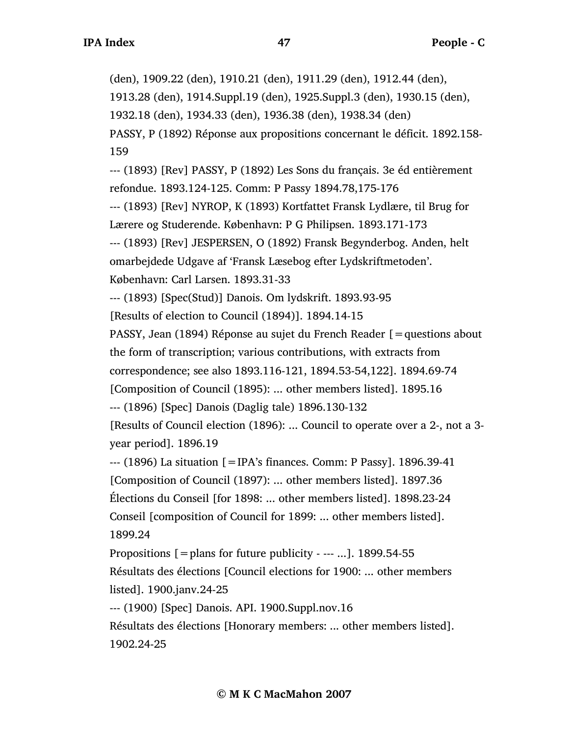(den), 1909.22 (den), 1910.21 (den), 1911.29 (den), 1912.44 (den), 1913.28 (den), 1914.Suppl.19 (den), 1925.Suppl.3 (den), 1930.15 (den), 1932.18 (den), 1934.33 (den), 1936.38 (den), 1938.34 (den) PASSY, P (1892) Réponse aux propositions concernant le déficit. 1892.158- 159

--- (1893) [Rev] PASSY, P (1892) Les Sons du français. 3e éd entièrement refondue. 1893.124-125. Comm: P Passy 1894.78,175-176

--- (1893) [Rev] NYROP, K (1893) Kortfattet Fransk Lydlære, til Brug for Lærere og Studerende. København: P G Philipsen. 1893.171-173

--- (1893) [Rev] JESPERSEN, O (1892) Fransk Begynderbog. Anden, helt omarbejdede Udgave af 'Fransk Læsebog efter Lydskriftmetoden'. København: Carl Larsen. 1893.31-33

--- (1893) [Spec(Stud)] Danois. Om lydskrift. 1893.93-95

[Results of election to Council (1894)]. 1894.14-15

PASSY, Jean (1894) Réponse au sujet du French Reader [=questions about the form of transcription; various contributions, with extracts from correspondence; see also 1893.116-121, 1894.53-54,122]. 1894.69-74

[Composition of Council (1895): ... other members listed]. 1895.16

--- (1896) [Spec] Danois (Daglig tale) 1896.130-132

[Results of Council election (1896): ... Council to operate over a 2-, not a 3 year period]. 1896.19

--- (1896) La situation [=IPA's finances. Comm: P Passy]. 1896.39-41 [Composition of Council (1897): ... other members listed]. 1897.36 Élections du Conseil [for 1898: ... other members listed]. 1898.23-24 Conseil [composition of Council for 1899: ... other members listed]. 1899.24

Propositions  $\mathbf{r} = \mathbf{p}$  and for future publicity - --- ...]. 1899.54-55 Résultats des élections [Council elections for 1900: ... other members listed]. 1900.janv.24-25

--- (1900) [Spec] Danois. API. 1900.Suppl.nov.16

Résultats des élections [Honorary members: ... other members listed]. 1902.24-25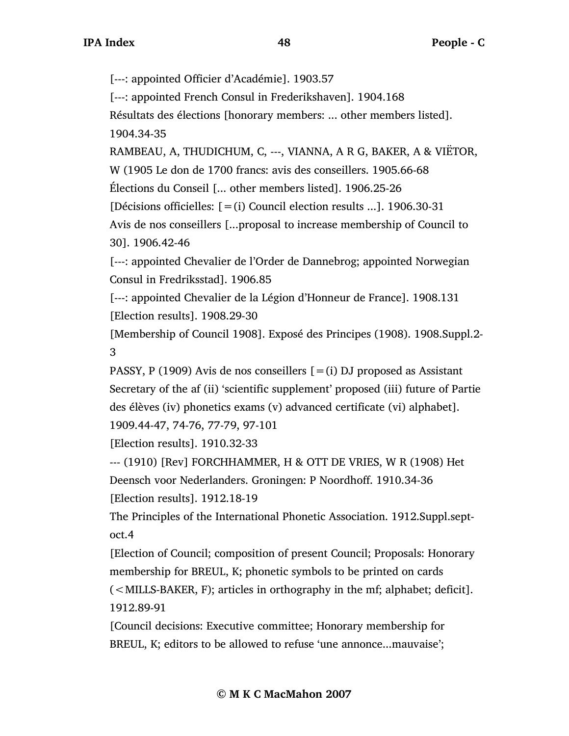[---: appointed Officier d'Académie]. 1903.57

[---: appointed French Consul in Frederikshaven]. 1904.168

Résultats des élections [honorary members: ... other members listed].

1904.34-35

RAMBEAU, A, THUDICHUM, C, ---, VIANNA, A R G, BAKER, A & VIËTOR,

W (1905 Le don de 1700 francs: avis des conseillers. 1905.66-68

Élections du Conseil [... other members listed]. 1906.25-26

[Décisions officielles:  $[=(i)]$  Council election results ...]. 1906.30-31

Avis de nos conseillers [...proposal to increase membership of Council to 30]. 1906.42-46

[---: appointed Chevalier de l'Order de Dannebrog; appointed Norwegian Consul in Fredriksstad]. 1906.85

[---: appointed Chevalier de la Légion d'Honneur de France]. 1908.131 [Election results]. 1908.29-30

[Membership of Council 1908]. Exposé des Principes (1908). 1908.Suppl.2- 3

PASSY, P (1909) Avis de nos conseillers  $[=(i)$  DJ proposed as Assistant Secretary of the af (ii) 'scientific supplement' proposed (iii) future of Partie des élèves (iv) phonetics exams (v) advanced certificate (vi) alphabet].

1909.44-47, 74-76, 77-79, 97-101

[Election results]. 1910.32-33

--- (1910) [Rev] FORCHHAMMER, H & OTT DE VRIES, W R (1908) Het Deensch voor Nederlanders. Groningen: P Noordhoff. 1910.34-36 [Election results]. 1912.18-19

The Principles of the International Phonetic Association. 1912.Suppl.septoct.4

[Election of Council; composition of present Council; Proposals: Honorary membership for BREUL, K; phonetic symbols to be printed on cards (<MILLS-BAKER, F); articles in orthography in the mf; alphabet; deficit]. 1912.89-91

[Council decisions: Executive committee; Honorary membership for BREUL, K; editors to be allowed to refuse 'une annonce...mauvaise';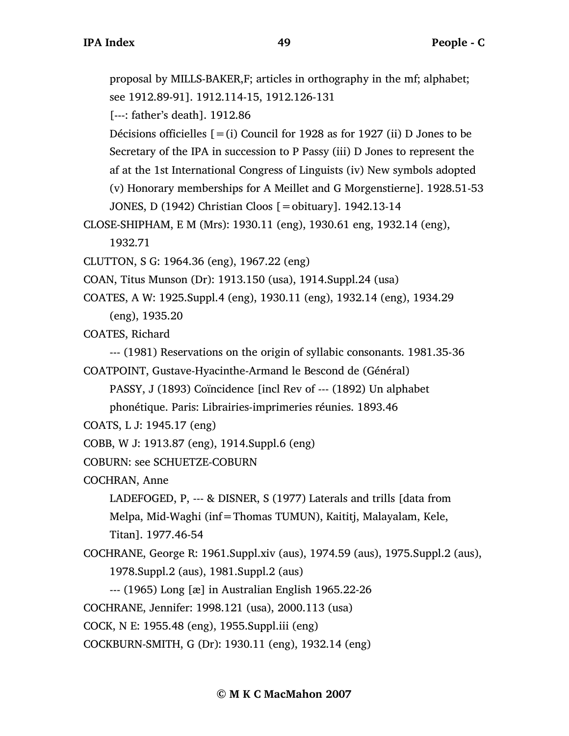proposal by MILLS-BAKER,F; articles in orthography in the mf; alphabet; see 1912.89-91]. 1912.114-15, 1912.126-131

[---: father's death]. 1912.86

Décisions officielles  $[=(i)$  Council for 1928 as for 1927 (ii) D Jones to be

Secretary of the IPA in succession to P Passy (iii) D Jones to represent the

af at the 1st International Congress of Linguists (iv) New symbols adopted

(v) Honorary memberships for A Meillet and G Morgenstierne]. 1928.51-53

JONES, D (1942) Christian Cloos [=obituary]. 1942.13-14

```
CLOSE-SHIPHAM, E M (Mrs): 1930.11 (eng), 1930.61 eng, 1932.14 (eng), 
     1932.71
```
CLUTTON, S G: 1964.36 (eng), 1967.22 (eng)

```
COAN, Titus Munson (Dr): 1913.150 (usa), 1914.Suppl.24 (usa)
```
COATES, A W: 1925.Suppl.4 (eng), 1930.11 (eng), 1932.14 (eng), 1934.29 (eng), 1935.20

COATES, Richard

--- (1981) Reservations on the origin of syllabic consonants. 1981.35-36

COATPOINT, Gustave-Hyacinthe-Armand le Bescond de (Général)

PASSY, J (1893) Coïncidence [incl Rev of --- (1892) Un alphabet phonétique. Paris: Librairies-imprimeries réunies. 1893.46

```
COATS, L J: 1945.17 (eng)
```
COBB, W J: 1913.87 (eng), 1914.Suppl.6 (eng)

```
COBURN: see SCHUETZE-COBURN
```
COCHRAN, Anne

LADEFOGED, P, --- & DISNER, S (1977) Laterals and trills [data from Melpa, Mid-Waghi (inf=Thomas TUMUN), Kaititj, Malayalam, Kele, Titan]. 1977.46-54

COCHRANE, George R: 1961.Suppl.xiv (aus), 1974.59 (aus), 1975.Suppl.2 (aus),

1978.Suppl.2 (aus), 1981.Suppl.2 (aus)

--- (1965) Long [æ] in Australian English 1965.22-26

COCHRANE, Jennifer: 1998.121 (usa), 2000.113 (usa)

COCK, N E: 1955.48 (eng), 1955.Suppl.iii (eng)

COCKBURN-SMITH, G (Dr): 1930.11 (eng), 1932.14 (eng)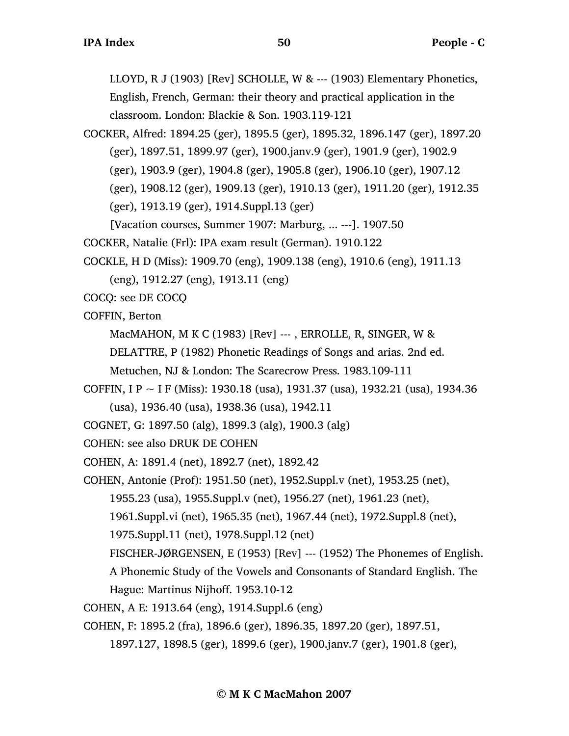LLOYD, R J (1903) [Rev] SCHOLLE, W & --- (1903) Elementary Phonetics, English, French, German: their theory and practical application in the classroom. London: Blackie & Son. 1903.119-121

COCKER, Alfred: 1894.25 (ger), 1895.5 (ger), 1895.32, 1896.147 (ger), 1897.20 (ger), 1897.51, 1899.97 (ger), 1900.janv.9 (ger), 1901.9 (ger), 1902.9 (ger), 1903.9 (ger), 1904.8 (ger), 1905.8 (ger), 1906.10 (ger), 1907.12 (ger), 1908.12 (ger), 1909.13 (ger), 1910.13 (ger), 1911.20 (ger), 1912.35 (ger), 1913.19 (ger), 1914.Suppl.13 (ger)

[Vacation courses, Summer 1907: Marburg, ... ---]. 1907.50

COCKER, Natalie (Frl): IPA exam result (German). 1910.122

COCKLE, H D (Miss): 1909.70 (eng), 1909.138 (eng), 1910.6 (eng), 1911.13

(eng), 1912.27 (eng), 1913.11 (eng)

COCQ: see DE COCQ

COFFIN, Berton

MacMAHON, M K C (1983) [Rev] ---, ERROLLE, R, SINGER, W &

DELATTRE, P (1982) Phonetic Readings of Songs and arias. 2nd ed.

Metuchen, NJ & London: The Scarecrow Press. 1983.109-111

- COFFIN, I P ~ I F (Miss): 1930.18 (usa), 1931.37 (usa), 1932.21 (usa), 1934.36 (usa), 1936.40 (usa), 1938.36 (usa), 1942.11
- COGNET, G: 1897.50 (alg), 1899.3 (alg), 1900.3 (alg)

COHEN: see also DRUK DE COHEN

COHEN, A: 1891.4 (net), 1892.7 (net), 1892.42

COHEN, Antonie (Prof): 1951.50 (net), 1952.Suppl.v (net), 1953.25 (net),

1955.23 (usa), 1955.Suppl.v (net), 1956.27 (net), 1961.23 (net),

1961.Suppl.vi (net), 1965.35 (net), 1967.44 (net), 1972.Suppl.8 (net),

1975.Suppl.11 (net), 1978.Suppl.12 (net)

FISCHER-JØRGENSEN, E (1953) [Rev] --- (1952) The Phonemes of English.

A Phonemic Study of the Vowels and Consonants of Standard English. The

Hague: Martinus Nijhoff. 1953.10-12

COHEN, A E: 1913.64 (eng), 1914.Suppl.6 (eng)

COHEN, F: 1895.2 (fra), 1896.6 (ger), 1896.35, 1897.20 (ger), 1897.51,

1897.127, 1898.5 (ger), 1899.6 (ger), 1900.janv.7 (ger), 1901.8 (ger),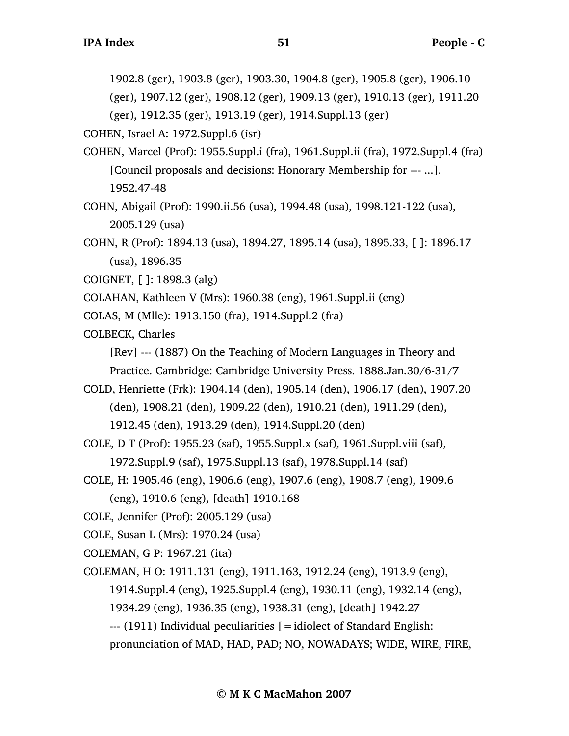1902.8 (ger), 1903.8 (ger), 1903.30, 1904.8 (ger), 1905.8 (ger), 1906.10

(ger), 1907.12 (ger), 1908.12 (ger), 1909.13 (ger), 1910.13 (ger), 1911.20

(ger), 1912.35 (ger), 1913.19 (ger), 1914.Suppl.13 (ger)

COHEN, Israel A: 1972.Suppl.6 (isr)

- COHEN, Marcel (Prof): 1955.Suppl.i (fra), 1961.Suppl.ii (fra), 1972.Suppl.4 (fra) [Council proposals and decisions: Honorary Membership for --- ...]. 1952.47-48
- COHN, Abigail (Prof): 1990.ii.56 (usa), 1994.48 (usa), 1998.121-122 (usa), 2005.129 (usa)
- COHN, R (Prof): 1894.13 (usa), 1894.27, 1895.14 (usa), 1895.33, [ ]: 1896.17 (usa), 1896.35
- COIGNET, [ ]: 1898.3 (alg)
- COLAHAN, Kathleen V (Mrs): 1960.38 (eng), 1961.Suppl.ii (eng)
- COLAS, M (Mlle): 1913.150 (fra), 1914.Suppl.2 (fra)
- COLBECK, Charles

[Rev] --- (1887) On the Teaching of Modern Languages in Theory and Practice. Cambridge: Cambridge University Press. 1888.Jan.30/6-31/7

COLD, Henriette (Frk): 1904.14 (den), 1905.14 (den), 1906.17 (den), 1907.20 (den), 1908.21 (den), 1909.22 (den), 1910.21 (den), 1911.29 (den),

1912.45 (den), 1913.29 (den), 1914.Suppl.20 (den)

- COLE, D T (Prof): 1955.23 (saf), 1955.Suppl.x (saf), 1961.Suppl.viii (saf), 1972.Suppl.9 (saf), 1975.Suppl.13 (saf), 1978.Suppl.14 (saf)
- COLE, H: 1905.46 (eng), 1906.6 (eng), 1907.6 (eng), 1908.7 (eng), 1909.6 (eng), 1910.6 (eng), [death] 1910.168
- COLE, Jennifer (Prof): 2005.129 (usa)
- COLE, Susan L (Mrs): 1970.24 (usa)
- COLEMAN, G P: 1967.21 (ita)
- COLEMAN, H O: 1911.131 (eng), 1911.163, 1912.24 (eng), 1913.9 (eng),

1914.Suppl.4 (eng), 1925.Suppl.4 (eng), 1930.11 (eng), 1932.14 (eng),

1934.29 (eng), 1936.35 (eng), 1938.31 (eng), [death] 1942.27

--- (1911) Individual peculiarities [=idiolect of Standard English:

pronunciation of MAD, HAD, PAD; NO, NOWADAYS; WIDE, WIRE, FIRE,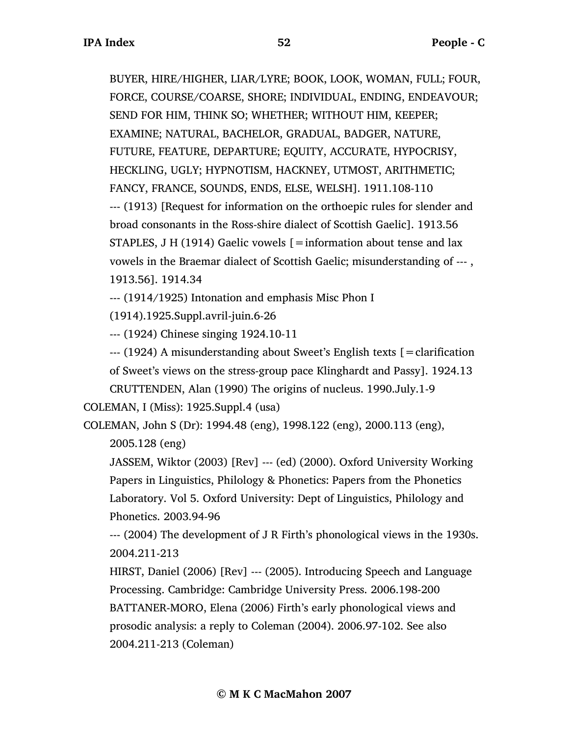BUYER, HIRE/HIGHER, LIAR/LYRE; BOOK, LOOK, WOMAN, FULL; FOUR, FORCE, COURSE/COARSE, SHORE; INDIVIDUAL, ENDING, ENDEAVOUR; SEND FOR HIM, THINK SO; WHETHER; WITHOUT HIM, KEEPER; EXAMINE; NATURAL, BACHELOR, GRADUAL, BADGER, NATURE, FUTURE, FEATURE, DEPARTURE; EQUITY, ACCURATE, HYPOCRISY, HECKLING, UGLY; HYPNOTISM, HACKNEY, UTMOST, ARITHMETIC; FANCY, FRANCE, SOUNDS, ENDS, ELSE, WELSH]. 1911.108-110 --- (1913) [Request for information on the orthoepic rules for slender and broad consonants in the Ross-shire dialect of Scottish Gaelic]. 1913.56 STAPLES, J H (1914) Gaelic vowels  $\mathcal{I} =$  information about tense and lax vowels in the Braemar dialect of Scottish Gaelic; misunderstanding of --- , 1913.56]. 1914.34

--- (1914/1925) Intonation and emphasis Misc Phon I

(1914).1925.Suppl.avril-juin.6-26

--- (1924) Chinese singing 1924.10-11

--- (1924) A misunderstanding about Sweet's English texts [=clarification of Sweet's views on the stress-group pace Klinghardt and Passy]. 1924.13

CRUTTENDEN, Alan (1990) The origins of nucleus. 1990.July.1-9 COLEMAN, I (Miss): 1925.Suppl.4 (usa)

COLEMAN, John S (Dr): 1994.48 (eng), 1998.122 (eng), 2000.113 (eng),

2005.128 (eng)

JASSEM, Wiktor (2003) [Rev] --- (ed) (2000). Oxford University Working Papers in Linguistics, Philology & Phonetics: Papers from the Phonetics Laboratory. Vol 5. Oxford University: Dept of Linguistics, Philology and Phonetics. 2003.94-96

--- (2004) The development of J R Firth's phonological views in the 1930s. 2004.211-213

HIRST, Daniel (2006) [Rev] --- (2005). Introducing Speech and Language Processing. Cambridge: Cambridge University Press. 2006.198-200 BATTANER-MORO, Elena (2006) Firth's early phonological views and prosodic analysis: a reply to Coleman (2004). 2006.97-102. See also 2004.211-213 (Coleman)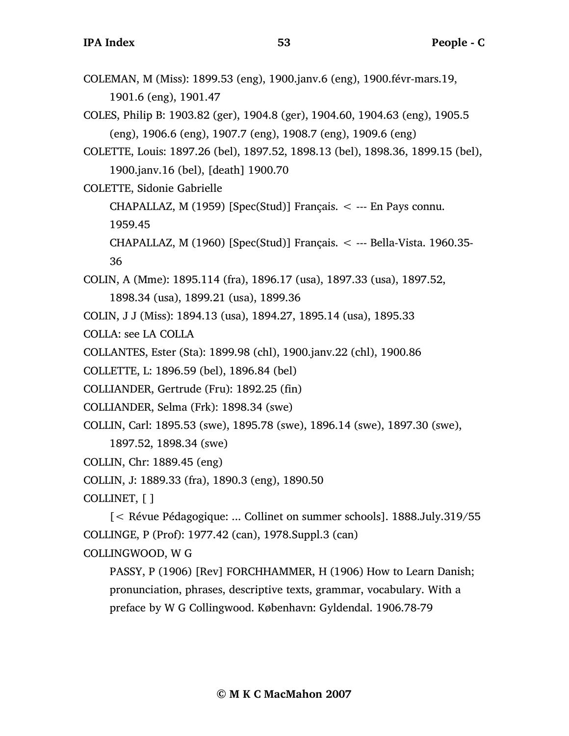COLEMAN, M (Miss): 1899.53 (eng), 1900.janv.6 (eng), 1900.févr-mars.19, 1901.6 (eng), 1901.47

COLES, Philip B: 1903.82 (ger), 1904.8 (ger), 1904.60, 1904.63 (eng), 1905.5 (eng), 1906.6 (eng), 1907.7 (eng), 1908.7 (eng), 1909.6 (eng)

COLETTE, Louis: 1897.26 (bel), 1897.52, 1898.13 (bel), 1898.36, 1899.15 (bel), 1900.janv.16 (bel), [death] 1900.70

COLETTE, Sidonie Gabrielle

CHAPALLAZ, M (1959) [Spec(Stud)] Français.  $\lt$  --- En Pays connu.

1959.45

CHAPALLAZ, M  $(1960)$  [Spec(Stud)] Français.  $\lt$  --- Bella-Vista. 1960.35-36

COLIN, A (Mme): 1895.114 (fra), 1896.17 (usa), 1897.33 (usa), 1897.52, 1898.34 (usa), 1899.21 (usa), 1899.36

COLIN, J J (Miss): 1894.13 (usa), 1894.27, 1895.14 (usa), 1895.33

COLLA: see LA COLLA

COLLANTES, Ester (Sta): 1899.98 (chl), 1900.janv.22 (chl), 1900.86

COLLETTE, L: 1896.59 (bel), 1896.84 (bel)

COLLIANDER, Gertrude (Fru): 1892.25 (fin)

COLLIANDER, Selma (Frk): 1898.34 (swe)

COLLIN, Carl: 1895.53 (swe), 1895.78 (swe), 1896.14 (swe), 1897.30 (swe),

1897.52, 1898.34 (swe)

COLLIN, Chr: 1889.45 (eng)

COLLIN, J: 1889.33 (fra), 1890.3 (eng), 1890.50

COLLINET, [ ]

[< Révue Pédagogique: ... Collinet on summer schools]. 1888.July.319/55 COLLINGE, P (Prof): 1977.42 (can), 1978.Suppl.3 (can)

COLLINGWOOD, W G

PASSY, P (1906) [Rev] FORCHHAMMER, H (1906) How to Learn Danish; pronunciation, phrases, descriptive texts, grammar, vocabulary. With a preface by W G Collingwood. København: Gyldendal. 1906.78-79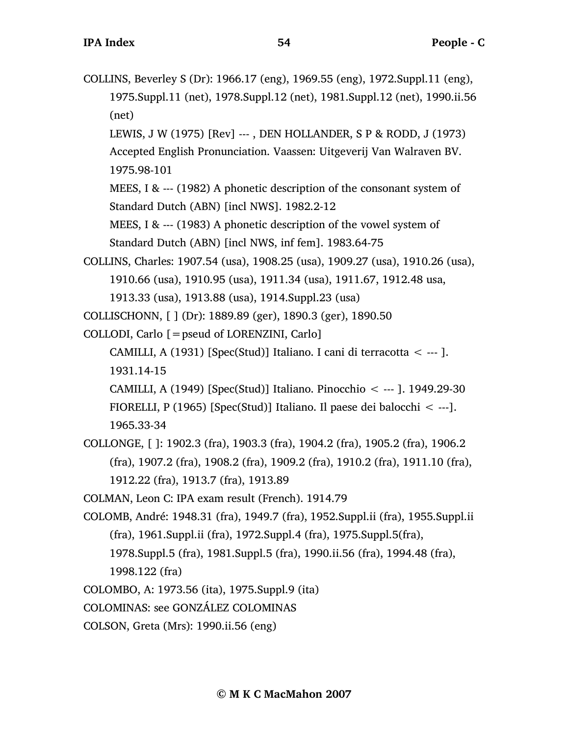COLLINS, Beverley S (Dr): 1966.17 (eng), 1969.55 (eng), 1972.Suppl.11 (eng), 1975.Suppl.11 (net), 1978.Suppl.12 (net), 1981.Suppl.12 (net), 1990.ii.56 (net) LEWIS, J W (1975) [Rev] --- , DEN HOLLANDER, S P & RODD, J (1973) Accepted English Pronunciation. Vaassen: Uitgeverij Van Walraven BV. 1975.98-101 MEES, I & --- (1982) A phonetic description of the consonant system of Standard Dutch (ABN) [incl NWS]. 1982.2-12 MEES, I & --- (1983) A phonetic description of the vowel system of Standard Dutch (ABN) [incl NWS, inf fem]. 1983.64-75 COLLINS, Charles: 1907.54 (usa), 1908.25 (usa), 1909.27 (usa), 1910.26 (usa), 1910.66 (usa), 1910.95 (usa), 1911.34 (usa), 1911.67, 1912.48 usa, 1913.33 (usa), 1913.88 (usa), 1914.Suppl.23 (usa) COLLISCHONN, [ ] (Dr): 1889.89 (ger), 1890.3 (ger), 1890.50 COLLODI, Carlo [=pseud of LORENZINI, Carlo] CAMILLI, A (1931) [Spec(Stud)] Italiano. I cani di terracotta  $\lt$  --- ]. 1931.14-15 CAMILLI, A (1949) [Spec(Stud)] Italiano. Pinocchio < --- ]. 1949.29-30 FIORELLI, P (1965) [Spec(Stud)] Italiano. Il paese dei balocchi < ---]. 1965.33-34 COLLONGE, [ ]: 1902.3 (fra), 1903.3 (fra), 1904.2 (fra), 1905.2 (fra), 1906.2 (fra), 1907.2 (fra), 1908.2 (fra), 1909.2 (fra), 1910.2 (fra), 1911.10 (fra), 1912.22 (fra), 1913.7 (fra), 1913.89 COLMAN, Leon C: IPA exam result (French). 1914.79 COLOMB, André: 1948.31 (fra), 1949.7 (fra), 1952.Suppl.ii (fra), 1955.Suppl.ii (fra), 1961.Suppl.ii (fra), 1972.Suppl.4 (fra), 1975.Suppl.5(fra), 1978.Suppl.5 (fra), 1981.Suppl.5 (fra), 1990.ii.56 (fra), 1994.48 (fra), 1998.122 (fra) COLOMBO, A: 1973.56 (ita), 1975.Suppl.9 (ita) COLOMINAS: see GONZÁLEZ COLOMINAS COLSON, Greta (Mrs): 1990.ii.56 (eng)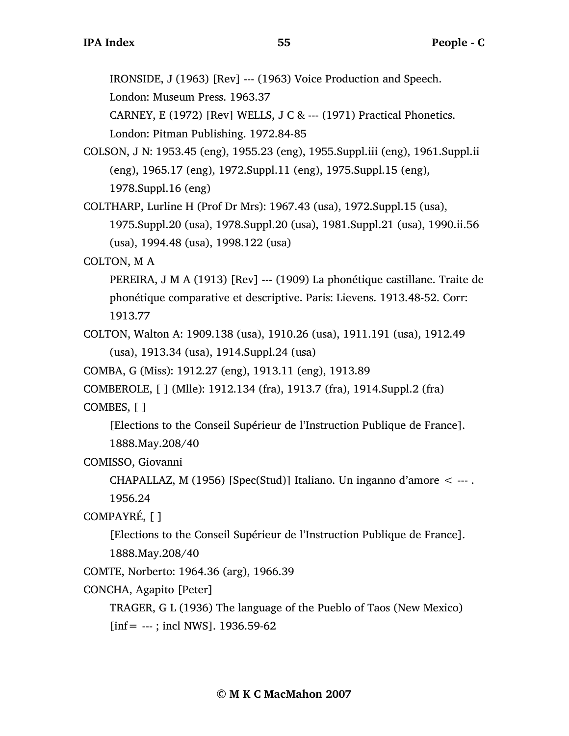IRONSIDE, J (1963) [Rev] --- (1963) Voice Production and Speech.

London: Museum Press. 1963.37

CARNEY, E (1972) [Rev] WELLS, J C & --- (1971) Practical Phonetics. London: Pitman Publishing. 1972.84-85

- COLSON, J N: 1953.45 (eng), 1955.23 (eng), 1955.Suppl.iii (eng), 1961.Suppl.ii (eng), 1965.17 (eng), 1972.Suppl.11 (eng), 1975.Suppl.15 (eng), 1978.Suppl.16 (eng)
- COLTHARP, Lurline H (Prof Dr Mrs): 1967.43 (usa), 1972.Suppl.15 (usa), 1975.Suppl.20 (usa), 1978.Suppl.20 (usa), 1981.Suppl.21 (usa), 1990.ii.56 (usa), 1994.48 (usa), 1998.122 (usa)

COLTON, M A

PEREIRA, J M A (1913) [Rev] --- (1909) La phonétique castillane. Traite de phonétique comparative et descriptive. Paris: Lievens. 1913.48-52. Corr: 1913.77

COLTON, Walton A: 1909.138 (usa), 1910.26 (usa), 1911.191 (usa), 1912.49 (usa), 1913.34 (usa), 1914.Suppl.24 (usa)

COMBA, G (Miss): 1912.27 (eng), 1913.11 (eng), 1913.89

COMBEROLE, [ ] (Mlle): 1912.134 (fra), 1913.7 (fra), 1914.Suppl.2 (fra) COMBES, [ ]

[Elections to the Conseil Supérieur de l'Instruction Publique de France]. 1888.May.208/40

COMISSO, Giovanni

CHAPALLAZ, M (1956) [Spec(Stud)] Italiano. Un inganno d'amore  $\leq$  ---. 1956.24

COMPAYRÉ, [ ]

[Elections to the Conseil Supérieur de l'Instruction Publique de France]. 1888.May.208/40

COMTE, Norberto: 1964.36 (arg), 1966.39

CONCHA, Agapito [Peter]

TRAGER, G L (1936) The language of the Pueblo of Taos (New Mexico)

 $[inf = --; incl NWS]$ . 1936.59-62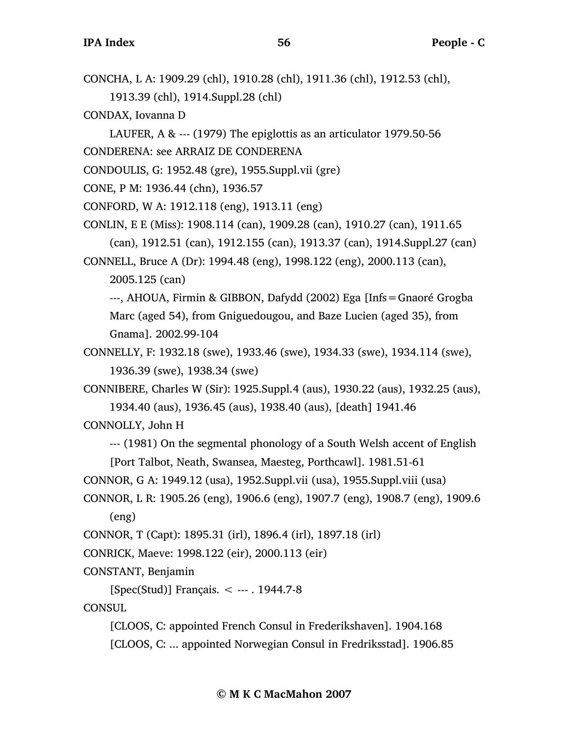CONCHA, L A: 1909.29 (chl), 1910.28 (chl), 1911.36 (chl), 1912.53 (chl),

1913.39 (chl), 1914.Suppl.28 (chl)

CONDAX, Iovanna D

LAUFER, A & --- (1979) The epiglottis as an articulator 1979.50-56 CONDERENA: see ARRAIZ DE CONDERENA

CONDOULIS, G: 1952.48 (gre), 1955.Suppl.vii (gre)

CONE, P M: 1936.44 (chn), 1936.57

CONFORD, W A: 1912.118 (eng), 1913.11 (eng)

CONLIN, E E (Miss): 1908.114 (can), 1909.28 (can), 1910.27 (can), 1911.65 (can), 1912.51 (can), 1912.155 (can), 1913.37 (can), 1914.Suppl.27 (can) CONNELL, Bruce A (Dr): 1994.48 (eng), 1998.122 (eng), 2000.113 (can),

2005.125 (can)

---, AHOUA, Firmin & GIBBON, Dafydd (2002) Ega [Infs=Gnaoré Grogba Marc (aged 54), from Gniguedougou, and Baze Lucien (aged 35), from Gnama]. 2002.99-104

CONNELLY, F: 1932.18 (swe), 1933.46 (swe), 1934.33 (swe), 1934.114 (swe), 1936.39 (swe), 1938.34 (swe)

CONNIBERE, Charles W (Sir): 1925.Suppl.4 (aus), 1930.22 (aus), 1932.25 (aus), 1934.40 (aus), 1936.45 (aus), 1938.40 (aus), [death] 1941.46

CONNOLLY, John H

--- (1981) On the segmental phonology of a South Welsh accent of English [Port Talbot, Neath, Swansea, Maesteg, Porthcawl]. 1981.51-61

CONNOR, G A: 1949.12 (usa), 1952.Suppl.vii (usa), 1955.Suppl.viii (usa)

CONNOR, L R: 1905.26 (eng), 1906.6 (eng), 1907.7 (eng), 1908.7 (eng), 1909.6 (eng)

CONNOR, T (Capt): 1895.31 (irl), 1896.4 (irl), 1897.18 (irl)

CONRICK, Maeve: 1998.122 (eir), 2000.113 (eir)

CONSTANT, Benjamin

[Spec(Stud)] Français. < --- . 1944.7-8

**CONSUL** 

[CLOOS, C: appointed French Consul in Frederikshaven]. 1904.168 [CLOOS, C: ... appointed Norwegian Consul in Fredriksstad]. 1906.85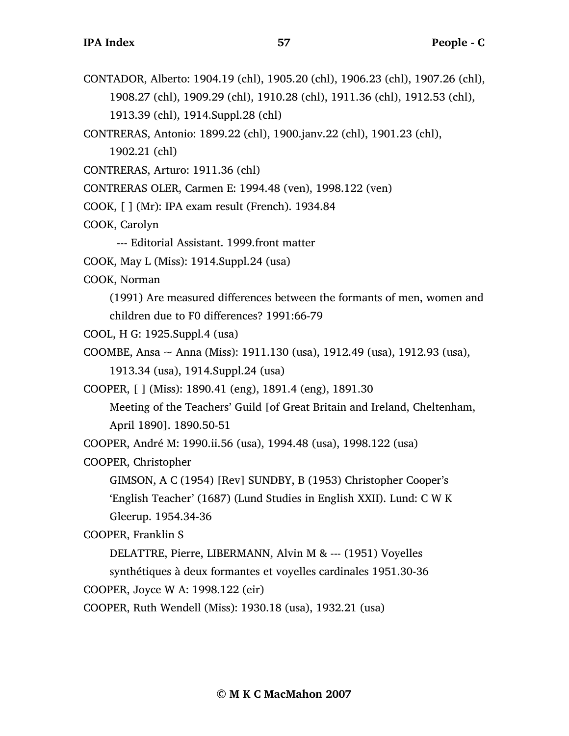- CONTADOR, Alberto: 1904.19 (chl), 1905.20 (chl), 1906.23 (chl), 1907.26 (chl), 1908.27 (chl), 1909.29 (chl), 1910.28 (chl), 1911.36 (chl), 1912.53 (chl), 1913.39 (chl), 1914.Suppl.28 (chl)
- CONTRERAS, Antonio: 1899.22 (chl), 1900.janv.22 (chl), 1901.23 (chl),
	- 1902.21 (chl)
- CONTRERAS, Arturo: 1911.36 (chl)
- CONTRERAS OLER, Carmen E: 1994.48 (ven), 1998.122 (ven)
- COOK, [ ] (Mr): IPA exam result (French). 1934.84
- COOK, Carolyn
	- --- Editorial Assistant. 1999.front matter
- COOK, May L (Miss): 1914.Suppl.24 (usa)
- COOK, Norman
	- (1991) Are measured differences between the formants of men, women and children due to F0 differences? 1991:66-79
- COOL, H G: 1925.Suppl.4 (usa)
- COOMBE, Ansa ~ Anna (Miss): 1911.130 (usa), 1912.49 (usa), 1912.93 (usa), 1913.34 (usa), 1914.Suppl.24 (usa)
- COOPER, [ ] (Miss): 1890.41 (eng), 1891.4 (eng), 1891.30
	- Meeting of the Teachers' Guild [of Great Britain and Ireland, Cheltenham, April 1890]. 1890.50-51
- COOPER, André M: 1990.ii.56 (usa), 1994.48 (usa), 1998.122 (usa)
- COOPER, Christopher
	- GIMSON, A C (1954) [Rev] SUNDBY, B (1953) Christopher Cooper's 'English Teacher' (1687) (Lund Studies in English XXII). Lund: C W K Gleerup. 1954.34-36
- COOPER, Franklin S
	- DELATTRE, Pierre, LIBERMANN, Alvin M & --- (1951) Voyelles
	- synthétiques à deux formantes et voyelles cardinales 1951.30-36
- COOPER, Joyce W A: 1998.122 (eir)
- COOPER, Ruth Wendell (Miss): 1930.18 (usa), 1932.21 (usa)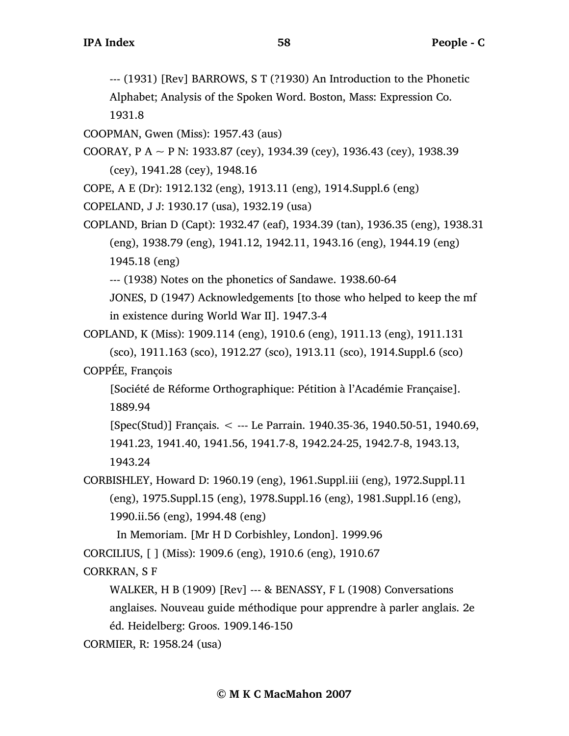--- (1931) [Rev] BARROWS, S T (?1930) An Introduction to the Phonetic

Alphabet; Analysis of the Spoken Word. Boston, Mass: Expression Co. 1931.8

COOPMAN, Gwen (Miss): 1957.43 (aus)

COORAY, P A  $\sim$  P N: 1933.87 (cey), 1934.39 (cey), 1936.43 (cey), 1938.39 (cey), 1941.28 (cey), 1948.16

COPE, A E (Dr): 1912.132 (eng), 1913.11 (eng), 1914.Suppl.6 (eng)

COPELAND, J J: 1930.17 (usa), 1932.19 (usa)

COPLAND, Brian D (Capt): 1932.47 (eaf), 1934.39 (tan), 1936.35 (eng), 1938.31 (eng), 1938.79 (eng), 1941.12, 1942.11, 1943.16 (eng), 1944.19 (eng) 1945.18 (eng)

--- (1938) Notes on the phonetics of Sandawe. 1938.60-64

JONES, D (1947) Acknowledgements [to those who helped to keep the mf in existence during World War II]. 1947.3-4

COPLAND, K (Miss): 1909.114 (eng), 1910.6 (eng), 1911.13 (eng), 1911.131 (sco), 1911.163 (sco), 1912.27 (sco), 1913.11 (sco), 1914.Suppl.6 (sco) COPPÉE, François

[Société de Réforme Orthographique: Pétition à l'Académie Française]. 1889.94

[Spec(Stud)] Français. < --- Le Parrain. 1940.35-36, 1940.50-51, 1940.69, 1941.23, 1941.40, 1941.56, 1941.7-8, 1942.24-25, 1942.7-8, 1943.13, 1943.24

CORBISHLEY, Howard D: 1960.19 (eng), 1961.Suppl.iii (eng), 1972.Suppl.11 (eng), 1975.Suppl.15 (eng), 1978.Suppl.16 (eng), 1981.Suppl.16 (eng), 1990.ii.56 (eng), 1994.48 (eng)

In Memoriam. [Mr H D Corbishley, London]. 1999.96

CORCILIUS, [ ] (Miss): 1909.6 (eng), 1910.6 (eng), 1910.67

CORKRAN, S F

WALKER, H B (1909) [Rev] --- & BENASSY, F L (1908) Conversations anglaises. Nouveau guide méthodique pour apprendre à parler anglais. 2e éd. Heidelberg: Groos. 1909.146-150

```
CORMIER, R: 1958.24 (usa)
```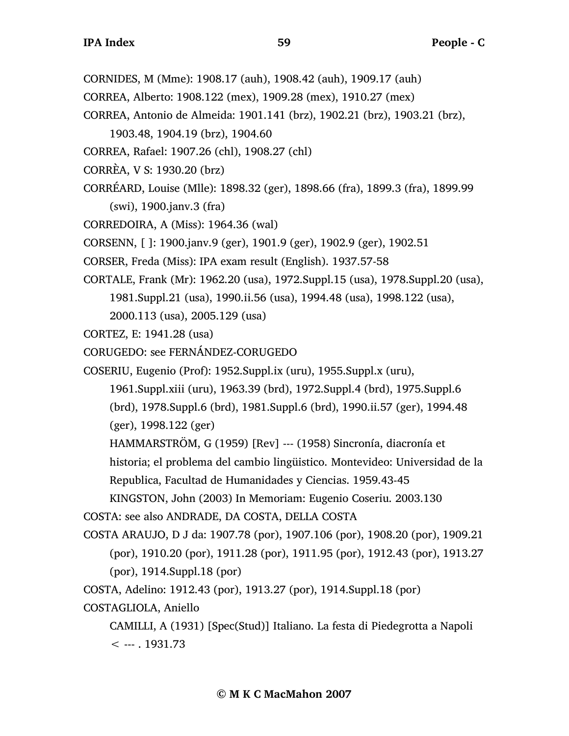- CORNIDES, M (Mme): 1908.17 (auh), 1908.42 (auh), 1909.17 (auh)
- CORREA, Alberto: 1908.122 (mex), 1909.28 (mex), 1910.27 (mex)
- CORREA, Antonio de Almeida: 1901.141 (brz), 1902.21 (brz), 1903.21 (brz),

1903.48, 1904.19 (brz), 1904.60

- CORREA, Rafael: 1907.26 (chl), 1908.27 (chl)
- CORRÈA, V S: 1930.20 (brz)
- CORRÉARD, Louise (Mlle): 1898.32 (ger), 1898.66 (fra), 1899.3 (fra), 1899.99 (swi), 1900.janv.3 (fra)

CORREDOIRA, A (Miss): 1964.36 (wal)

CORSENN, [ ]: 1900.janv.9 (ger), 1901.9 (ger), 1902.9 (ger), 1902.51

- CORSER, Freda (Miss): IPA exam result (English). 1937.57-58
- CORTALE, Frank (Mr): 1962.20 (usa), 1972.Suppl.15 (usa), 1978.Suppl.20 (usa), 1981.Suppl.21 (usa), 1990.ii.56 (usa), 1994.48 (usa), 1998.122 (usa),

2000.113 (usa), 2005.129 (usa)

- CORTEZ, E: 1941.28 (usa)
- CORUGEDO: see FERNÁNDEZ-CORUGEDO

COSERIU, Eugenio (Prof): 1952.Suppl.ix (uru), 1955.Suppl.x (uru),

1961.Suppl.xiii (uru), 1963.39 (brd), 1972.Suppl.4 (brd), 1975.Suppl.6

(brd), 1978.Suppl.6 (brd), 1981.Suppl.6 (brd), 1990.ii.57 (ger), 1994.48

(ger), 1998.122 (ger)

HAMMARSTRÖM, G (1959) [Rev] --- (1958) Sincronía, diacronía et

historia; el problema del cambio lingüistico. Montevideo: Universidad de la

Republica, Facultad de Humanidades y Ciencias. 1959.43-45

KINGSTON, John (2003) In Memoriam: Eugenio Coseriu. 2003.130

COSTA: see also ANDRADE, DA COSTA, DELLA COSTA

COSTA ARAUJO, D J da: 1907.78 (por), 1907.106 (por), 1908.20 (por), 1909.21 (por), 1910.20 (por), 1911.28 (por), 1911.95 (por), 1912.43 (por), 1913.27 (por), 1914.Suppl.18 (por)

COSTA, Adelino: 1912.43 (por), 1913.27 (por), 1914.Suppl.18 (por)

COSTAGLIOLA, Aniello

CAMILLI, A (1931) [Spec(Stud)] Italiano. La festa di Piedegrotta a Napoli  $< -1931.73$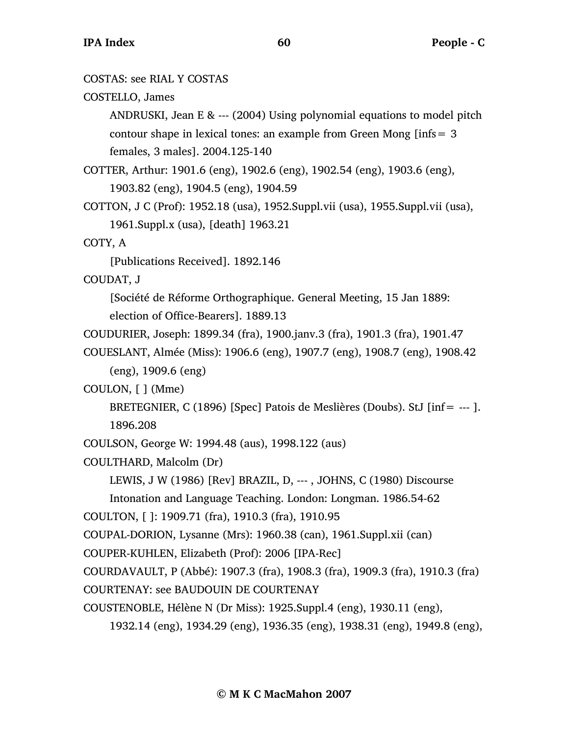## COSTAS: see RIAL Y COSTAS

## COSTELLO, James

ANDRUSKI, Jean E & --- (2004) Using polynomial equations to model pitch contour shape in lexical tones: an example from Green Mong [infs= 3 females, 3 males]. 2004.125-140

COTTER, Arthur: 1901.6 (eng), 1902.6 (eng), 1902.54 (eng), 1903.6 (eng), 1903.82 (eng), 1904.5 (eng), 1904.59

COTTON, J C (Prof): 1952.18 (usa), 1952.Suppl.vii (usa), 1955.Suppl.vii (usa), 1961.Suppl.x (usa), [death] 1963.21

COTY, A

[Publications Received]. 1892.146

COUDAT, J

[Société de Réforme Orthographique. General Meeting, 15 Jan 1889: election of Office-Bearers]. 1889.13

COUDURIER, Joseph: 1899.34 (fra), 1900.janv.3 (fra), 1901.3 (fra), 1901.47

COUESLANT, Almée (Miss): 1906.6 (eng), 1907.7 (eng), 1908.7 (eng), 1908.42 (eng), 1909.6 (eng)

## COULON, [ ] (Mme)

BRETEGNIER, C (1896) [Spec] Patois de Meslières (Doubs). StJ [inf= --- ]. 1896.208

COULSON, George W: 1994.48 (aus), 1998.122 (aus)

```
COULTHARD, Malcolm (Dr)
```
LEWIS, J W (1986) [Rev] BRAZIL, D, --- , JOHNS, C (1980) Discourse

Intonation and Language Teaching. London: Longman. 1986.54-62

```
COULTON, [ ]: 1909.71 (fra), 1910.3 (fra), 1910.95
```
COUPAL-DORION, Lysanne (Mrs): 1960.38 (can), 1961.Suppl.xii (can)

COUPER-KUHLEN, Elizabeth (Prof): 2006 [IPA-Rec]

COURDAVAULT, P (Abbé): 1907.3 (fra), 1908.3 (fra), 1909.3 (fra), 1910.3 (fra)

COURTENAY: see BAUDOUIN DE COURTENAY

COUSTENOBLE, Hélène N (Dr Miss): 1925.Suppl.4 (eng), 1930.11 (eng),

1932.14 (eng), 1934.29 (eng), 1936.35 (eng), 1938.31 (eng), 1949.8 (eng),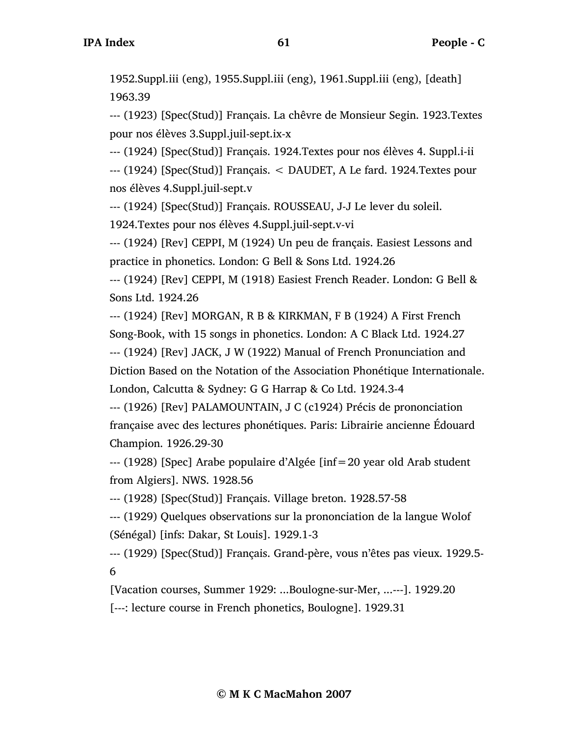1952.Suppl.iii (eng), 1955.Suppl.iii (eng), 1961.Suppl.iii (eng), [death] 1963.39

--- (1923) [Spec(Stud)] Français. La chêvre de Monsieur Segin. 1923.Textes pour nos élèves 3.Suppl.juil-sept.ix-x

--- (1924) [Spec(Stud)] Français. 1924.Textes pour nos élèves 4. Suppl.i-ii

--- (1924) [Spec(Stud)] Français. < DAUDET, A Le fard. 1924.Textes pour nos élèves 4.Suppl.juil-sept.v

--- (1924) [Spec(Stud)] Français. ROUSSEAU, J-J Le lever du soleil.

1924.Textes pour nos élèves 4.Suppl.juil-sept.v-vi

--- (1924) [Rev] CEPPI, M (1924) Un peu de français. Easiest Lessons and practice in phonetics. London: G Bell & Sons Ltd. 1924.26

--- (1924) [Rev] CEPPI, M (1918) Easiest French Reader. London: G Bell & Sons Ltd. 1924.26

--- (1924) [Rev] MORGAN, R B & KIRKMAN, F B (1924) A First French Song-Book, with 15 songs in phonetics. London: A C Black Ltd. 1924.27 --- (1924) [Rev] JACK, J W (1922) Manual of French Pronunciation and Diction Based on the Notation of the Association Phonétique Internationale. London, Calcutta & Sydney: G G Harrap & Co Ltd. 1924.3-4

--- (1926) [Rev] PALAMOUNTAIN, J C (c1924) Précis de prononciation française avec des lectures phonétiques. Paris: Librairie ancienne Édouard Champion. 1926.29-30

--- (1928) [Spec] Arabe populaire d'Algée [inf=20 year old Arab student from Algiers]. NWS. 1928.56

--- (1928) [Spec(Stud)] Français. Village breton. 1928.57-58

--- (1929) Quelques observations sur la prononciation de la langue Wolof (Sénégal) [infs: Dakar, St Louis]. 1929.1-3

--- (1929) [Spec(Stud)] Français. Grand-père, vous n'êtes pas vieux. 1929.5- 6

[Vacation courses, Summer 1929: ...Boulogne-sur-Mer, ...---]. 1929.20 [---: lecture course in French phonetics, Boulogne]. 1929.31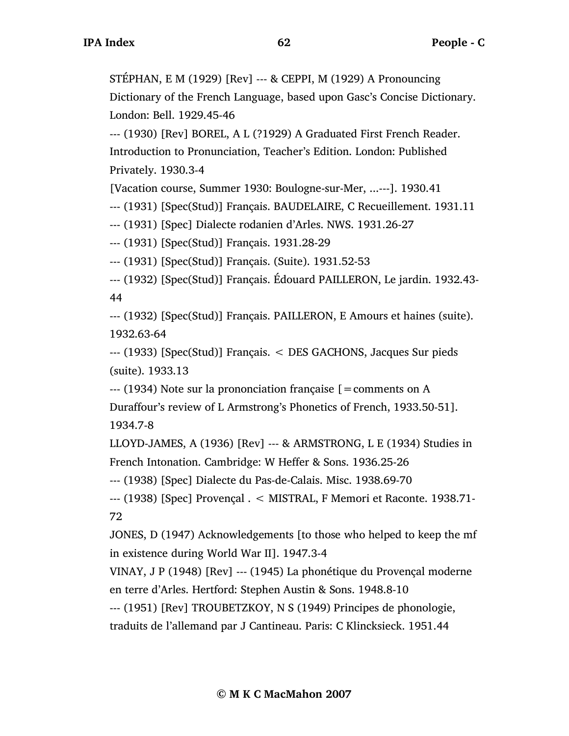STÉPHAN, E M (1929) [Rev] --- & CEPPI, M (1929) A Pronouncing

Dictionary of the French Language, based upon Gasc's Concise Dictionary. London: Bell. 1929.45-46

--- (1930) [Rev] BOREL, A L (?1929) A Graduated First French Reader. Introduction to Pronunciation, Teacher's Edition. London: Published Privately. 1930.3-4

[Vacation course, Summer 1930: Boulogne-sur-Mer, ...---]. 1930.41

--- (1931) [Spec(Stud)] Français. BAUDELAIRE, C Recueillement. 1931.11

--- (1931) [Spec] Dialecte rodanien d'Arles. NWS. 1931.26-27

--- (1931) [Spec(Stud)] Français. 1931.28-29

--- (1931) [Spec(Stud)] Français. (Suite). 1931.52-53

--- (1932) [Spec(Stud)] Français. Édouard PAILLERON, Le jardin. 1932.43- 44

--- (1932) [Spec(Stud)] Français. PAILLERON, E Amours et haines (suite). 1932.63-64

--- (1933) [Spec(Stud)] Français. < DES GACHONS, Jacques Sur pieds (suite). 1933.13

--- (1934) Note sur la prononciation française [=comments on A Duraffour's review of L Armstrong's Phonetics of French, 1933.50-51]. 1934.7-8

LLOYD-JAMES, A (1936) [Rev] --- & ARMSTRONG, L E (1934) Studies in French Intonation. Cambridge: W Heffer & Sons. 1936.25-26

--- (1938) [Spec] Dialecte du Pas-de-Calais. Misc. 1938.69-70

--- (1938) [Spec] Provençal . < MISTRAL, F Memori et Raconte. 1938.71- 72

JONES, D (1947) Acknowledgements [to those who helped to keep the mf in existence during World War II]. 1947.3-4

VINAY, J P (1948) [Rev] --- (1945) La phonétique du Provençal moderne en terre d'Arles. Hertford: Stephen Austin & Sons. 1948.8-10

--- (1951) [Rev] TROUBETZKOY, N S (1949) Principes de phonologie,

traduits de l'allemand par J Cantineau. Paris: C Klincksieck. 1951.44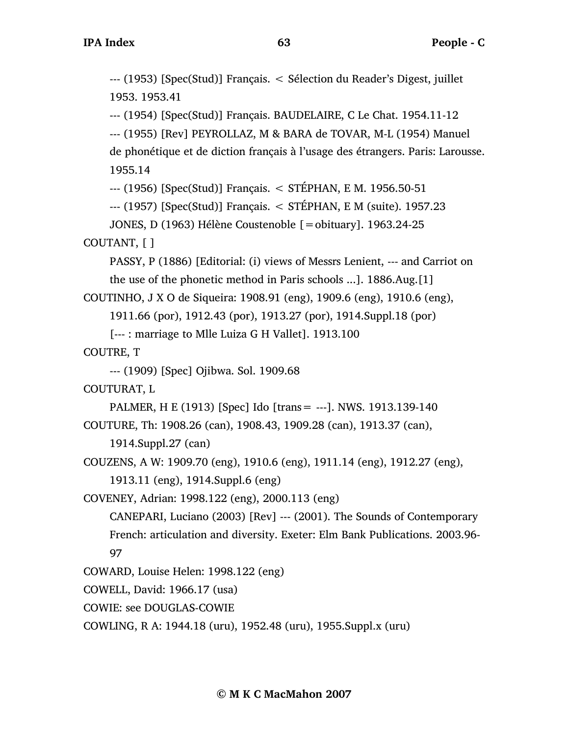--- (1953) [Spec(Stud)] Français. < Sélection du Reader's Digest, juillet 1953. 1953.41

--- (1954) [Spec(Stud)] Français. BAUDELAIRE, C Le Chat. 1954.11-12

--- (1955) [Rev] PEYROLLAZ, M & BARA de TOVAR, M-L (1954) Manuel

de phonétique et de diction français à l'usage des étrangers. Paris: Larousse. 1955.14

--- (1956) [Spec(Stud)] Français. < STÉPHAN, E M. 1956.50-51

--- (1957) [Spec(Stud)] Français. < STÉPHAN, E M (suite). 1957.23

```
JONES, D (1963) Hélène Coustenoble [=obituary]. 1963.24-25
```
COUTANT, [ ]

PASSY, P (1886) [Editorial: (i) views of Messrs Lenient, --- and Carriot on the use of the phonetic method in Paris schools ...]. 1886.Aug.[1]

COUTINHO, J X O de Siqueira: 1908.91 (eng), 1909.6 (eng), 1910.6 (eng),

1911.66 (por), 1912.43 (por), 1913.27 (por), 1914.Suppl.18 (por)

[--- : marriage to Mlle Luiza G H Vallet]. 1913.100

```
COUTRE, T
```

```
--- (1909) [Spec] Ojibwa. Sol. 1909.68
```

```
COUTURAT, L
```
PALMER, H E (1913) [Spec] Ido [trans= ---]. NWS. 1913.139-140 COUTURE, Th: 1908.26 (can), 1908.43, 1909.28 (can), 1913.37 (can),

1914.Suppl.27 (can)

COUZENS, A W: 1909.70 (eng), 1910.6 (eng), 1911.14 (eng), 1912.27 (eng),

1913.11 (eng), 1914.Suppl.6 (eng)

COVENEY, Adrian: 1998.122 (eng), 2000.113 (eng)

CANEPARI, Luciano (2003) [Rev] --- (2001). The Sounds of Contemporary French: articulation and diversity. Exeter: Elm Bank Publications. 2003.96- 97

COWARD, Louise Helen: 1998.122 (eng)

COWELL, David: 1966.17 (usa)

COWIE: see DOUGLAS-COWIE

COWLING, R A: 1944.18 (uru), 1952.48 (uru), 1955.Suppl.x (uru)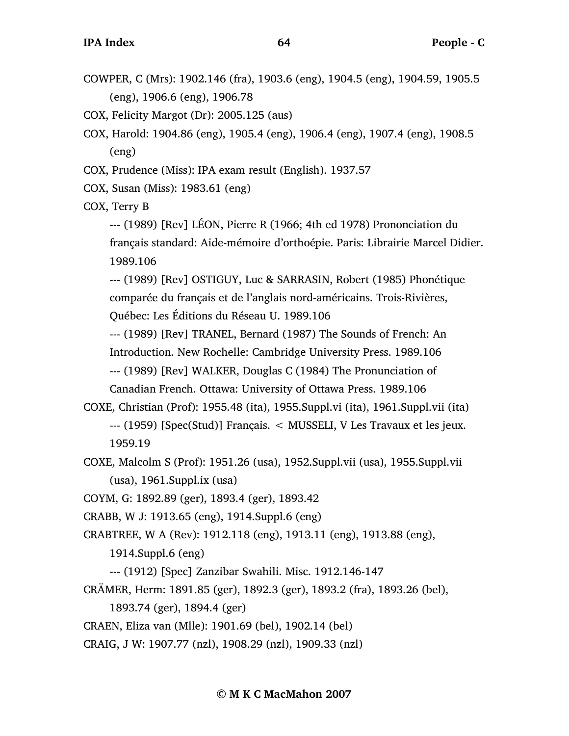COWPER, C (Mrs): 1902.146 (fra), 1903.6 (eng), 1904.5 (eng), 1904.59, 1905.5 (eng), 1906.6 (eng), 1906.78

COX, Felicity Margot (Dr): 2005.125 (aus)

- COX, Harold: 1904.86 (eng), 1905.4 (eng), 1906.4 (eng), 1907.4 (eng), 1908.5 (eng)
- COX, Prudence (Miss): IPA exam result (English). 1937.57
- COX, Susan (Miss): 1983.61 (eng)

COX, Terry B

--- (1989) [Rev] LÉON, Pierre R (1966; 4th ed 1978) Prononciation du français standard: Aide-mémoire d'orthoépie. Paris: Librairie Marcel Didier. 1989.106

--- (1989) [Rev] OSTIGUY, Luc & SARRASIN, Robert (1985) Phonétique comparée du français et de l'anglais nord-américains. Trois-Rivières, Québec: Les Éditions du Réseau U. 1989.106

--- (1989) [Rev] TRANEL, Bernard (1987) The Sounds of French: An

Introduction. New Rochelle: Cambridge University Press. 1989.106

--- (1989) [Rev] WALKER, Douglas C (1984) The Pronunciation of

Canadian French. Ottawa: University of Ottawa Press. 1989.106

COXE, Christian (Prof): 1955.48 (ita), 1955.Suppl.vi (ita), 1961.Suppl.vii (ita) --- (1959) [Spec(Stud)] Français. < MUSSELI, V Les Travaux et les jeux. 1959.19

COXE, Malcolm S (Prof): 1951.26 (usa), 1952.Suppl.vii (usa), 1955.Suppl.vii (usa), 1961.Suppl.ix (usa)

COYM, G: 1892.89 (ger), 1893.4 (ger), 1893.42

CRABB, W J: 1913.65 (eng), 1914.Suppl.6 (eng)

CRABTREE, W A (Rev): 1912.118 (eng), 1913.11 (eng), 1913.88 (eng),

1914.Suppl.6 (eng)

--- (1912) [Spec] Zanzibar Swahili. Misc. 1912.146-147

CRÄMER, Herm: 1891.85 (ger), 1892.3 (ger), 1893.2 (fra), 1893.26 (bel),

1893.74 (ger), 1894.4 (ger)

CRAEN, Eliza van (Mlle): 1901.69 (bel), 1902.14 (bel)

CRAIG, J W: 1907.77 (nzl), 1908.29 (nzl), 1909.33 (nzl)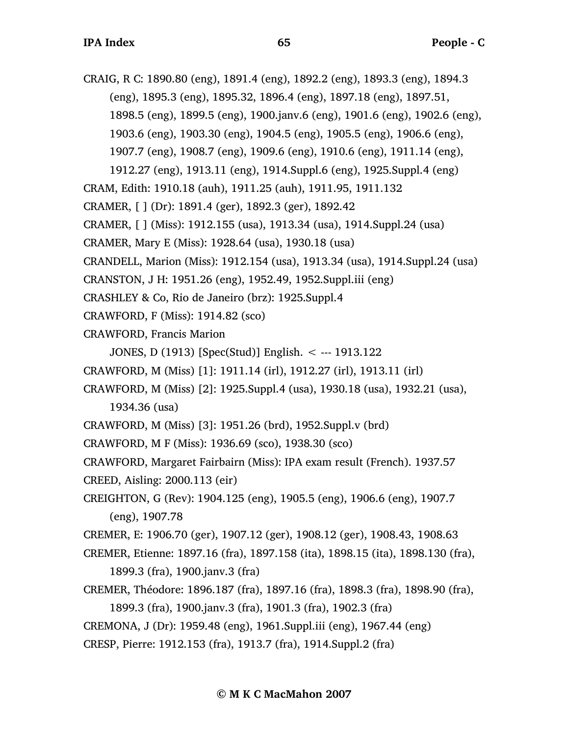CRAIG, R C: 1890.80 (eng), 1891.4 (eng), 1892.2 (eng), 1893.3 (eng), 1894.3 (eng), 1895.3 (eng), 1895.32, 1896.4 (eng), 1897.18 (eng), 1897.51,

1898.5 (eng), 1899.5 (eng), 1900.janv.6 (eng), 1901.6 (eng), 1902.6 (eng),

1903.6 (eng), 1903.30 (eng), 1904.5 (eng), 1905.5 (eng), 1906.6 (eng),

1907.7 (eng), 1908.7 (eng), 1909.6 (eng), 1910.6 (eng), 1911.14 (eng),

1912.27 (eng), 1913.11 (eng), 1914.Suppl.6 (eng), 1925.Suppl.4 (eng)

CRAM, Edith: 1910.18 (auh), 1911.25 (auh), 1911.95, 1911.132

CRAMER, [ ] (Dr): 1891.4 (ger), 1892.3 (ger), 1892.42

CRAMER, [ ] (Miss): 1912.155 (usa), 1913.34 (usa), 1914.Suppl.24 (usa)

CRAMER, Mary E (Miss): 1928.64 (usa), 1930.18 (usa)

CRANDELL, Marion (Miss): 1912.154 (usa), 1913.34 (usa), 1914.Suppl.24 (usa)

CRANSTON, J H: 1951.26 (eng), 1952.49, 1952.Suppl.iii (eng)

- CRASHLEY & Co, Rio de Janeiro (brz): 1925.Suppl.4
- CRAWFORD, F (Miss): 1914.82 (sco)
- CRAWFORD, Francis Marion

JONES, D (1913) [Spec(Stud)] English. < --- 1913.122

CRAWFORD, M (Miss) [1]: 1911.14 (irl), 1912.27 (irl), 1913.11 (irl)

CRAWFORD, M (Miss) [2]: 1925.Suppl.4 (usa), 1930.18 (usa), 1932.21 (usa), 1934.36 (usa)

CRAWFORD, M (Miss) [3]: 1951.26 (brd), 1952.Suppl.v (brd)

CRAWFORD, M F (Miss): 1936.69 (sco), 1938.30 (sco)

CRAWFORD, Margaret Fairbairn (Miss): IPA exam result (French). 1937.57

CREED, Aisling: 2000.113 (eir)

CREIGHTON, G (Rev): 1904.125 (eng), 1905.5 (eng), 1906.6 (eng), 1907.7 (eng), 1907.78

CREMER, E: 1906.70 (ger), 1907.12 (ger), 1908.12 (ger), 1908.43, 1908.63

CREMER, Etienne: 1897.16 (fra), 1897.158 (ita), 1898.15 (ita), 1898.130 (fra), 1899.3 (fra), 1900.janv.3 (fra)

CREMER, Théodore: 1896.187 (fra), 1897.16 (fra), 1898.3 (fra), 1898.90 (fra), 1899.3 (fra), 1900.janv.3 (fra), 1901.3 (fra), 1902.3 (fra)

CREMONA, J (Dr): 1959.48 (eng), 1961.Suppl.iii (eng), 1967.44 (eng)

CRESP, Pierre: 1912.153 (fra), 1913.7 (fra), 1914.Suppl.2 (fra)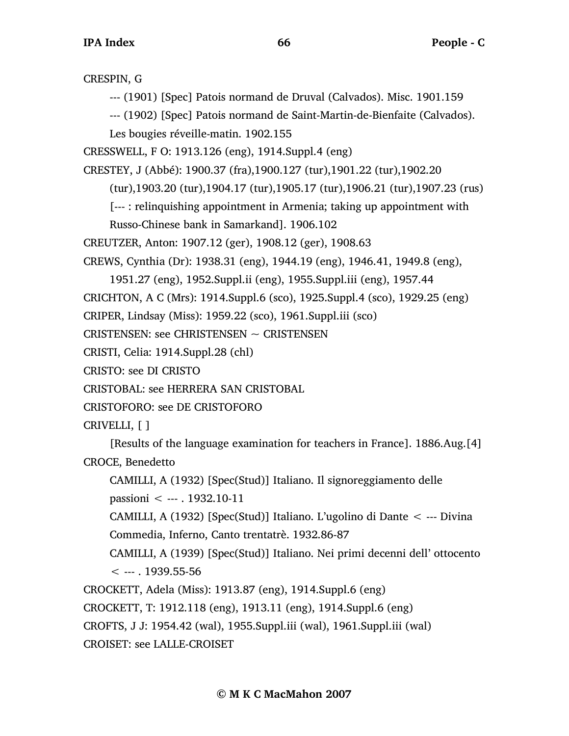CRESPIN, G --- (1901) [Spec] Patois normand de Druval (Calvados). Misc. 1901.159 --- (1902) [Spec] Patois normand de Saint-Martin-de-Bienfaite (Calvados). Les bougies réveille-matin. 1902.155 CRESSWELL, F O: 1913.126 (eng), 1914.Suppl.4 (eng) CRESTEY, J (Abbé): 1900.37 (fra),1900.127 (tur),1901.22 (tur),1902.20 (tur),1903.20 (tur),1904.17 (tur),1905.17 (tur),1906.21 (tur),1907.23 (rus) [--- : relinquishing appointment in Armenia; taking up appointment with Russo-Chinese bank in Samarkand]. 1906.102 CREUTZER, Anton: 1907.12 (ger), 1908.12 (ger), 1908.63 CREWS, Cynthia (Dr): 1938.31 (eng), 1944.19 (eng), 1946.41, 1949.8 (eng), 1951.27 (eng), 1952.Suppl.ii (eng), 1955.Suppl.iii (eng), 1957.44 CRICHTON, A C (Mrs): 1914.Suppl.6 (sco), 1925.Suppl.4 (sco), 1929.25 (eng) CRIPER, Lindsay (Miss): 1959.22 (sco), 1961.Suppl.iii (sco) CRISTENSEN: see CHRISTENSEN ~ CRISTENSEN CRISTI, Celia: 1914.Suppl.28 (chl) CRISTO: see DI CRISTO CRISTOBAL: see HERRERA SAN CRISTOBAL CRISTOFORO: see DE CRISTOFORO CRIVELLI, [ ] [Results of the language examination for teachers in France]. 1886.Aug.[4] CROCE, Benedetto CAMILLI, A (1932) [Spec(Stud)] Italiano. Il signoreggiamento delle passioni < --- . 1932.10-11 CAMILLI, A (1932) [Spec(Stud)] Italiano. L'ugolino di Dante < --- Divina Commedia, Inferno, Canto trentatrè. 1932.86-87 CAMILLI, A (1939) [Spec(Stud)] Italiano. Nei primi decenni dell' ottocento  $< -1939.55 - 56$ CROCKETT, Adela (Miss): 1913.87 (eng), 1914.Suppl.6 (eng) CROCKETT, T: 1912.118 (eng), 1913.11 (eng), 1914.Suppl.6 (eng)

CROFTS, J J: 1954.42 (wal), 1955.Suppl.iii (wal), 1961.Suppl.iii (wal)

CROISET: see LALLE-CROISET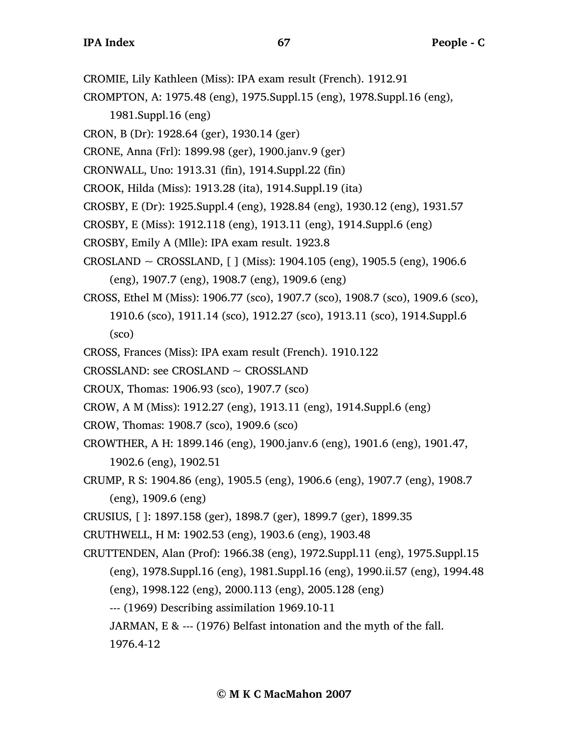CROMIE, Lily Kathleen (Miss): IPA exam result (French). 1912.91

CROMPTON, A: 1975.48 (eng), 1975.Suppl.15 (eng), 1978.Suppl.16 (eng),

- 1981.Suppl.16 (eng)
- CRON, B (Dr): 1928.64 (ger), 1930.14 (ger)
- CRONE, Anna (Frl): 1899.98 (ger), 1900.janv.9 (ger)
- CRONWALL, Uno: 1913.31 (fin), 1914.Suppl.22 (fin)
- CROOK, Hilda (Miss): 1913.28 (ita), 1914.Suppl.19 (ita)
- CROSBY, E (Dr): 1925.Suppl.4 (eng), 1928.84 (eng), 1930.12 (eng), 1931.57
- CROSBY, E (Miss): 1912.118 (eng), 1913.11 (eng), 1914.Suppl.6 (eng)
- CROSBY, Emily A (Mlle): IPA exam result. 1923.8
- $CROSLAND \sim CROSSLAND$ , [ ] (Miss): 1904.105 (eng), 1905.5 (eng), 1906.6 (eng), 1907.7 (eng), 1908.7 (eng), 1909.6 (eng)
- CROSS, Ethel M (Miss): 1906.77 (sco), 1907.7 (sco), 1908.7 (sco), 1909.6 (sco), 1910.6 (sco), 1911.14 (sco), 1912.27 (sco), 1913.11 (sco), 1914.Suppl.6 (sco)
- CROSS, Frances (Miss): IPA exam result (French). 1910.122
- CROSSLAND: see CROSLAND ~ CROSSLAND
- CROUX, Thomas: 1906.93 (sco), 1907.7 (sco)
- CROW, A M (Miss): 1912.27 (eng), 1913.11 (eng), 1914.Suppl.6 (eng)
- CROW, Thomas: 1908.7 (sco), 1909.6 (sco)
- CROWTHER, A H: 1899.146 (eng), 1900.janv.6 (eng), 1901.6 (eng), 1901.47, 1902.6 (eng), 1902.51
- CRUMP, R S: 1904.86 (eng), 1905.5 (eng), 1906.6 (eng), 1907.7 (eng), 1908.7 (eng), 1909.6 (eng)
- CRUSIUS, [ ]: 1897.158 (ger), 1898.7 (ger), 1899.7 (ger), 1899.35

CRUTHWELL, H M: 1902.53 (eng), 1903.6 (eng), 1903.48

CRUTTENDEN, Alan (Prof): 1966.38 (eng), 1972.Suppl.11 (eng), 1975.Suppl.15 (eng), 1978.Suppl.16 (eng), 1981.Suppl.16 (eng), 1990.ii.57 (eng), 1994.48 (eng), 1998.122 (eng), 2000.113 (eng), 2005.128 (eng) --- (1969) Describing assimilation 1969.10-11 JARMAN, E & --- (1976) Belfast intonation and the myth of the fall. 1976.4-12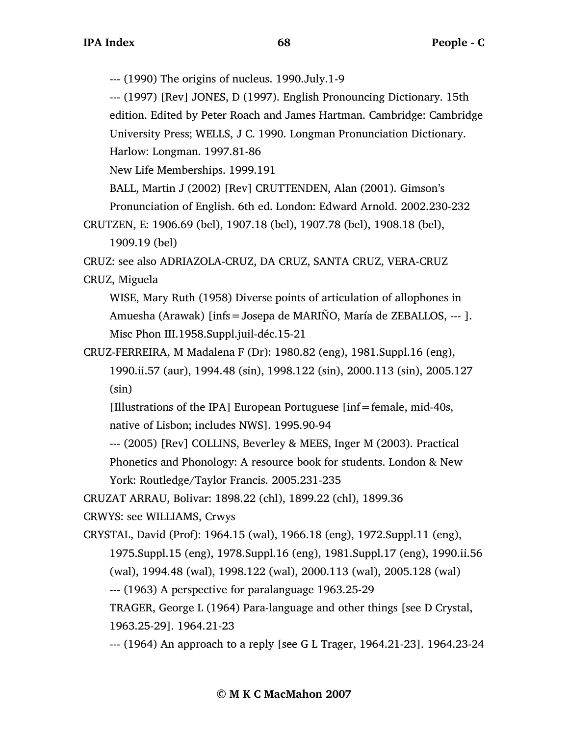--- (1990) The origins of nucleus. 1990.July.1-9

--- (1997) [Rev] JONES, D (1997). English Pronouncing Dictionary. 15th edition. Edited by Peter Roach and James Hartman. Cambridge: Cambridge University Press; WELLS, J C. 1990. Longman Pronunciation Dictionary.

Harlow: Longman. 1997.81-86

New Life Memberships. 1999.191

BALL, Martin J (2002) [Rev] CRUTTENDEN, Alan (2001). Gimson's

Pronunciation of English. 6th ed. London: Edward Arnold. 2002.230-232

CRUTZEN, E: 1906.69 (bel), 1907.18 (bel), 1907.78 (bel), 1908.18 (bel),

1909.19 (bel)

CRUZ: see also ADRIAZOLA-CRUZ, DA CRUZ, SANTA CRUZ, VERA-CRUZ

CRUZ, Miguela

WISE, Mary Ruth (1958) Diverse points of articulation of allophones in Amuesha (Arawak) [infs=Josepa de MARIÑO, María de ZEBALLOS, --- ]. Misc Phon III.1958.Suppl.juil-déc.15-21

CRUZ-FERREIRA, M Madalena F (Dr): 1980.82 (eng), 1981.Suppl.16 (eng), 1990.ii.57 (aur), 1994.48 (sin), 1998.122 (sin), 2000.113 (sin), 2005.127 (sin)

[Illustrations of the IPA] European Portuguese [inf=female, mid-40s, native of Lisbon; includes NWS]. 1995.90-94

--- (2005) [Rev] COLLINS, Beverley & MEES, Inger M (2003). Practical

Phonetics and Phonology: A resource book for students. London & New York: Routledge/Taylor Francis. 2005.231-235

CRUZAT ARRAU, Bolivar: 1898.22 (chl), 1899.22 (chl), 1899.36

CRWYS: see WILLIAMS, Crwys

CRYSTAL, David (Prof): 1964.15 (wal), 1966.18 (eng), 1972.Suppl.11 (eng), 1975.Suppl.15 (eng), 1978.Suppl.16 (eng), 1981.Suppl.17 (eng), 1990.ii.56 (wal), 1994.48 (wal), 1998.122 (wal), 2000.113 (wal), 2005.128 (wal) --- (1963) A perspective for paralanguage 1963.25-29 TRAGER, George L (1964) Para-language and other things [see D Crystal,

1963.25-29]. 1964.21-23

--- (1964) An approach to a reply [see G L Trager, 1964.21-23]. 1964.23-24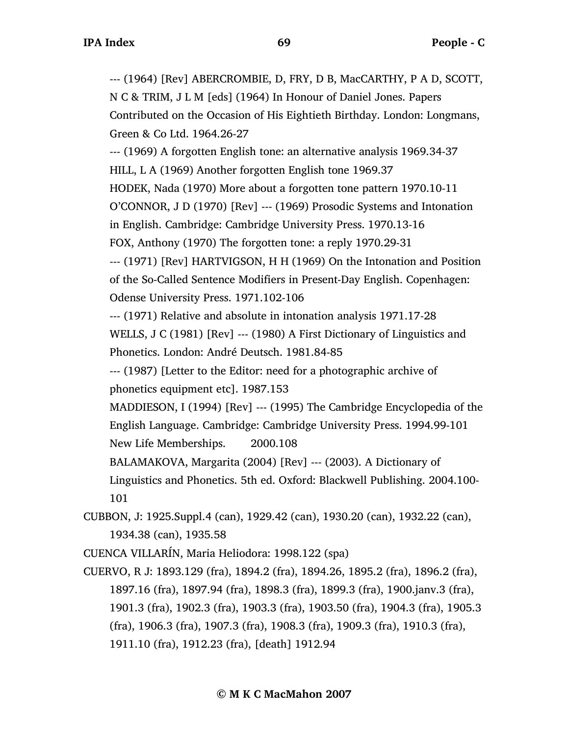--- (1964) [Rev] ABERCROMBIE, D, FRY, D B, MacCARTHY, P A D, SCOTT, N C & TRIM, J L M [eds] (1964) In Honour of Daniel Jones. Papers Contributed on the Occasion of His Eightieth Birthday. London: Longmans, Green & Co Ltd. 1964.26-27

--- (1969) A forgotten English tone: an alternative analysis 1969.34-37 HILL, L A (1969) Another forgotten English tone 1969.37 HODEK, Nada (1970) More about a forgotten tone pattern 1970.10-11 O'CONNOR, J D (1970) [Rev] --- (1969) Prosodic Systems and Intonation in English. Cambridge: Cambridge University Press. 1970.13-16 FOX, Anthony (1970) The forgotten tone: a reply 1970.29-31 --- (1971) [Rev] HARTVIGSON, H H (1969) On the Intonation and Position of the So-Called Sentence Modifiers in Present-Day English. Copenhagen: Odense University Press. 1971.102-106 --- (1971) Relative and absolute in intonation analysis 1971.17-28 WELLS, J C (1981) [Rev] --- (1980) A First Dictionary of Linguistics and Phonetics. London: André Deutsch. 1981.84-85 --- (1987) [Letter to the Editor: need for a photographic archive of phonetics equipment etc]. 1987.153 MADDIESON, I (1994) [Rev] --- (1995) The Cambridge Encyclopedia of the English Language. Cambridge: Cambridge University Press. 1994.99-101 New Life Memberships. 2000.108

BALAMAKOVA, Margarita (2004) [Rev] --- (2003). A Dictionary of Linguistics and Phonetics. 5th ed. Oxford: Blackwell Publishing. 2004.100- 101

CUBBON, J: 1925.Suppl.4 (can), 1929.42 (can), 1930.20 (can), 1932.22 (can), 1934.38 (can), 1935.58

CUENCA VILLARÍN, Maria Heliodora: 1998.122 (spa)

CUERVO, R J: 1893.129 (fra), 1894.2 (fra), 1894.26, 1895.2 (fra), 1896.2 (fra), 1897.16 (fra), 1897.94 (fra), 1898.3 (fra), 1899.3 (fra), 1900.janv.3 (fra), 1901.3 (fra), 1902.3 (fra), 1903.3 (fra), 1903.50 (fra), 1904.3 (fra), 1905.3 (fra), 1906.3 (fra), 1907.3 (fra), 1908.3 (fra), 1909.3 (fra), 1910.3 (fra), 1911.10 (fra), 1912.23 (fra), [death] 1912.94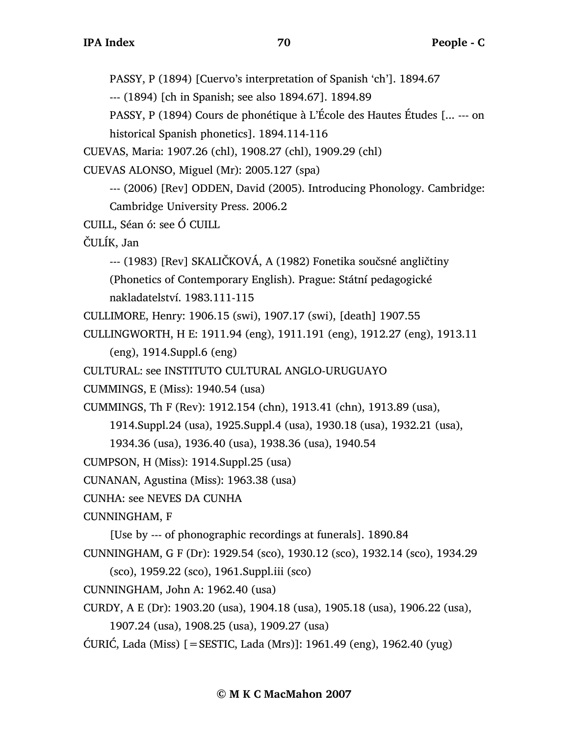PASSY, P (1894) [Cuervo's interpretation of Spanish 'ch']. 1894.67

--- (1894) [ch in Spanish; see also 1894.67]. 1894.89

PASSY, P (1894) Cours de phonétique à L'École des Hautes Études [... --- on

historical Spanish phonetics]. 1894.114-116

CUEVAS, Maria: 1907.26 (chl), 1908.27 (chl), 1909.29 (chl)

CUEVAS ALONSO, Miguel (Mr): 2005.127 (spa)

--- (2006) [Rev] ODDEN, David (2005). Introducing Phonology. Cambridge: Cambridge University Press. 2006.2

CUILL, Séan ó: see Ó CUILL

ČULÍK, Jan

--- (1983) [Rev] SKALIČKOVÁ, A (1982) Fonetika součsné angličtiny

(Phonetics of Contemporary English). Prague: Státní pedagogické

nakladatelství. 1983.111-115

CULLIMORE, Henry: 1906.15 (swi), 1907.17 (swi), [death] 1907.55

CULLINGWORTH, H E: 1911.94 (eng), 1911.191 (eng), 1912.27 (eng), 1913.11

```
(eng), 1914.Suppl.6 (eng)
```
CULTURAL: see INSTITUTO CULTURAL ANGLO-URUGUAYO

CUMMINGS, E (Miss): 1940.54 (usa)

CUMMINGS, Th F (Rev): 1912.154 (chn), 1913.41 (chn), 1913.89 (usa),

1914.Suppl.24 (usa), 1925.Suppl.4 (usa), 1930.18 (usa), 1932.21 (usa),

1934.36 (usa), 1936.40 (usa), 1938.36 (usa), 1940.54

CUMPSON, H (Miss): 1914.Suppl.25 (usa)

CUNANAN, Agustina (Miss): 1963.38 (usa)

CUNHA: see NEVES DA CUNHA

CUNNINGHAM, F

[Use by --- of phonographic recordings at funerals]. 1890.84

CUNNINGHAM, G F (Dr): 1929.54 (sco), 1930.12 (sco), 1932.14 (sco), 1934.29

(sco), 1959.22 (sco), 1961.Suppl.iii (sco)

CUNNINGHAM, John A: 1962.40 (usa)

CURDY, A E (Dr): 1903.20 (usa), 1904.18 (usa), 1905.18 (usa), 1906.22 (usa),

1907.24 (usa), 1908.25 (usa), 1909.27 (usa)

ĆURIĆ, Lada (Miss) [=SESTIC, Lada (Mrs)]: 1961.49 (eng), 1962.40 (yug)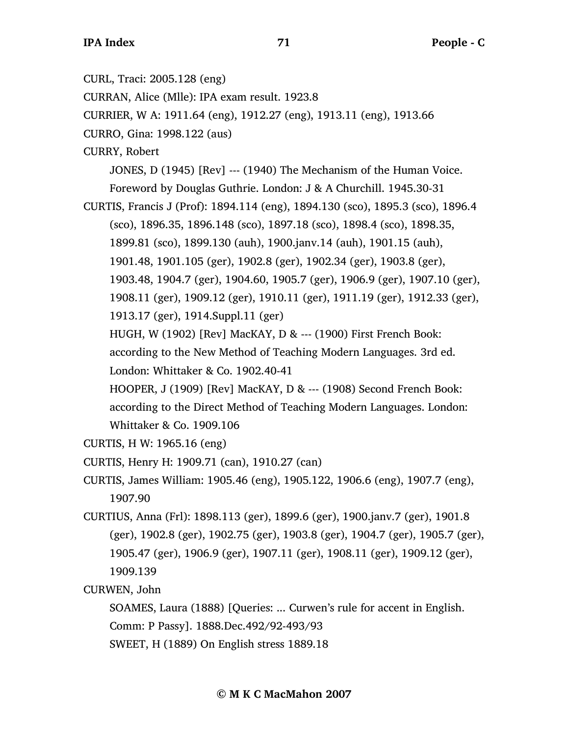CURL, Traci: 2005.128 (eng)

CURRAN, Alice (Mlle): IPA exam result. 1923.8

CURRIER, W A: 1911.64 (eng), 1912.27 (eng), 1913.11 (eng), 1913.66

CURRO, Gina: 1998.122 (aus)

CURRY, Robert

JONES, D (1945) [Rev] --- (1940) The Mechanism of the Human Voice.

Foreword by Douglas Guthrie. London: J & A Churchill. 1945.30-31 CURTIS, Francis J (Prof): 1894.114 (eng), 1894.130 (sco), 1895.3 (sco), 1896.4

(sco), 1896.35, 1896.148 (sco), 1897.18 (sco), 1898.4 (sco), 1898.35,

1899.81 (sco), 1899.130 (auh), 1900.janv.14 (auh), 1901.15 (auh),

1901.48, 1901.105 (ger), 1902.8 (ger), 1902.34 (ger), 1903.8 (ger),

1903.48, 1904.7 (ger), 1904.60, 1905.7 (ger), 1906.9 (ger), 1907.10 (ger),

1908.11 (ger), 1909.12 (ger), 1910.11 (ger), 1911.19 (ger), 1912.33 (ger),

1913.17 (ger), 1914.Suppl.11 (ger)

HUGH, W (1902) [Rev] MacKAY, D & --- (1900) First French Book:

according to the New Method of Teaching Modern Languages. 3rd ed. London: Whittaker & Co. 1902.40-41

HOOPER, J (1909) [Rev] MacKAY, D & --- (1908) Second French Book: according to the Direct Method of Teaching Modern Languages. London: Whittaker & Co. 1909.106

CURTIS, H W: 1965.16 (eng)

CURTIS, Henry H: 1909.71 (can), 1910.27 (can)

CURTIS, James William: 1905.46 (eng), 1905.122, 1906.6 (eng), 1907.7 (eng), 1907.90

CURTIUS, Anna (Frl): 1898.113 (ger), 1899.6 (ger), 1900.janv.7 (ger), 1901.8 (ger), 1902.8 (ger), 1902.75 (ger), 1903.8 (ger), 1904.7 (ger), 1905.7 (ger), 1905.47 (ger), 1906.9 (ger), 1907.11 (ger), 1908.11 (ger), 1909.12 (ger), 1909.139

CURWEN, John

SOAMES, Laura (1888) [Queries: ... Curwen's rule for accent in English. Comm: P Passy]. 1888.Dec.492/92-493/93 SWEET, H (1889) On English stress 1889.18

**© M K C MacMahon 2007**